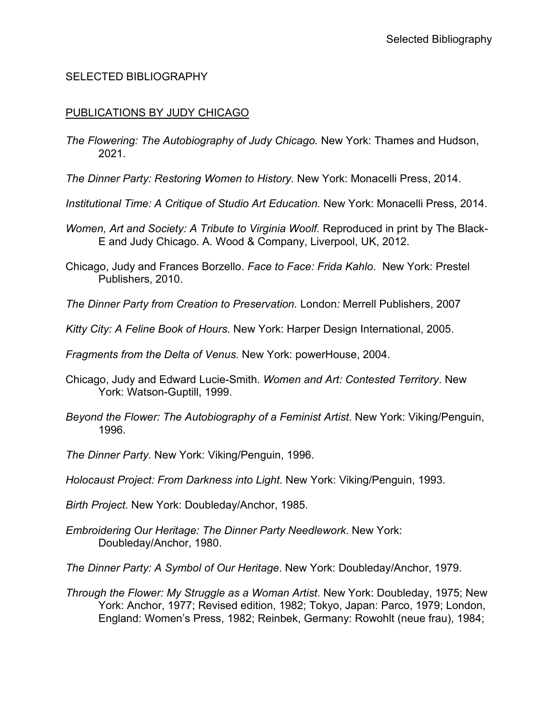### SELECTED BIBLIOGRAPHY

#### PUBLICATIONS BY JUDY CHICAGO

- *The Flowering: The Autobiography of Judy Chicago.* New York: Thames and Hudson, 2021.
- *The Dinner Party: Restoring Women to History.* New York: Monacelli Press, 2014.
- *Institutional Time: A Critique of Studio Art Education.* New York: Monacelli Press, 2014.
- *Women, Art and Society: A Tribute to Virginia Woolf.* Reproduced in print by The Black-E and Judy Chicago. A. Wood & Company, Liverpool, UK, 2012.
- Chicago, Judy and Frances Borzello. *Face to Face: Frida Kahlo*. New York: Prestel Publishers, 2010.
- *The Dinner Party from Creation to Preservation.* London*:* Merrell Publishers, 2007
- *Kitty City: A Feline Book of Hours.* New York: Harper Design International, 2005.
- *Fragments from the Delta of Venus.* New York: powerHouse, 2004.
- Chicago, Judy and Edward Lucie-Smith. *Women and Art: Contested Territory*. New York: Watson-Guptill, 1999.
- *Beyond the Flower: The Autobiography of a Feminist Artist*. New York: Viking/Penguin, 1996.
- *The Dinner Party*. New York: Viking/Penguin, 1996.
- *Holocaust Project: From Darkness into Light*. New York: Viking/Penguin, 1993.
- *Birth Project*. New York: Doubleday/Anchor, 1985.
- *Embroidering Our Heritage: The Dinner Party Needlework*. New York: Doubleday/Anchor, 1980.
- *The Dinner Party: A Symbol of Our Heritage*. New York: Doubleday/Anchor, 1979.
- *Through the Flower: My Struggle as a Woman Artist*. New York: Doubleday, 1975; New York: Anchor, 1977; Revised edition, 1982; Tokyo, Japan: Parco, 1979; London, England: Women's Press, 1982; Reinbek, Germany: Rowohlt (neue frau), 1984;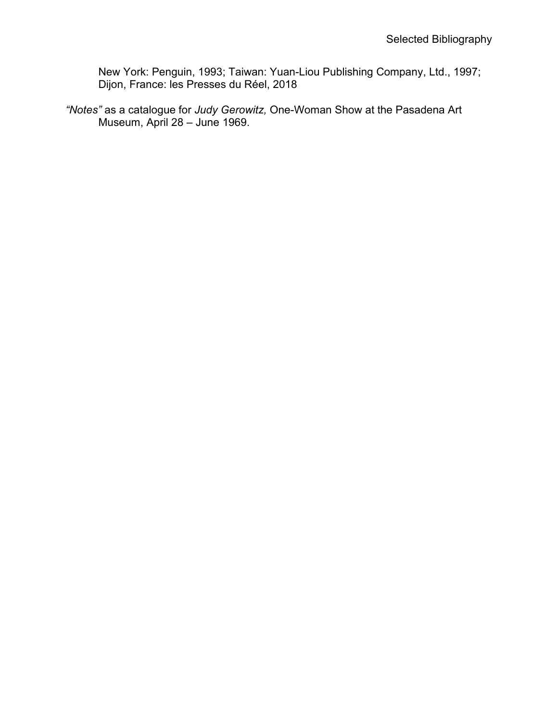New York: Penguin, 1993; Taiwan: Yuan-Liou Publishing Company, Ltd., 1997; Dijon, France: les Presses du Réel, 2018

*"Notes"* as a catalogue for *Judy Gerowitz,* One-Woman Show at the Pasadena Art Museum, April 28 – June 1969.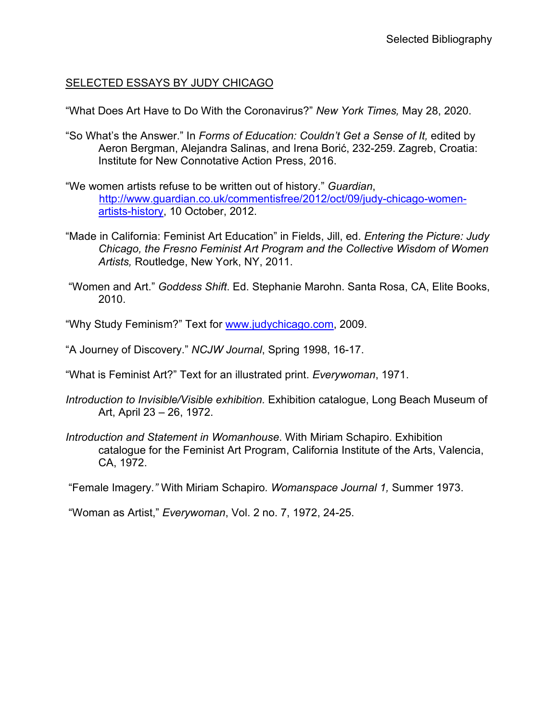#### SELECTED ESSAYS BY JUDY CHICAGO

"What Does Art Have to Do With the Coronavirus?" *New York Times,* May 28, 2020.

- "So What's the Answer." In *Forms of Education: Couldn't Get a Sense of It,* edited by Aeron Bergman, Alejandra Salinas, and Irena Borić, 232-259. Zagreb, Croatia: Institute for New Connotative Action Press, 2016.
- "We women artists refuse to be written out of history." *Guardian*, [http://www.guardian.co.uk/commentisfree/2012/oct/09/judy-chicago-women](http://www.guardian.co.uk/commentisfree/2012/oct/09/judy-chicago-women-artists-history)[artists-history,](http://www.guardian.co.uk/commentisfree/2012/oct/09/judy-chicago-women-artists-history) 10 October, 2012.
- "Made in California: Feminist Art Education" in Fields, Jill, ed. *Entering the Picture: Judy Chicago, the Fresno Feminist Art Program and the Collective Wisdom of Women Artists,* Routledge, New York, NY, 2011.
- "Women and Art." *Goddess Shift*. Ed. Stephanie Marohn. Santa Rosa, CA, Elite Books, 2010.
- "Why Study Feminism?" Text for [www.judychicago.com,](http://www.judychicago.com/) 2009.
- "A Journey of Discovery." *NCJW Journal*, Spring 1998, 16-17.
- "What is Feminist Art?" Text for an illustrated print. *Everywoman*, 1971.
- *Introduction to Invisible/Visible exhibition.* Exhibition catalogue, Long Beach Museum of Art, April 23 – 26, 1972.
- *Introduction and Statement in Womanhouse*. With Miriam Schapiro. Exhibition catalogue for the Feminist Art Program, California Institute of the Arts, Valencia, CA, 1972.

"Female Imagery*."* With Miriam Schapiro*. Womanspace Journal 1,* Summer 1973.

"Woman as Artist," *Everywoman*, Vol. 2 no. 7, 1972, 24-25.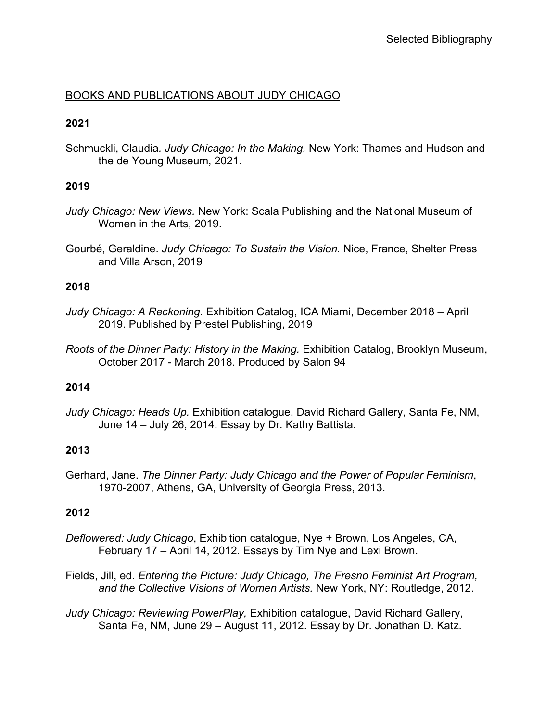# BOOKS AND PUBLICATIONS ABOUT JUDY CHICAGO

### **2021**

Schmuckli, Claudia*. Judy Chicago: In the Making.* New York: Thames and Hudson and the de Young Museum, 2021.

# **2019**

- *Judy Chicago: New Views.* New York: Scala Publishing and the National Museum of Women in the Arts, 2019.
- Gourbé, Geraldine. *Judy Chicago: To Sustain the Vision.* Nice, France, Shelter Press and Villa Arson, 2019

### **2018**

- *Judy Chicago: A Reckoning.* Exhibition Catalog, ICA Miami, December 2018 April 2019. Published by Prestel Publishing, 2019
- *Roots of the Dinner Party: History in the Making.* Exhibition Catalog, Brooklyn Museum, October 2017 - March 2018. Produced by Salon 94

### **2014**

*Judy Chicago: Heads Up.* Exhibition catalogue, David Richard Gallery, Santa Fe, NM, June 14 – July 26, 2014. Essay by Dr. Kathy Battista.

### **2013**

Gerhard, Jane. *The Dinner Party: Judy Chicago and the Power of Popular Feminism*, 1970-2007, Athens, GA, University of Georgia Press, 2013.

# **2012**

- *Deflowered: Judy Chicago*, Exhibition catalogue, Nye + Brown, Los Angeles, CA, February 17 – April 14, 2012. Essays by Tim Nye and Lexi Brown.
- Fields, Jill, ed. *Entering the Picture: Judy Chicago, The Fresno Feminist Art Program, and the Collective Visions of Women Artists.* New York, NY: Routledge, 2012.

*Judy Chicago: Reviewing PowerPlay,* Exhibition catalogue, David Richard Gallery, Santa Fe, NM, June 29 – August 11, 2012. Essay by Dr. Jonathan D. Katz.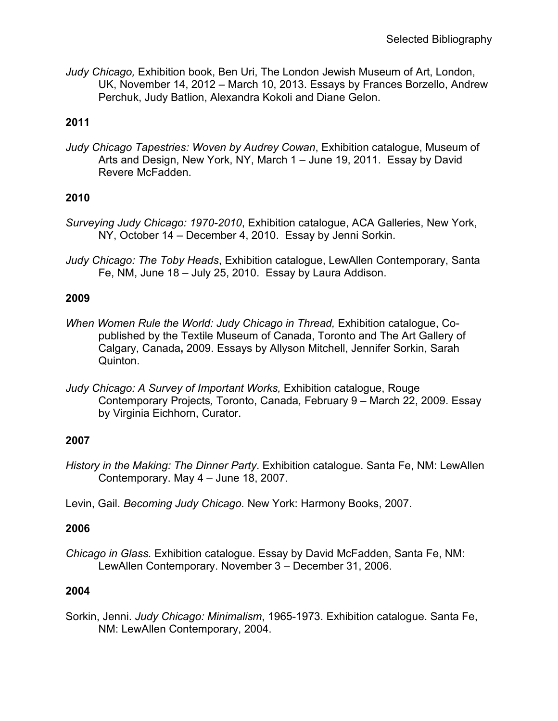*Judy Chicago,* Exhibition book, Ben Uri, The London Jewish Museum of Art, London, UK, November 14, 2012 – March 10, 2013. Essays by Frances Borzello, Andrew Perchuk, Judy Batlion, Alexandra Kokoli and Diane Gelon.

# **2011**

*Judy Chicago Tapestries: Woven by Audrey Cowan*, Exhibition catalogue, Museum of Arts and Design, New York, NY, March 1 – June 19, 2011. Essay by David Revere McFadden.

# **2010**

- *Surveying Judy Chicago: 1970-2010*, Exhibition catalogue, ACA Galleries, New York, NY, October 14 – December 4, 2010. Essay by Jenni Sorkin.
- *Judy Chicago: The Toby Heads*, Exhibition catalogue, LewAllen Contemporary, Santa Fe, NM, June 18 – July 25, 2010. Essay by Laura Addison.

# **2009**

- *When Women Rule the World: Judy Chicago in Thread, Exhibition catalogue, Co*published by the Textile Museum of Canada, Toronto and The Art Gallery of Calgary, Canada**,** 2009. Essays by Allyson Mitchell, Jennifer Sorkin, Sarah Quinton.
- *Judy Chicago: A Survey of Important Works, Exhibition catalogue, Rouge* Contemporary Projects*,* Toronto, Canada*,* February 9 – March 22, 2009. Essay by Virginia Eichhorn, Curator.

### **2007**

- *History in the Making: The Dinner Party*. Exhibition catalogue. Santa Fe, NM: LewAllen Contemporary. May 4 – June 18, 2007.
- Levin, Gail. *Becoming Judy Chicago.* New York: Harmony Books, 2007.

### **2006**

*Chicago in Glass.* Exhibition catalogue. Essay by David McFadden, Santa Fe, NM: LewAllen Contemporary. November 3 – December 31, 2006.

### **2004**

Sorkin, Jenni. *Judy Chicago: Minimalism*, 1965-1973. Exhibition catalogue. Santa Fe, NM: LewAllen Contemporary, 2004.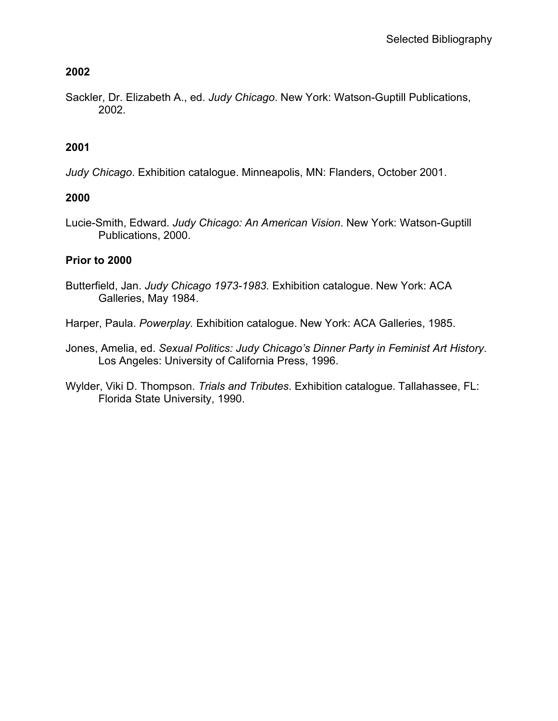### **2002**

Sackler, Dr. Elizabeth A., ed. *Judy Chicago*. New York: Watson-Guptill Publications, 2002.

### **2001**

*Judy Chicago*. Exhibition catalogue. Minneapolis, MN: Flanders, October 2001.

### **2000**

Lucie-Smith, Edward. *Judy Chicago: An American Vision*. New York: Watson-Guptill Publications, 2000.

#### **Prior to 2000**

- Butterfield, Jan. *Judy Chicago 1973-1983.* Exhibition catalogue. New York: ACA Galleries, May 1984.
- Harper, Paula. *Powerplay.* Exhibition catalogue. New York: ACA Galleries, 1985.
- Jones, Amelia, ed. *Sexual Politics: Judy Chicago's Dinner Party in Feminist Art History*. Los Angeles: University of California Press, 1996.
- Wylder, Viki D. Thompson. *Trials and Tributes*. Exhibition catalogue. Tallahassee, FL: Florida State University, 1990.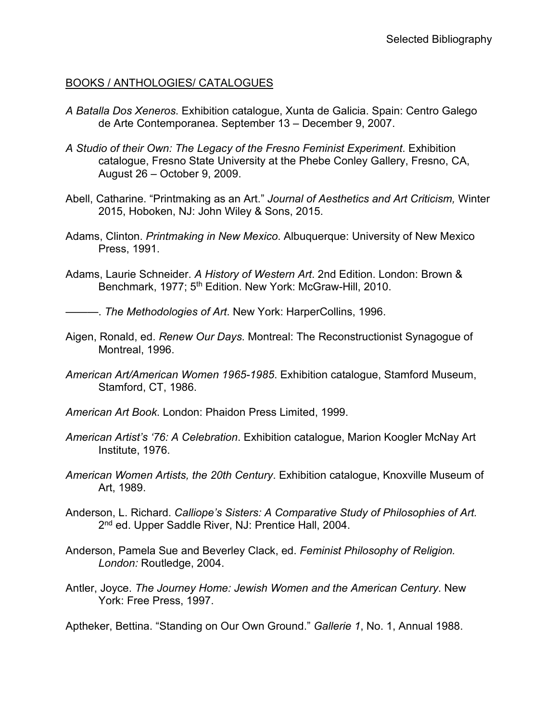#### BOOKS / ANTHOLOGIES/ CATALOGUES

- *A Batalla Dos Xeneros*. Exhibition catalogue, Xunta de Galicia. Spain: Centro Galego de Arte Contemporanea. September 13 – December 9, 2007.
- *A Studio of their Own: The Legacy of the Fresno Feminist Experiment*. Exhibition catalogue, Fresno State University at the Phebe Conley Gallery, Fresno, CA, August 26 – October 9, 2009.
- Abell, Catharine. "Printmaking as an Art." *Journal of Aesthetics and Art Criticism,* Winter 2015, Hoboken, NJ: John Wiley & Sons, 2015.
- Adams, Clinton. *Printmaking in New Mexico*. Albuquerque: University of New Mexico Press, 1991.
- Adams, Laurie Schneider. *A History of Western Art*. 2nd Edition. London: Brown & Benchmark, 1977; 5<sup>th</sup> Edition. New York: McGraw-Hill, 2010.

———. *The Methodologies of Art*. New York: HarperCollins, 1996.

- Aigen, Ronald, ed. *Renew Our Days*. Montreal: The Reconstructionist Synagogue of Montreal, 1996.
- *American Art/American Women 1965-1985*. Exhibition catalogue, Stamford Museum, Stamford, CT, 1986.
- *American Art Book*. London: Phaidon Press Limited, 1999.
- *American Artist's '76: A Celebration*. Exhibition catalogue, Marion Koogler McNay Art Institute, 1976.
- *American Women Artists, the 20th Century*. Exhibition catalogue, Knoxville Museum of Art, 1989.
- Anderson, L. Richard. *Calliope's Sisters: A Comparative Study of Philosophies of Art.* 2<sup>nd</sup> ed. Upper Saddle River, NJ: Prentice Hall, 2004.
- Anderson, Pamela Sue and Beverley Clack, ed. *Feminist Philosophy of Religion. London:* Routledge, 2004.
- Antler, Joyce. *The Journey Home: Jewish Women and the American Century*. New York: Free Press, 1997.

Aptheker, Bettina. "Standing on Our Own Ground." *Gallerie 1*, No. 1, Annual 1988.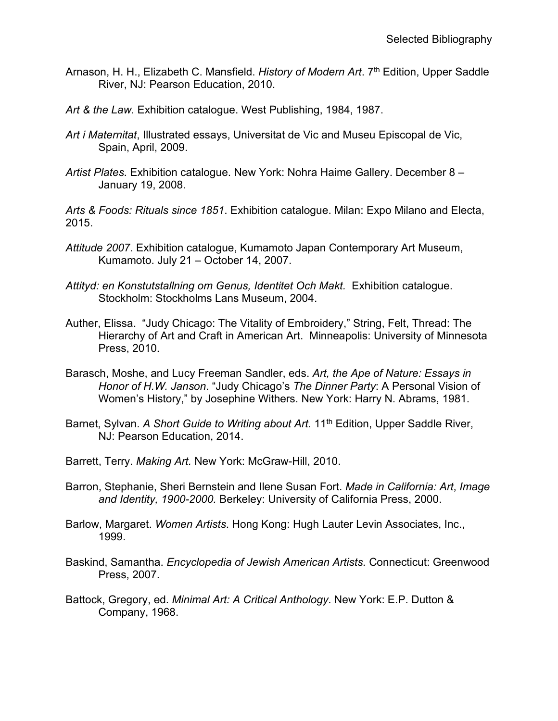- Arnason, H. H., Elizabeth C. Mansfield. *History of Modern Art*. 7th Edition, Upper Saddle River, NJ: Pearson Education, 2010.
- *Art & the Law.* Exhibition catalogue. West Publishing, 1984, 1987.
- *Art i Maternitat*, Illustrated essays, Universitat de Vic and Museu Episcopal de Vic, Spain, April, 2009.
- *Artist Plates*. Exhibition catalogue. New York: Nohra Haime Gallery. December 8 January 19, 2008.

*Arts & Foods: Rituals since 1851*. Exhibition catalogue. Milan: Expo Milano and Electa, 2015.

- *Attitude 2007*. Exhibition catalogue, Kumamoto Japan Contemporary Art Museum, Kumamoto. July 21 – October 14, 2007.
- Attityd: en Konstutstallning om Genus, Identitet Och Makt. Exhibition catalogue. Stockholm: Stockholms Lans Museum, 2004.
- Auther, Elissa. "Judy Chicago: The Vitality of Embroidery," String, Felt, Thread: The Hierarchy of Art and Craft in American Art. Minneapolis: University of Minnesota Press, 2010.
- Barasch, Moshe, and Lucy Freeman Sandler, eds. *Art, the Ape of Nature: Essays in Honor of H.W. Janson*. "Judy Chicago's *The Dinner Party*: A Personal Vision of Women's History," by Josephine Withers. New York: Harry N. Abrams, 1981.
- Barnet, Sylvan. *A Short Guide to Writing about Art.* 11<sup>th</sup> Edition, Upper Saddle River, NJ: Pearson Education, 2014.
- Barrett, Terry. *Making Art.* New York: McGraw-Hill, 2010.
- Barron, Stephanie, Sheri Bernstein and Ilene Susan Fort. *Made in California: Art*, *Image and Identity, 1900-2000.* Berkeley: University of California Press, 2000.
- Barlow, Margaret. *Women Artists*. Hong Kong: Hugh Lauter Levin Associates, Inc., 1999.
- Baskind, Samantha. *Encyclopedia of Jewish American Artists.* Connecticut: Greenwood Press, 2007.
- Battock, Gregory, ed. *Minimal Art: A Critical Anthology*. New York: E.P. Dutton & Company, 1968.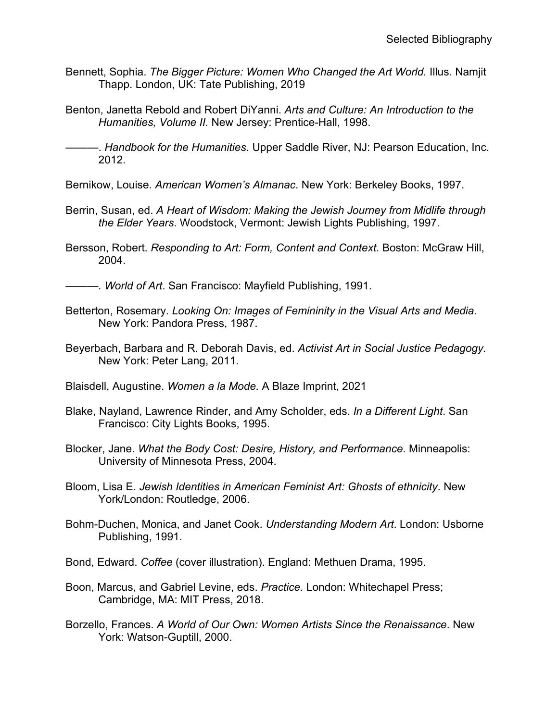- Bennett, Sophia. *The Bigger Picture: Women Who Changed the Art World.* Illus. Namjit Thapp. London, UK: Tate Publishing, 2019
- Benton, Janetta Rebold and Robert DiYanni. *Arts and Culture: An Introduction to the Humanities, Volume II.* New Jersey: Prentice-Hall, 1998.

———. *Handbook for the Humanities.* Upper Saddle River, NJ: Pearson Education, Inc. 2012.

- Bernikow, Louise. *American Women's Almanac*. New York: Berkeley Books, 1997.
- Berrin, Susan, ed. *A Heart of Wisdom: Making the Jewish Journey from Midlife through the Elder Years*. Woodstock, Vermont: Jewish Lights Publishing, 1997.
- Bersson, Robert. *Responding to Art: Form, Content and Context.* Boston: McGraw Hill, 2004.

———*. World of Art*. San Francisco: Mayfield Publishing, 1991.

- Betterton, Rosemary. *Looking On: Images of Femininity in the Visual Arts and Media*. New York: Pandora Press, 1987.
- Beyerbach, Barbara and R. Deborah Davis, ed. *Activist Art in Social Justice Pedagogy.* New York: Peter Lang, 2011.
- Blaisdell, Augustine. *Women a la Mode.* A Blaze Imprint, 2021
- Blake, Nayland, Lawrence Rinder, and Amy Scholder, eds. *In a Different Light*. San Francisco: City Lights Books, 1995.
- Blocker, Jane. *What the Body Cost: Desire, History, and Performance.* Minneapolis: University of Minnesota Press, 2004.
- Bloom, Lisa E. *Jewish Identities in American Feminist Art: Ghosts of ethnicity*. New York/London: Routledge, 2006.
- Bohm-Duchen, Monica, and Janet Cook. *Understanding Modern Art*. London: Usborne Publishing, 1991.
- Bond, Edward. *Coffee* (cover illustration). England: Methuen Drama, 1995.
- Boon, Marcus, and Gabriel Levine, eds. *Practice.* London: Whitechapel Press; Cambridge, MA: MIT Press, 2018.
- Borzello, Frances. *A World of Our Own: Women Artists Since the Renaissance*. New York: Watson-Guptill, 2000.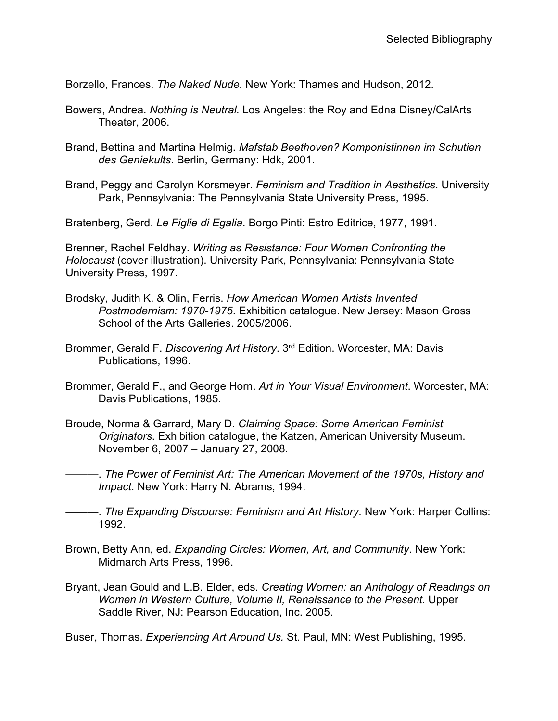Borzello, Frances. *The Naked Nude.* New York: Thames and Hudson, 2012.

- Bowers, Andrea. *Nothing is Neutral.* Los Angeles: the Roy and Edna Disney/CalArts Theater, 2006.
- Brand, Bettina and Martina Helmig. *Mafstab Beethoven? Komponistinnen im Schutien des Geniekults*. Berlin, Germany: Hdk, 2001.
- Brand, Peggy and Carolyn Korsmeyer. *Feminism and Tradition in Aesthetics*. University Park, Pennsylvania: The Pennsylvania State University Press, 1995.

Bratenberg, Gerd. *Le Figlie di Egalia*. Borgo Pinti: Estro Editrice, 1977, 1991.

Brenner, Rachel Feldhay. *Writing as Resistance: Four Women Confronting the Holocaust* (cover illustration). University Park, Pennsylvania: Pennsylvania State University Press, 1997.

- Brodsky, Judith K. & Olin, Ferris. *How American Women Artists Invented Postmodernism: 1970-1975*. Exhibition catalogue. New Jersey: Mason Gross School of the Arts Galleries. 2005/2006.
- Brommer, Gerald F. *Discovering Art History*. 3rd Edition. Worcester, MA: Davis Publications, 1996.
- Brommer, Gerald F., and George Horn. *Art in Your Visual Environment*. Worcester, MA: Davis Publications, 1985.
- Broude, Norma & Garrard, Mary D. *Claiming Space: Some American Feminist Originators*. Exhibition catalogue, the Katzen, American University Museum. November 6, 2007 – January 27, 2008.

———. *The Power of Feminist Art: The American Movement of the 1970s, History and Impact*. New York: Harry N. Abrams, 1994.

- ———. *The Expanding Discourse: Feminism and Art History*. New York: Harper Collins: 1992.
- Brown, Betty Ann, ed. *Expanding Circles: Women, Art, and Community*. New York: Midmarch Arts Press, 1996.
- Bryant, Jean Gould and L.B. Elder, eds. *Creating Women: an Anthology of Readings on Women in Western Culture, Volume II, Renaissance to the Present. Upper* Saddle River, NJ: Pearson Education, Inc. 2005.

Buser, Thomas. *Experiencing Art Around Us.* St. Paul, MN: West Publishing, 1995.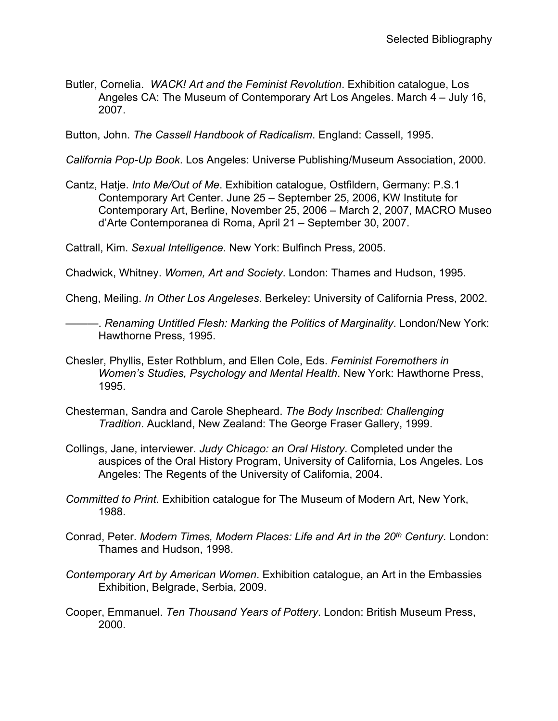Butler, Cornelia. *WACK! Art and the Feminist Revolution*. Exhibition catalogue, Los Angeles CA: The Museum of Contemporary Art Los Angeles. March 4 – July 16, 2007.

Button, John. *The Cassell Handbook of Radicalism*. England: Cassell, 1995.

*California Pop-Up Book*. Los Angeles: Universe Publishing/Museum Association, 2000.

Cantz, Hatje. *Into Me/Out of Me*. Exhibition catalogue, Ostfildern, Germany: P.S.1 Contemporary Art Center. June 25 – September 25, 2006, KW Institute for Contemporary Art, Berline, November 25, 2006 – March 2, 2007, MACRO Museo d'Arte Contemporanea di Roma, April 21 – September 30, 2007.

Cattrall, Kim. *Sexual Intelligence*. New York: Bulfinch Press, 2005.

Chadwick, Whitney. *Women, Art and Society*. London: Thames and Hudson, 1995.

Cheng, Meiling. *In Other Los Angeleses*. Berkeley: University of California Press, 2002.

———. *Renaming Untitled Flesh: Marking the Politics of Marginality*. London/New York: Hawthorne Press, 1995.

- Chesler, Phyllis, Ester Rothblum, and Ellen Cole, Eds. *Feminist Foremothers in Women's Studies, Psychology and Mental Health*. New York: Hawthorne Press, 1995.
- Chesterman, Sandra and Carole Shepheard. *The Body Inscribed: Challenging Tradition*. Auckland, New Zealand: The George Fraser Gallery, 1999.
- Collings, Jane, interviewer. *Judy Chicago: an Oral History*. Completed under the auspices of the Oral History Program, University of California, Los Angeles. Los Angeles: The Regents of the University of California, 2004.
- *Committed to Print.* Exhibition catalogue for The Museum of Modern Art, New York, 1988.
- Conrad, Peter. *Modern Times, Modern Places: Life and Art in the 20th Century*. London: Thames and Hudson, 1998.
- *Contemporary Art by American Women*. Exhibition catalogue, an Art in the Embassies Exhibition, Belgrade, Serbia, 2009.
- Cooper, Emmanuel. *Ten Thousand Years of Pottery*. London: British Museum Press, 2000.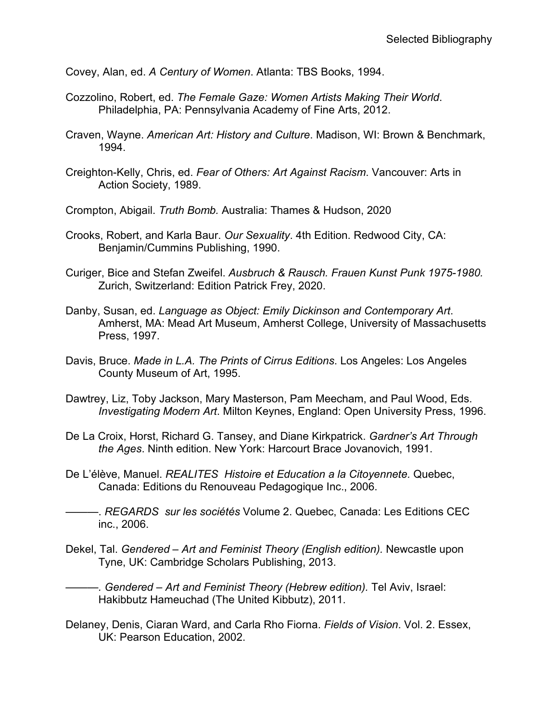Covey, Alan, ed. *A Century of Women*. Atlanta: TBS Books, 1994.

- Cozzolino, Robert, ed. *The Female Gaze: Women Artists Making Their World*. Philadelphia, PA: Pennsylvania Academy of Fine Arts, 2012.
- Craven, Wayne. *American Art: History and Culture*. Madison, WI: Brown & Benchmark, 1994.
- Creighton-Kelly, Chris, ed. *Fear of Others: Art Against Racism*. Vancouver: Arts in Action Society, 1989.
- Crompton, Abigail. *Truth Bomb.* Australia: Thames & Hudson, 2020
- Crooks, Robert, and Karla Baur. *Our Sexuality*. 4th Edition. Redwood City, CA: Benjamin/Cummins Publishing, 1990.
- Curiger, Bice and Stefan Zweifel. *Ausbruch & Rausch. Frauen Kunst Punk 1975-1980.*  Zurich, Switzerland: Edition Patrick Frey, 2020.
- Danby, Susan, ed. *Language as Object: Emily Dickinson and Contemporary Art*. Amherst, MA: Mead Art Museum, Amherst College, University of Massachusetts Press, 1997.
- Davis, Bruce. *Made in L.A. The Prints of Cirrus Editions*. Los Angeles: Los Angeles County Museum of Art, 1995.
- Dawtrey, Liz, Toby Jackson, Mary Masterson, Pam Meecham, and Paul Wood, Eds. *Investigating Modern Art*. Milton Keynes, England: Open University Press, 1996.
- De La Croix, Horst, Richard G. Tansey, and Diane Kirkpatrick. *Gardner's Art Through the Ages*. Ninth edition. New York: Harcourt Brace Jovanovich, 1991.
- De L'élève, Manuel. *REALITES Histoire et Education a la Citoyennete.* Quebec, Canada: Editions du Renouveau Pedagogique Inc., 2006.
- ———. *REGARDS sur les sociétés* Volume 2. Quebec, Canada: Les Editions CEC inc., 2006.
- Dekel, Tal. *Gendered – Art and Feminist Theory (English edition).* Newcastle upon Tyne, UK: Cambridge Scholars Publishing, 2013.
- *———. Gendered – Art and Feminist Theory (Hebrew edition).* Tel Aviv, Israel: Hakibbutz Hameuchad (The United Kibbutz), 2011.
- Delaney, Denis, Ciaran Ward, and Carla Rho Fiorna. *Fields of Vision*. Vol. 2. Essex, UK: Pearson Education, 2002.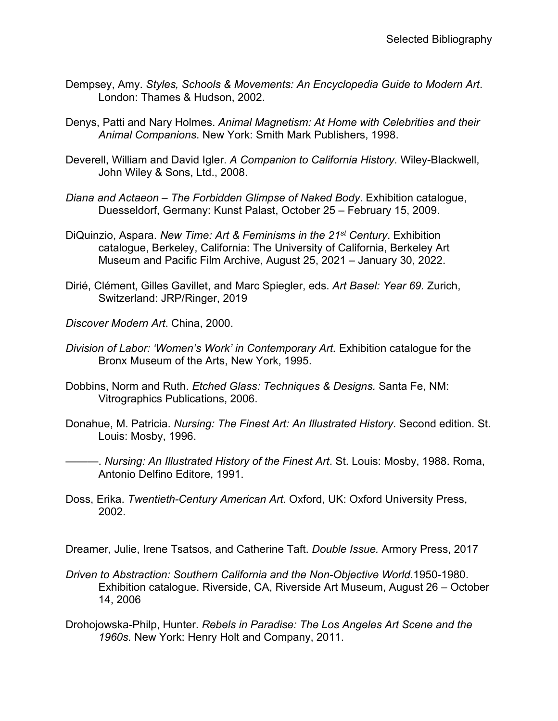- Dempsey, Amy. *Styles, Schools & Movements: An Encyclopedia Guide to Modern Art*. London: Thames & Hudson, 2002.
- Denys, Patti and Nary Holmes. *Animal Magnetism: At Home with Celebrities and their Animal Companions*. New York: Smith Mark Publishers, 1998.
- Deverell, William and David Igler. *A Companion to California History.* Wiley-Blackwell, John Wiley & Sons, Ltd., 2008.
- *Diana and Actaeon – The Forbidden Glimpse of Naked Body*. Exhibition catalogue, Duesseldorf, Germany: Kunst Palast, October 25 – February 15, 2009.
- DiQuinzio, Aspara. *New Time: Art & Feminisms in the 21st Century*. Exhibition catalogue, Berkeley, California: The University of California, Berkeley Art Museum and Pacific Film Archive, August 25, 2021 – January 30, 2022.
- Dirié, Clément, Gilles Gavillet, and Marc Spiegler, eds. *Art Basel: Year 69.* Zurich, Switzerland: JRP/Ringer, 2019
- *Discover Modern Art*. China, 2000.
- *Division of Labor: 'Women's Work' in Contemporary Art.* Exhibition catalogue for the Bronx Museum of the Arts, New York, 1995.
- Dobbins, Norm and Ruth. *Etched Glass: Techniques & Designs.* Santa Fe, NM: Vitrographics Publications, 2006.
- Donahue, M. Patricia. *Nursing: The Finest Art: An Illustrated History*. Second edition. St. Louis: Mosby, 1996.
- ———. *Nursing: An Illustrated History of the Finest Art*. St. Louis: Mosby, 1988. Roma, Antonio Delfino Editore, 1991.
- Doss, Erika. *Twentieth-Century American Art*. Oxford, UK: Oxford University Press, 2002.

Dreamer, Julie, Irene Tsatsos, and Catherine Taft. *Double Issue.* Armory Press, 2017

- *Driven to Abstraction: Southern California and the Non-Objective World.*1950-1980. Exhibition catalogue. Riverside, CA, Riverside Art Museum, August 26 – October 14, 2006
- Drohojowska-Philp, Hunter. *Rebels in Paradise: The Los Angeles Art Scene and the 1960s.* New York: Henry Holt and Company, 2011.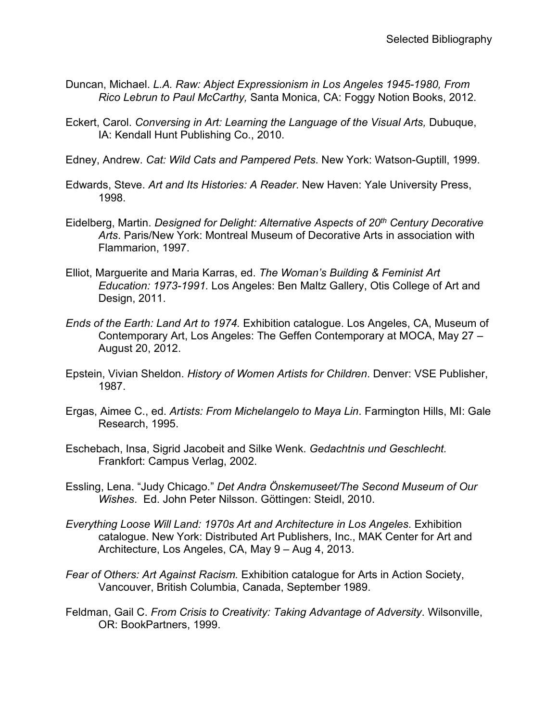- Duncan, Michael. *L.A. Raw: Abject Expressionism in Los Angeles 1945-1980, From Rico Lebrun to Paul McCarthy,* Santa Monica, CA: Foggy Notion Books, 2012.
- Eckert, Carol. *Conversing in Art: Learning the Language of the Visual Arts,* Dubuque, IA: Kendall Hunt Publishing Co., 2010.
- Edney, Andrew. *Cat: Wild Cats and Pampered Pets*. New York: Watson-Guptill, 1999.
- Edwards, Steve. *Art and Its Histories: A Reader*. New Haven: Yale University Press, 1998.
- Eidelberg, Martin. *Designed for Delight: Alternative Aspects of 20th Century Decorative Arts*. Paris/New York: Montreal Museum of Decorative Arts in association with Flammarion, 1997.
- Elliot, Marguerite and Maria Karras, ed. *The Woman's Building & Feminist Art Education: 1973-1991.* Los Angeles: Ben Maltz Gallery, Otis College of Art and Design, 2011.
- *Ends of the Earth: Land Art to 1974.* Exhibition catalogue. Los Angeles, CA, Museum of Contemporary Art, Los Angeles: The Geffen Contemporary at MOCA, May 27 – August 20, 2012.
- Epstein, Vivian Sheldon. *History of Women Artists for Children*. Denver: VSE Publisher, 1987.
- Ergas, Aimee C., ed. *Artists: From Michelangelo to Maya Lin*. Farmington Hills, MI: Gale Research, 1995.
- Eschebach, Insa, Sigrid Jacobeit and Silke Wenk. *Gedachtnis und Geschlecht.* Frankfort: Campus Verlag, 2002.
- Essling, Lena. "Judy Chicago." *Det Andra Önskemuseet/The Second Museum of Our Wishes*. Ed. John Peter Nilsson. Göttingen: Steidl, 2010.
- *Everything Loose Will Land: 1970s Art and Architecture in Los Angeles*. Exhibition catalogue. New York: Distributed Art Publishers, Inc., MAK Center for Art and Architecture, Los Angeles, CA, May 9 – Aug 4, 2013.
- *Fear of Others: Art Against Racism.* Exhibition catalogue for Arts in Action Society, Vancouver, British Columbia, Canada, September 1989.
- Feldman, Gail C. *From Crisis to Creativity: Taking Advantage of Adversity*. Wilsonville, OR: BookPartners, 1999.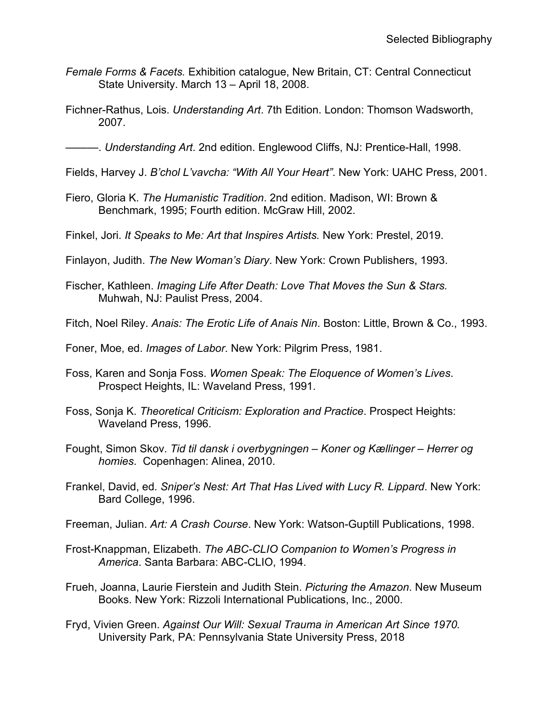- *Female Forms & Facets.* Exhibition catalogue, New Britain, CT: Central Connecticut State University. March 13 – April 18, 2008.
- Fichner-Rathus, Lois. *Understanding Art*. 7th Edition. London: Thomson Wadsworth, 2007.

———. *Understanding Art*. 2nd edition. Englewood Cliffs, NJ: Prentice-Hall, 1998.

- Fields, Harvey J. *B'chol L'vavcha: "With All Your Heart"*. New York: UAHC Press, 2001.
- Fiero, Gloria K. *The Humanistic Tradition*. 2nd edition. Madison, WI: Brown & Benchmark, 1995; Fourth edition. McGraw Hill, 2002.
- Finkel, Jori. *It Speaks to Me: Art that Inspires Artists.* New York: Prestel, 2019.
- Finlayon, Judith. *The New Woman's Diary*. New York: Crown Publishers, 1993.
- Fischer, Kathleen. *Imaging Life After Death: Love That Moves the Sun & Stars.* Muhwah, NJ: Paulist Press, 2004.
- Fitch, Noel Riley. *Anais: The Erotic Life of Anais Nin*. Boston: Little, Brown & Co., 1993.
- Foner, Moe, ed. *Images of Labor*. New York: Pilgrim Press, 1981.
- Foss, Karen and Sonja Foss. *Women Speak: The Eloquence of Women's Lives*. Prospect Heights, IL: Waveland Press, 1991.
- Foss, Sonja K. *Theoretical Criticism: Exploration and Practice*. Prospect Heights: Waveland Press, 1996.
- Fought, Simon Skov. *Tid til dansk i overbygningen – Koner og Kællinger – Herrer og homies*. Copenhagen: Alinea, 2010.
- Frankel, David, ed. *Sniper's Nest: Art That Has Lived with Lucy R. Lippard*. New York: Bard College, 1996.
- Freeman, Julian. *Art: A Crash Course*. New York: Watson-Guptill Publications, 1998.
- Frost-Knappman, Elizabeth. *The ABC-CLIO Companion to Women's Progress in America*. Santa Barbara: ABC-CLIO, 1994.
- Frueh, Joanna, Laurie Fierstein and Judith Stein. *Picturing the Amazon*. New Museum Books. New York: Rizzoli International Publications, Inc., 2000.
- Fryd, Vivien Green. *Against Our Will: Sexual Trauma in American Art Since 1970.*  University Park, PA: Pennsylvania State University Press, 2018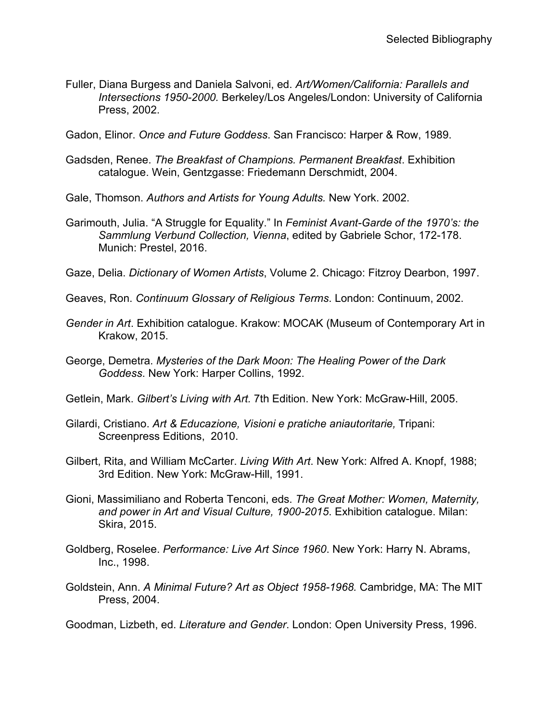Fuller, Diana Burgess and Daniela Salvoni, ed. *Art/Women/California: Parallels and Intersections 1950-2000.* Berkeley/Los Angeles/London: University of California Press, 2002.

Gadon, Elinor. *Once and Future Goddess*. San Francisco: Harper & Row, 1989.

Gadsden, Renee. *The Breakfast of Champions. Permanent Breakfast*. Exhibition catalogue. Wein, Gentzgasse: Friedemann Derschmidt, 2004.

Gale, Thomson. *Authors and Artists for Young Adults.* New York. 2002.

- Garimouth, Julia. "A Struggle for Equality." In *Feminist Avant-Garde of the 1970's: the Sammlung Verbund Collection, Vienna*, edited by Gabriele Schor, 172-178. Munich: Prestel, 2016.
- Gaze, Delia. *Dictionary of Women Artists*, Volume 2. Chicago: Fitzroy Dearbon, 1997.

Geaves, Ron. *Continuum Glossary of Religious Terms*. London: Continuum, 2002.

- *Gender in Art*. Exhibition catalogue. Krakow: MOCAK (Museum of Contemporary Art in Krakow, 2015.
- George, Demetra. *Mysteries of the Dark Moon: The Healing Power of the Dark Goddess*. New York: Harper Collins, 1992.
- Getlein, Mark. *Gilbert's Living with Art.* 7th Edition. New York: McGraw-Hill, 2005.
- Gilardi, Cristiano. *Art & Educazione, Visioni e pratiche aniautoritarie,* Tripani: Screenpress Editions, 2010.
- Gilbert, Rita, and William McCarter. *Living With Art*. New York: Alfred A. Knopf, 1988; 3rd Edition. New York: McGraw-Hill, 1991.
- Gioni, Massimiliano and Roberta Tenconi, eds. *The Great Mother: Women, Maternity, and power in Art and Visual Culture, 1900-2015*. Exhibition catalogue. Milan: Skira, 2015.
- Goldberg, Roselee. *Performance: Live Art Since 1960*. New York: Harry N. Abrams, Inc., 1998.
- Goldstein, Ann. *A Minimal Future? Art as Object 1958-1968.* Cambridge, MA: The MIT Press, 2004.

Goodman, Lizbeth, ed. *Literature and Gender*. London: Open University Press, 1996.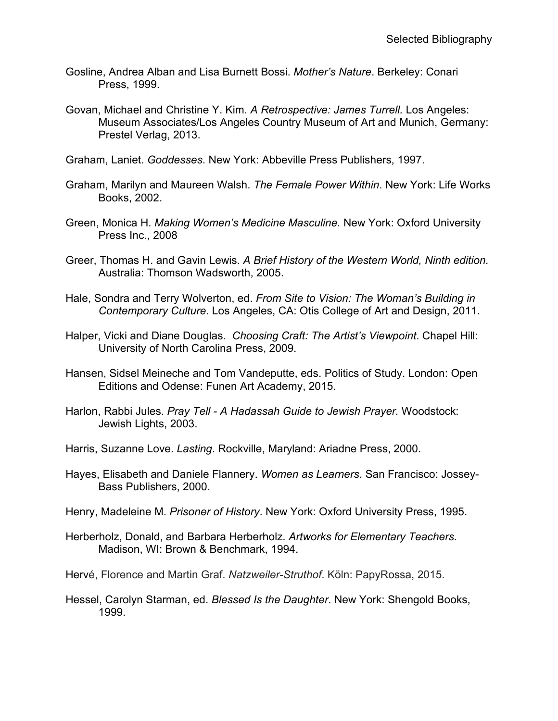- Gosline, Andrea Alban and Lisa Burnett Bossi. *Mother's Nature*. Berkeley: Conari Press, 1999.
- Govan, Michael and Christine Y. Kim. *A Retrospective: James Turrell.* Los Angeles: Museum Associates/Los Angeles Country Museum of Art and Munich, Germany: Prestel Verlag, 2013.
- Graham, Laniet. *Goddesses*. New York: Abbeville Press Publishers, 1997.
- Graham, Marilyn and Maureen Walsh. *The Female Power Within*. New York: Life Works Books, 2002.
- Green, Monica H. *Making Women's Medicine Masculine.* New York: Oxford University Press Inc., 2008
- Greer, Thomas H. and Gavin Lewis. *A Brief History of the Western World, Ninth edition.* Australia: Thomson Wadsworth, 2005.
- Hale, Sondra and Terry Wolverton, ed. *From Site to Vision: The Woman's Building in Contemporary Culture.* Los Angeles, CA: Otis College of Art and Design, 2011.
- Halper, Vicki and Diane Douglas. *Choosing Craft: The Artist's Viewpoint*. Chapel Hill: University of North Carolina Press, 2009.
- Hansen, Sidsel Meineche and Tom Vandeputte, eds. Politics of Study. London: Open Editions and Odense: Funen Art Academy, 2015.
- Harlon, Rabbi Jules. *Pray Tell A Hadassah Guide to Jewish Prayer.* Woodstock: Jewish Lights, 2003.
- Harris, Suzanne Love. *Lasting*. Rockville, Maryland: Ariadne Press, 2000.
- Hayes, Elisabeth and Daniele Flannery. *Women as Learners*. San Francisco: Jossey-Bass Publishers, 2000.
- Henry, Madeleine M. *Prisoner of History*. New York: Oxford University Press, 1995.
- Herberholz, Donald, and Barbara Herberholz. *Artworks for Elementary Teachers*. Madison, WI: Brown & Benchmark, 1994.
- Hervé, Florence and Martin Graf. *Natzweiler-Struthof*. Köln: PapyRossa, 2015.
- Hessel, Carolyn Starman, ed. *Blessed Is the Daughter*. New York: Shengold Books, 1999.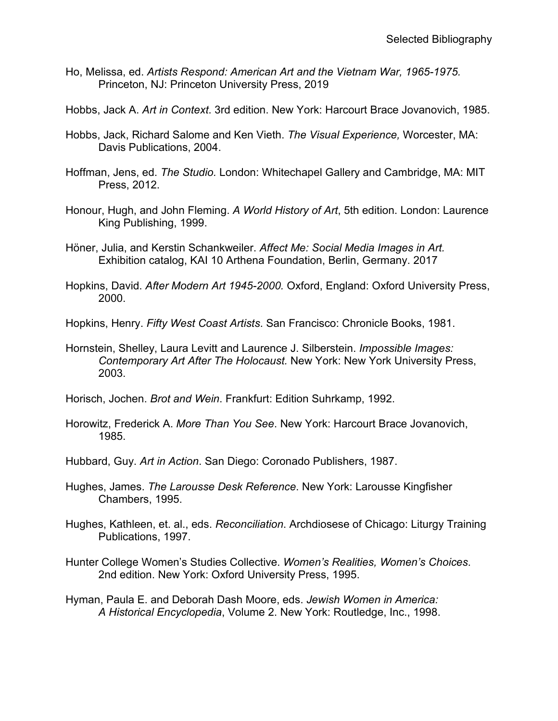- Ho, Melissa, ed. *Artists Respond: American Art and the Vietnam War, 1965-1975.*  Princeton, NJ: Princeton University Press, 2019
- Hobbs, Jack A. *Art in Context*. 3rd edition. New York: Harcourt Brace Jovanovich, 1985.
- Hobbs, Jack, Richard Salome and Ken Vieth. *The Visual Experience,* Worcester, MA: Davis Publications, 2004.
- Hoffman, Jens, ed. *The Studio.* London: Whitechapel Gallery and Cambridge, MA: MIT Press, 2012.
- Honour, Hugh, and John Fleming. *A World History of Art*, 5th edition. London: Laurence King Publishing, 1999.
- Höner, Julia, and Kerstin Schankweiler. *Affect Me: Social Media Images in Art.*  Exhibition catalog, KAI 10 Arthena Foundation, Berlin, Germany. 2017
- Hopkins, David. *After Modern Art 1945-2000.* Oxford, England: Oxford University Press, 2000.
- Hopkins, Henry. *Fifty West Coast Artists*. San Francisco: Chronicle Books, 1981.
- Hornstein, Shelley, Laura Levitt and Laurence J. Silberstein. *Impossible Images: Contemporary Art After The Holocaust.* New York: New York University Press, 2003.
- Horisch, Jochen. *Brot and Wein*. Frankfurt: Edition Suhrkamp, 1992.
- Horowitz, Frederick A. *More Than You See*. New York: Harcourt Brace Jovanovich, 1985.
- Hubbard, Guy. *Art in Action*. San Diego: Coronado Publishers, 1987.
- Hughes, James. *The Larousse Desk Reference*. New York: Larousse Kingfisher Chambers, 1995.
- Hughes, Kathleen, et. al., eds. *Reconciliation*. Archdiosese of Chicago: Liturgy Training Publications, 1997.
- Hunter College Women's Studies Collective. *Women's Realities, Women's Choices*. 2nd edition. New York: Oxford University Press, 1995.
- Hyman, Paula E. and Deborah Dash Moore, eds. *Jewish Women in America: A Historical Encyclopedia*, Volume 2. New York: Routledge, Inc., 1998.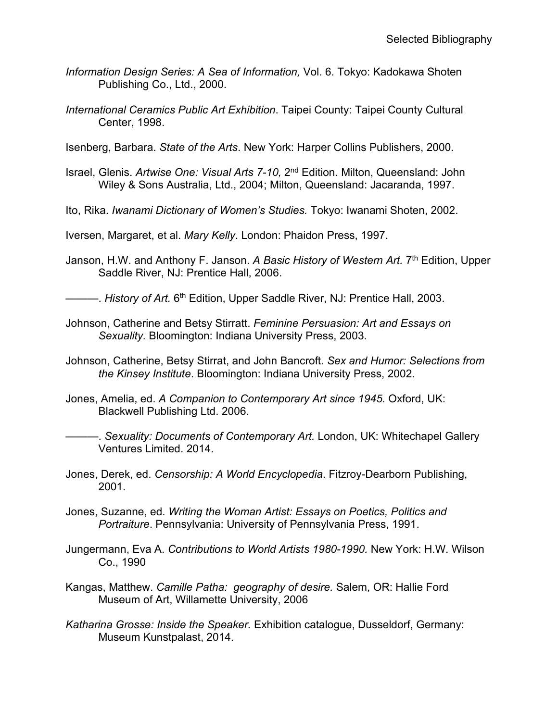- *Information Design Series: A Sea of Information,* Vol. 6. Tokyo: Kadokawa Shoten Publishing Co., Ltd., 2000.
- *International Ceramics Public Art Exhibition*. Taipei County: Taipei County Cultural Center, 1998.
- Isenberg, Barbara. *State of the Arts*. New York: Harper Collins Publishers, 2000.
- Israel, Glenis. *Artwise One: Visual Arts 7-10,* 2nd Edition. Milton, Queensland: John Wiley & Sons Australia, Ltd., 2004; Milton, Queensland: Jacaranda, 1997.
- Ito, Rika. *Iwanami Dictionary of Women's Studies.* Tokyo: Iwanami Shoten, 2002.
- Iversen, Margaret, et al. *Mary Kelly*. London: Phaidon Press, 1997.
- Janson, H.W. and Anthony F. Janson. *A Basic History of Western Art.* 7th Edition, Upper Saddle River, NJ: Prentice Hall, 2006.

——. *History of Art.* 6<sup>th</sup> Edition, Upper Saddle River, NJ: Prentice Hall, 2003.

- Johnson, Catherine and Betsy Stirratt. *Feminine Persuasion: Art and Essays on Sexuality.* Bloomington: Indiana University Press, 2003.
- Johnson, Catherine, Betsy Stirrat, and John Bancroft. *Sex and Humor: Selections from the Kinsey Institute*. Bloomington: Indiana University Press, 2002.
- Jones, Amelia, ed. *A Companion to Contemporary Art since 1945.* Oxford, UK: Blackwell Publishing Ltd. 2006.
- ———. *Sexuality: Documents of Contemporary Art.* London, UK: Whitechapel Gallery Ventures Limited. 2014.
- Jones, Derek, ed. *Censorship: A World Encyclopedia*. Fitzroy-Dearborn Publishing, 2001.
- Jones, Suzanne, ed. *Writing the Woman Artist: Essays on Poetics, Politics and Portraiture*. Pennsylvania: University of Pennsylvania Press, 1991.
- Jungermann, Eva A. *Contributions to World Artists 1980-1990.* New York: H.W. Wilson Co., 1990
- Kangas, Matthew. *Camille Patha: geography of desire.* Salem, OR: Hallie Ford Museum of Art, Willamette University, 2006
- *Katharina Grosse: Inside the Speaker.* Exhibition catalogue, Dusseldorf, Germany: Museum Kunstpalast, 2014.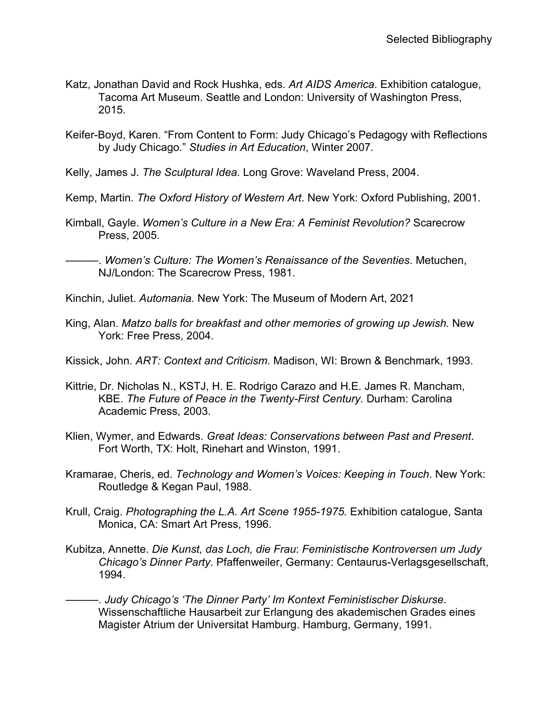- Katz, Jonathan David and Rock Hushka, eds. *Art AIDS America*. Exhibition catalogue, Tacoma Art Museum. Seattle and London: University of Washington Press, 2015.
- Keifer-Boyd, Karen. "From Content to Form: Judy Chicago's Pedagogy with Reflections by Judy Chicago." *Studies in Art Education*, Winter 2007*.*

Kelly, James J. *The Sculptural Idea*. Long Grove: Waveland Press, 2004.

Kemp, Martin. *The Oxford History of Western Art*. New York: Oxford Publishing, 2001.

Kimball, Gayle. *Women's Culture in a New Era: A Feminist Revolution?* Scarecrow Press, 2005.

Kinchin, Juliet. *Automania.* New York: The Museum of Modern Art, 2021

King, Alan. *Matzo balls for breakfast and other memories of growing up Jewish.* New York: Free Press, 2004.

Kissick, John. *ART: Context and Criticism*. Madison, WI: Brown & Benchmark, 1993.

- Kittrie, Dr. Nicholas N., KSTJ, H. E. Rodrigo Carazo and H.E. James R. Mancham, KBE. *The Future of Peace in the Twenty-First Century.* Durham: Carolina Academic Press, 2003.
- Klien, Wymer, and Edwards. *Great Ideas: Conservations between Past and Present*. Fort Worth, TX: Holt, Rinehart and Winston, 1991.
- Kramarae, Cheris, ed. *Technology and Women's Voices: Keeping in Touch*. New York: Routledge & Kegan Paul, 1988.
- Krull, Craig. *Photographing the L.A. Art Scene 1955-1975.* Exhibition catalogue, Santa Monica, CA: Smart Art Press, 1996.
- Kubitza, Annette. *Die Kunst, das Loch, die Frau*: *Feministische Kontroversen um Judy Chicago's Dinner Party*. Pfaffenweiler, Germany: Centaurus-Verlagsgesellschaft, 1994.
- ———. *Judy Chicago's 'The Dinner Party' Im Kontext Feministischer Diskurse*. Wissenschaftliche Hausarbeit zur Erlangung des akademischen Grades eines Magister Atrium der Universitat Hamburg. Hamburg, Germany, 1991.

<sup>———.</sup> *Women's Culture: The Women's Renaissance of the Seventies*. Metuchen, NJ/London: The Scarecrow Press, 1981.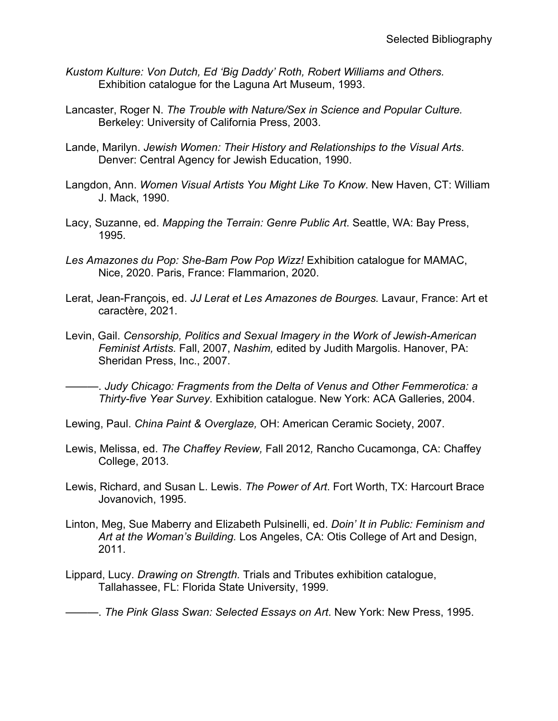- *Kustom Kulture: Von Dutch, Ed 'Big Daddy' Roth, Robert Williams and Others.* Exhibition catalogue for the Laguna Art Museum, 1993.
- Lancaster, Roger N. *The Trouble with Nature/Sex in Science and Popular Culture.* Berkeley: University of California Press, 2003.
- Lande, Marilyn. *Jewish Women: Their History and Relationships to the Visual Arts*. Denver: Central Agency for Jewish Education, 1990.
- Langdon, Ann. *Women Visual Artists You Might Like To Know*. New Haven, CT: William J. Mack, 1990.
- Lacy, Suzanne, ed. *Mapping the Terrain: Genre Public Art*. Seattle, WA: Bay Press, 1995.
- *Les Amazones du Pop: She-Bam Pow Pop Wizz!* Exhibition catalogue for MAMAC, Nice, 2020. Paris, France: Flammarion, 2020.
- Lerat, Jean-François, ed. *JJ Lerat et Les Amazones de Bourges.* Lavaur, France: Art et caractère, 2021.
- Levin, Gail. *Censorship, Politics and Sexual Imagery in the Work of Jewish-American Feminist Artists.* Fall, 2007, *Nashim,* edited by Judith Margolis. Hanover, PA: Sheridan Press, Inc., 2007.

———. *Judy Chicago: Fragments from the Delta of Venus and Other Femmerotica: a Thirty-five Year Survey*. Exhibition catalogue. New York: ACA Galleries, 2004.

Lewing, Paul. *China Paint & Overglaze,* OH: American Ceramic Society, 2007.

- Lewis, Melissa, ed. *The Chaffey Review,* Fall 2012*,* Rancho Cucamonga, CA: Chaffey College, 2013.
- Lewis, Richard, and Susan L. Lewis. *The Power of Art*. Fort Worth, TX: Harcourt Brace Jovanovich, 1995.
- Linton, Meg, Sue Maberry and Elizabeth Pulsinelli, ed. *Doin' It in Public: Feminism and Art at the Woman's Building.* Los Angeles, CA: Otis College of Art and Design, 2011.
- Lippard, Lucy. *Drawing on Strength.* Trials and Tributes exhibition catalogue, Tallahassee, FL: Florida State University, 1999.

———. *The Pink Glass Swan: Selected Essays on Art*. New York: New Press, 1995.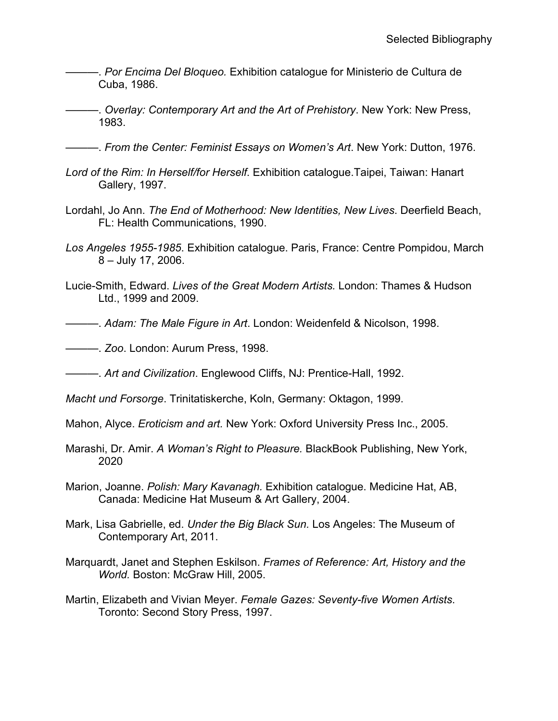- ———. *Por Encima Del Bloqueo.* Exhibition catalogue for Ministerio de Cultura de Cuba, 1986.
- ———. *Overlay: Contemporary Art and the Art of Prehistory*. New York: New Press, 1983.

———. *From the Center: Feminist Essays on Women's Art*. New York: Dutton, 1976.

- *Lord of the Rim: In Herself/for Herself*. Exhibition catalogue.Taipei, Taiwan: Hanart Gallery, 1997.
- Lordahl, Jo Ann. *The End of Motherhood: New Identities, New Lives*. Deerfield Beach, FL: Health Communications, 1990.
- *Los Angeles 1955-1985*. Exhibition catalogue. Paris, France: Centre Pompidou, March 8 – July 17, 2006.
- Lucie-Smith, Edward. *Lives of the Great Modern Artists.* London: Thames & Hudson Ltd., 1999 and 2009.
- ———. *Adam: The Male Figure in Art*. London: Weidenfeld & Nicolson, 1998.
- ———. *Zoo*. London: Aurum Press, 1998.
- ———. *Art and Civilization*. Englewood Cliffs, NJ: Prentice-Hall, 1992.
- *Macht und Forsorge*. Trinitatiskerche, Koln, Germany: Oktagon, 1999.
- Mahon, Alyce. *Eroticism and art.* New York: Oxford University Press Inc., 2005.
- Marashi, Dr. Amir. *A Woman's Right to Pleasure.* BlackBook Publishing, New York, 2020
- Marion, Joanne. *Polish: Mary Kavanagh.* Exhibition catalogue. Medicine Hat, AB, Canada: Medicine Hat Museum & Art Gallery, 2004.
- Mark, Lisa Gabrielle, ed. *Under the Big Black Sun.* Los Angeles: The Museum of Contemporary Art, 2011.
- Marquardt, Janet and Stephen Eskilson. *Frames of Reference: Art, History and the World.* Boston: McGraw Hill, 2005.
- Martin, Elizabeth and Vivian Meyer. *Female Gazes: Seventy-five Women Artists*. Toronto: Second Story Press, 1997.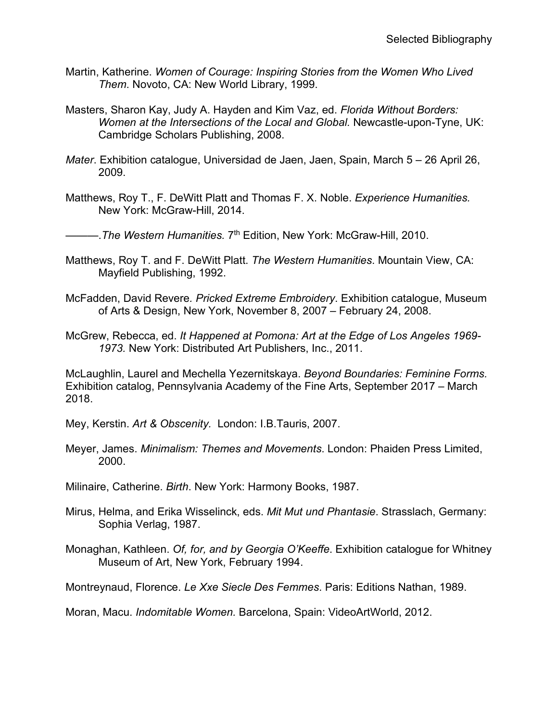- Martin, Katherine. *Women of Courage: Inspiring Stories from the Women Who Lived Them*. Novoto, CA: New World Library, 1999.
- Masters, Sharon Kay, Judy A. Hayden and Kim Vaz, ed. *Florida Without Borders: Women at the Intersections of the Local and Global.* Newcastle-upon-Tyne, UK: Cambridge Scholars Publishing, 2008.
- *Mater*. Exhibition catalogue, Universidad de Jaen, Jaen, Spain, March 5 26 April 26, 2009.
- Matthews, Roy T., F. DeWitt Platt and Thomas F. X. Noble. *Experience Humanities.* New York: McGraw-Hill, 2014.

———.*The Western Humanities.* 7th Edition, New York: McGraw-Hill, 2010.

- Matthews, Roy T. and F. DeWitt Platt. *The Western Humanities*. Mountain View, CA: Mayfield Publishing, 1992.
- McFadden, David Revere*. Pricked Extreme Embroidery*. Exhibition catalogue, Museum of Arts & Design, New York, November 8, 2007 – February 24, 2008.
- McGrew, Rebecca, ed. *It Happened at Pomona: Art at the Edge of Los Angeles 1969- 1973.* New York: Distributed Art Publishers, Inc., 2011.

McLaughlin, Laurel and Mechella Yezernitskaya. *Beyond Boundaries: Feminine Forms.*  Exhibition catalog, Pennsylvania Academy of the Fine Arts, September 2017 – March 2018.

Mey, Kerstin. *Art & Obscenity.* London: I.B.Tauris, 2007.

Meyer, James. *Minimalism: Themes and Movements*. London: Phaiden Press Limited, 2000.

Milinaire, Catherine. *Birth*. New York: Harmony Books, 1987.

- Mirus, Helma, and Erika Wisselinck, eds. *Mit Mut und Phantasie*. Strasslach, Germany: Sophia Verlag, 1987.
- Monaghan, Kathleen. *Of, for, and by Georgia O'Keeffe*. Exhibition catalogue for Whitney Museum of Art, New York, February 1994.

Montreynaud, Florence. *Le Xxe Siecle Des Femmes*. Paris: Editions Nathan, 1989.

Moran, Macu. *Indomitable Women.* Barcelona, Spain: VideoArtWorld, 2012.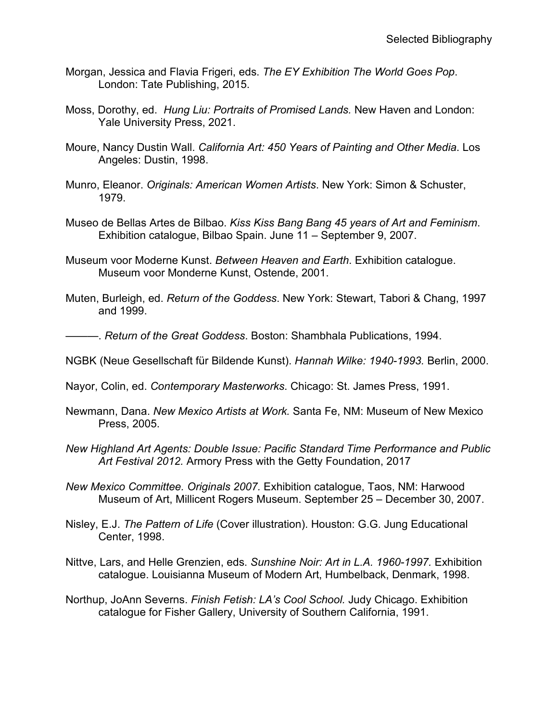- Morgan, Jessica and Flavia Frigeri, eds. *The EY Exhibition The World Goes Pop*. London: Tate Publishing, 2015.
- Moss, Dorothy, ed. *Hung Liu: Portraits of Promised Lands.* New Haven and London: Yale University Press, 2021.
- Moure, Nancy Dustin Wall. *California Art: 450 Years of Painting and Other Media*. Los Angeles: Dustin, 1998.
- Munro, Eleanor. *Originals: American Women Artists*. New York: Simon & Schuster, 1979.
- Museo de Bellas Artes de Bilbao. *Kiss Kiss Bang Bang 45 years of Art and Feminism*. Exhibition catalogue, Bilbao Spain. June 11 – September 9, 2007.
- Museum voor Moderne Kunst. *Between Heaven and Earth*. Exhibition catalogue. Museum voor Monderne Kunst, Ostende, 2001.
- Muten, Burleigh, ed. *Return of the Goddess*. New York: Stewart, Tabori & Chang, 1997 and 1999.

———. *Return of the Great Goddess*. Boston: Shambhala Publications, 1994.

- NGBK (Neue Gesellschaft für Bildende Kunst). *Hannah Wilke: 1940-1993.* Berlin, 2000.
- Nayor, Colin, ed. *Contemporary Masterworks*. Chicago: St. James Press, 1991.
- Newmann, Dana. *New Mexico Artists at Work.* Santa Fe, NM: Museum of New Mexico Press, 2005.
- *New Highland Art Agents: Double Issue: Pacific Standard Time Performance and Public Art Festival 2012.* Armory Press with the Getty Foundation, 2017
- *New Mexico Committee. Originals 2007.* Exhibition catalogue, Taos, NM: Harwood Museum of Art, Millicent Rogers Museum. September 25 – December 30, 2007.
- Nisley, E.J. *The Pattern of Life* (Cover illustration). Houston: G.G. Jung Educational Center, 1998.
- Nittve, Lars, and Helle Grenzien, eds. *Sunshine Noir: Art in L.A. 1960-1997.* Exhibition catalogue. Louisianna Museum of Modern Art, Humbelback, Denmark, 1998.
- Northup, JoAnn Severns. *Finish Fetish: LA's Cool School.* Judy Chicago. Exhibition catalogue for Fisher Gallery, University of Southern California, 1991.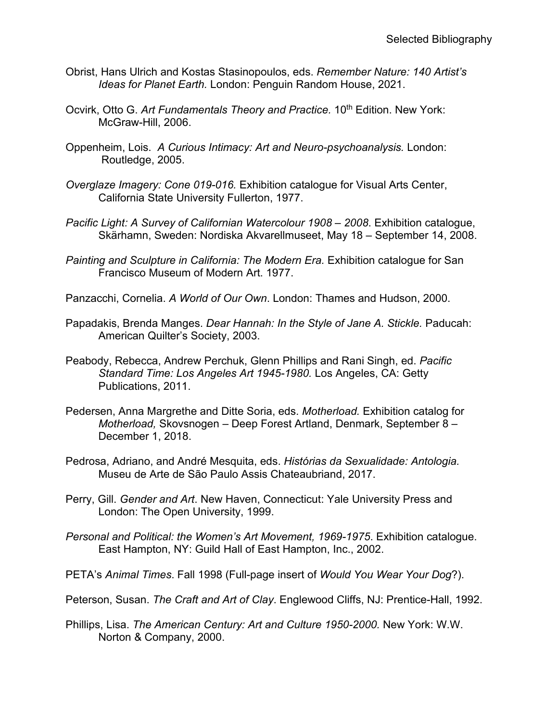- Obrist, Hans Ulrich and Kostas Stasinopoulos, eds. *Remember Nature: 140 Artist's Ideas for Planet Earth.* London: Penguin Random House, 2021.
- Ocvirk, Otto G. Art Fundamentals Theory and Practice. 10<sup>th</sup> Edition. New York: McGraw-Hill, 2006.
- Oppenheim, Lois. *A Curious Intimacy: Art and Neuro-psychoanalysis.* London: Routledge, 2005.
- *Overglaze Imagery: Cone 019-016.* Exhibition catalogue for Visual Arts Center, California State University Fullerton, 1977.
- *Pacific Light: A Survey of Californian Watercolour 1908 – 2008*. Exhibition catalogue, Skärhamn, Sweden: Nordiska Akvarellmuseet, May 18 – September 14, 2008.
- *Painting and Sculpture in California: The Modern Era.* Exhibition catalogue for San Francisco Museum of Modern Art. 1977.
- Panzacchi, Cornelia. *A World of Our Own*. London: Thames and Hudson, 2000.
- Papadakis, Brenda Manges. *Dear Hannah: In the Style of Jane A. Stickle.* Paducah: American Quilter's Society, 2003.
- Peabody, Rebecca, Andrew Perchuk, Glenn Phillips and Rani Singh, ed. *Pacific Standard Time: Los Angeles Art 1945-1980.* Los Angeles, CA: Getty Publications, 2011.
- Pedersen, Anna Margrethe and Ditte Soria, eds. *Motherload.* Exhibition catalog for *Motherload,* Skovsnogen – Deep Forest Artland, Denmark, September 8 – December 1, 2018.
- Pedrosa, Adriano, and André Mesquita, eds. *Histórias da Sexualidade: Antologia.*  Museu de Arte de São Paulo Assis Chateaubriand, 2017.
- Perry, Gill. *Gender and Art*. New Haven, Connecticut: Yale University Press and London: The Open University, 1999.
- *Personal and Political: the Women's Art Movement, 1969-1975*. Exhibition catalogue. East Hampton, NY: Guild Hall of East Hampton, Inc., 2002.
- PETA's *Animal Times*. Fall 1998 (Full-page insert of *Would You Wear Your Dog*?).
- Peterson, Susan. *The Craft and Art of Clay*. Englewood Cliffs, NJ: Prentice-Hall, 1992.
- Phillips, Lisa. *The American Century: Art and Culture 1950-2000.* New York: W.W. Norton & Company, 2000.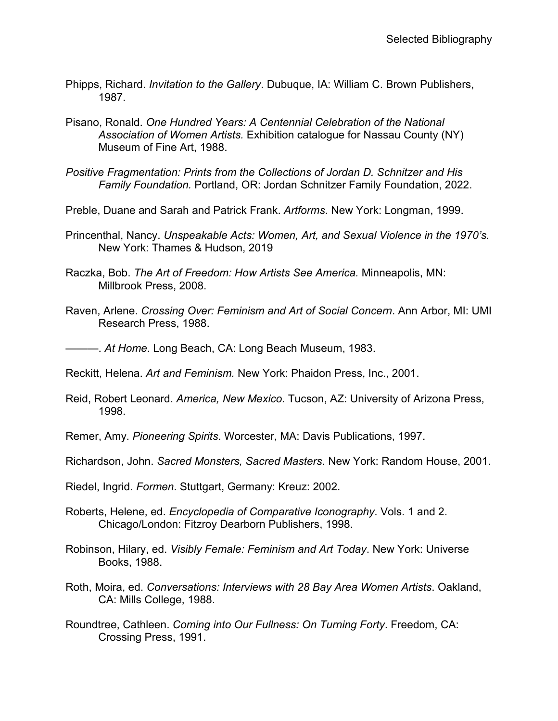- Phipps, Richard. *Invitation to the Gallery*. Dubuque, IA: William C. Brown Publishers, 1987.
- Pisano, Ronald. *One Hundred Years: A Centennial Celebration of the National Association of Women Artists.* Exhibition catalogue for Nassau County (NY) Museum of Fine Art, 1988.
- *Positive Fragmentation: Prints from the Collections of Jordan D. Schnitzer and His Family Foundation.* Portland, OR: Jordan Schnitzer Family Foundation, 2022.
- Preble, Duane and Sarah and Patrick Frank. *Artforms*. New York: Longman, 1999.
- Princenthal, Nancy. *Unspeakable Acts: Women, Art, and Sexual Violence in the 1970's.*  New York: Thames & Hudson, 2019
- Raczka, Bob. *The Art of Freedom: How Artists See America.* Minneapolis, MN: Millbrook Press, 2008.
- Raven, Arlene. *Crossing Over: Feminism and Art of Social Concern*. Ann Arbor, MI: UMI Research Press, 1988.
- ———. *At Home*. Long Beach, CA: Long Beach Museum, 1983.
- Reckitt, Helena. *Art and Feminism.* New York: Phaidon Press, Inc., 2001.
- Reid, Robert Leonard. *America, New Mexico.* Tucson, AZ: University of Arizona Press, 1998.
- Remer, Amy. *Pioneering Spirits*. Worcester, MA: Davis Publications, 1997.
- Richardson, John. *Sacred Monsters, Sacred Masters*. New York: Random House, 2001.
- Riedel, Ingrid. *Formen*. Stuttgart, Germany: Kreuz: 2002.
- Roberts, Helene, ed. *Encyclopedia of Comparative Iconography*. Vols. 1 and 2. Chicago/London: Fitzroy Dearborn Publishers, 1998.
- Robinson, Hilary, ed. *Visibly Female: Feminism and Art Today*. New York: Universe Books, 1988.
- Roth, Moira, ed. *Conversations: Interviews with 28 Bay Area Women Artists*. Oakland, CA: Mills College, 1988.
- Roundtree, Cathleen. *Coming into Our Fullness: On Turning Forty*. Freedom, CA: Crossing Press, 1991.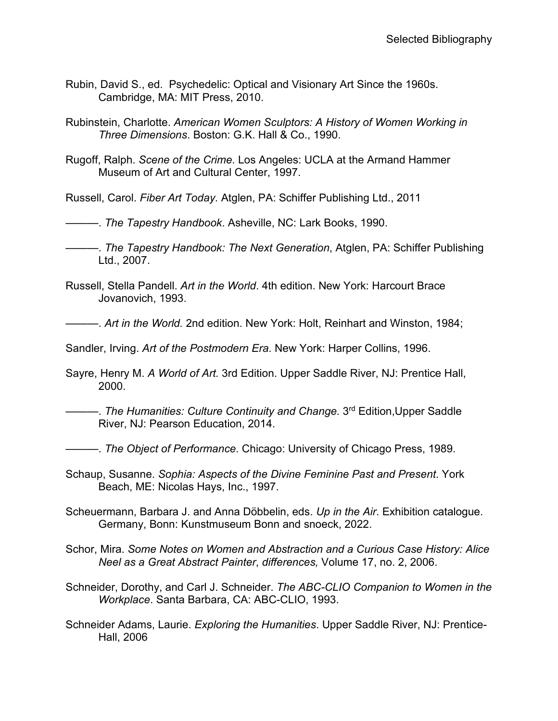- Rubin, David S., ed. Psychedelic: Optical and Visionary Art Since the 1960s. Cambridge, MA: MIT Press, 2010.
- Rubinstein, Charlotte. *American Women Sculptors: A History of Women Working in Three Dimensions*. Boston: G.K. Hall & Co., 1990.
- Rugoff, Ralph. *Scene of the Crime*. Los Angeles: UCLA at the Armand Hammer Museum of Art and Cultural Center, 1997.

Russell, Carol. *Fiber Art Today.* Atglen, PA: Schiffer Publishing Ltd., 2011

———. *The Tapestry Handbook*. Asheville, NC: Lark Books, 1990.

———. *The Tapestry Handbook: The Next Generation*, Atglen, PA: Schiffer Publishing Ltd., 2007.

Russell, Stella Pandell. *Art in the World*. 4th edition. New York: Harcourt Brace Jovanovich, 1993.

———. *Art in the World.* 2nd edition. New York: Holt, Reinhart and Winston, 1984;

Sandler, Irving. *Art of the Postmodern Era*. New York: Harper Collins, 1996.

Sayre, Henry M. *A World of Art.* 3rd Edition. Upper Saddle River, NJ: Prentice Hall, 2000.

- ———. *The Humanities: Culture Continuity and Change.* 3rd Edition,Upper Saddle River, NJ: Pearson Education, 2014.
- ———. *The Object of Performance*. Chicago: University of Chicago Press, 1989.
- Schaup, Susanne. *Sophia: Aspects of the Divine Feminine Past and Present*. York Beach, ME: Nicolas Hays, Inc., 1997.
- Scheuermann, Barbara J. and Anna Dӧbbelin, eds. *Up in the Air*. Exhibition catalogue. Germany, Bonn: Kunstmuseum Bonn and snoeck, 2022.
- Schor, Mira. *Some Notes on Women and Abstraction and a Curious Case History: Alice Neel as a Great Abstract Painter*, *differences,* Volume 17, no. 2, 2006.
- Schneider, Dorothy, and Carl J. Schneider. *The ABC-CLIO Companion to Women in the Workplace*. Santa Barbara, CA: ABC-CLIO, 1993.
- Schneider Adams, Laurie. *Exploring the Humanities*. Upper Saddle River, NJ: Prentice-Hall, 2006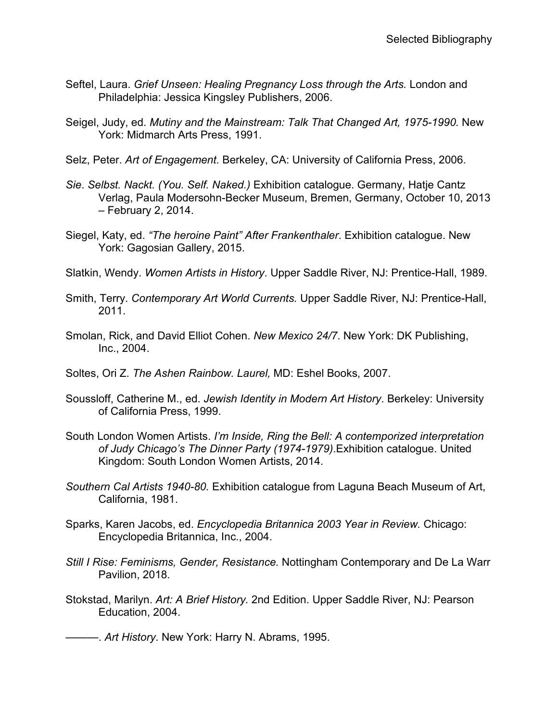- Seftel, Laura. *Grief Unseen: Healing Pregnancy Loss through the Arts.* London and Philadelphia: Jessica Kingsley Publishers, 2006.
- Seigel, Judy, ed. *Mutiny and the Mainstream: Talk That Changed Art, 1975-1990.* New York: Midmarch Arts Press, 1991.
- Selz, Peter. *Art of Engagement.* Berkeley, CA: University of California Press, 2006.
- *Sie*. *Selbst. Nackt. (You. Self. Naked.)* Exhibition catalogue. Germany, Hatje Cantz Verlag, Paula Modersohn-Becker Museum, Bremen, Germany, October 10, 2013 – February 2, 2014.
- Siegel, Katy, ed. *"The heroine Paint" After Frankenthaler*. Exhibition catalogue. New York: Gagosian Gallery, 2015.
- Slatkin, Wendy. *Women Artists in History*. Upper Saddle River, NJ: Prentice-Hall, 1989.
- Smith, Terry. *Contemporary Art World Currents.* Upper Saddle River, NJ: Prentice-Hall, 2011.
- Smolan, Rick, and David Elliot Cohen. *New Mexico 24/7*. New York: DK Publishing, Inc., 2004.
- Soltes, Ori Z. *The Ashen Rainbow. Laurel,* MD: Eshel Books, 2007.
- Soussloff, Catherine M., ed. *Jewish Identity in Modern Art History*. Berkeley: University of California Press, 1999.
- South London Women Artists. *I'm Inside, Ring the Bell: A contemporized interpretation of Judy Chicago's The Dinner Party (1974-1979)*.Exhibition catalogue. United Kingdom: South London Women Artists, 2014.
- *Southern Cal Artists 1940-80.* Exhibition catalogue from Laguna Beach Museum of Art, California, 1981.
- Sparks, Karen Jacobs, ed. *Encyclopedia Britannica 2003 Year in Review.* Chicago: Encyclopedia Britannica, Inc., 2004.
- *Still I Rise: Feminisms, Gender, Resistance.* Nottingham Contemporary and De La Warr Pavilion, 2018.
- Stokstad, Marilyn. *Art: A Brief History.* 2nd Edition. Upper Saddle River, NJ: Pearson Education, 2004.

———. *Art History*. New York: Harry N. Abrams, 1995.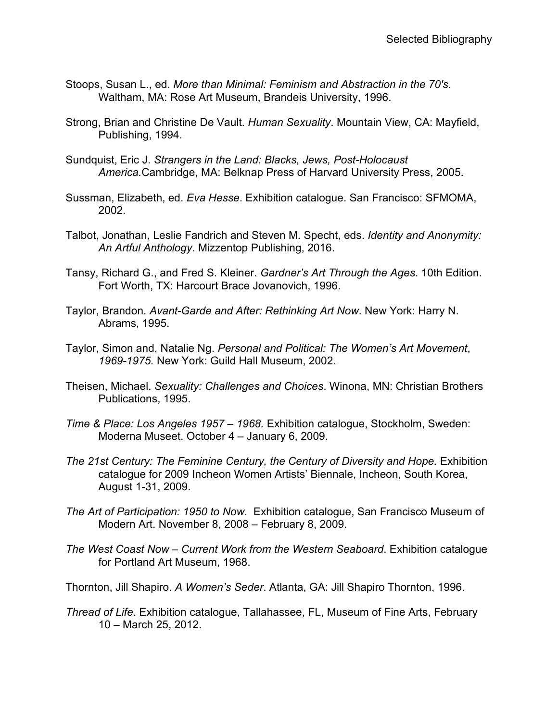- Stoops, Susan L., ed. *More than Minimal: Feminism and Abstraction in the 70's*. Waltham, MA: Rose Art Museum, Brandeis University, 1996.
- Strong, Brian and Christine De Vault. *Human Sexuality*. Mountain View, CA: Mayfield, Publishing, 1994.
- Sundquist, Eric J. *Strangers in the Land: Blacks, Jews, Post-Holocaust America.*Cambridge, MA: Belknap Press of Harvard University Press, 2005.
- Sussman, Elizabeth, ed. *Eva Hesse*. Exhibition catalogue. San Francisco: SFMOMA, 2002.
- Talbot, Jonathan, Leslie Fandrich and Steven M. Specht, eds. *Identity and Anonymity: An Artful Anthology*. Mizzentop Publishing, 2016.
- Tansy, Richard G., and Fred S. Kleiner. *Gardner's Art Through the Ages*. 10th Edition. Fort Worth, TX: Harcourt Brace Jovanovich, 1996.
- Taylor, Brandon. *Avant-Garde and After: Rethinking Art Now*. New York: Harry N. Abrams, 1995.
- Taylor, Simon and, Natalie Ng. *Personal and Political: The Women's Art Movement*, *1969-1975.* New York: Guild Hall Museum, 2002.
- Theisen, Michael. *Sexuality: Challenges and Choices*. Winona, MN: Christian Brothers Publications, 1995.
- *Time & Place: Los Angeles 1957 – 1968.* Exhibition catalogue, Stockholm, Sweden: Moderna Museet. October 4 – January 6, 2009.
- *The 21st Century: The Feminine Century, the Century of Diversity and Hope.* Exhibition catalogue for 2009 Incheon Women Artists' Biennale, Incheon, South Korea, August 1-31, 2009.
- *The Art of Participation: 1950 to Now*. Exhibition catalogue, San Francisco Museum of Modern Art. November 8, 2008 – February 8, 2009.
- *The West Coast Now – Current Work from the Western Seaboard*. Exhibition catalogue for Portland Art Museum, 1968.
- Thornton, Jill Shapiro. *A Women's Seder*. Atlanta, GA: Jill Shapiro Thornton, 1996.
- *Thread of Life.* Exhibition catalogue, Tallahassee, FL, Museum of Fine Arts, February 10 – March 25, 2012.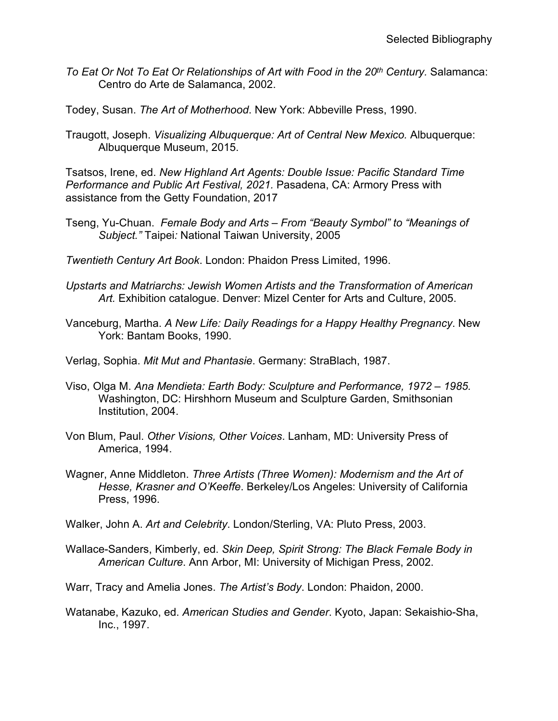- *To Eat Or Not To Eat Or Relationships of Art with Food in the 20th Century.* Salamanca: Centro do Arte de Salamanca, 2002.
- Todey, Susan. *The Art of Motherhood*. New York: Abbeville Press, 1990.
- Traugott, Joseph. *Visualizing Albuquerque: Art of Central New Mexico.* Albuquerque: Albuquerque Museum, 2015.

Tsatsos, Irene, ed. *New Highland Art Agents: Double Issue: Pacific Standard Time Performance and Public Art Festival, 2021.* Pasadena, CA: Armory Press with assistance from the Getty Foundation, 2017

- Tseng, Yu-Chuan. *Female Body and Arts – From "Beauty Symbol" to "Meanings of Subject."* Taipei*:* National Taiwan University, 2005
- *Twentieth Century Art Book*. London: Phaidon Press Limited, 1996.
- *Upstarts and Matriarchs: Jewish Women Artists and the Transformation of American Art.* Exhibition catalogue. Denver: Mizel Center for Arts and Culture, 2005.
- Vanceburg, Martha. *A New Life: Daily Readings for a Happy Healthy Pregnancy*. New York: Bantam Books, 1990.

Verlag, Sophia. *Mit Mut and Phantasie*. Germany: StraBlach, 1987.

- Viso, Olga M. *Ana Mendieta: Earth Body: Sculpture and Performance, 1972 – 1985.* Washington, DC: Hirshhorn Museum and Sculpture Garden, Smithsonian Institution, 2004.
- Von Blum, Paul. *Other Visions, Other Voices*. Lanham, MD: University Press of America, 1994.
- Wagner, Anne Middleton. *Three Artists (Three Women): Modernism and the Art of Hesse, Krasner and O'Keeffe*. Berkeley/Los Angeles: University of California Press, 1996.

Walker, John A. *Art and Celebrity*. London/Sterling, VA: Pluto Press, 2003.

Wallace-Sanders, Kimberly, ed. *Skin Deep, Spirit Strong: The Black Female Body in American Culture*. Ann Arbor, MI: University of Michigan Press, 2002.

Warr, Tracy and Amelia Jones. *The Artist's Body*. London: Phaidon, 2000.

Watanabe, Kazuko, ed. *American Studies and Gender*. Kyoto, Japan: Sekaishio-Sha, Inc., 1997.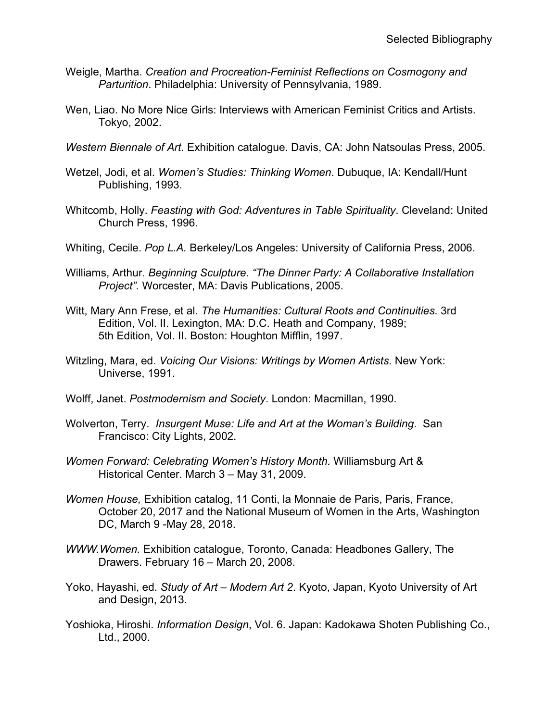- Weigle, Martha. *Creation and Procreation-Feminist Reflections on Cosmogony and Parturition*. Philadelphia: University of Pennsylvania, 1989.
- Wen, Liao. No More Nice Girls: Interviews with American Feminist Critics and Artists. Tokyo, 2002.
- *Western Biennale of Art*. Exhibition catalogue. Davis, CA: John Natsoulas Press, 2005.
- Wetzel, Jodi, et al. *Women's Studies: Thinking Women*. Dubuque, IA: Kendall/Hunt Publishing, 1993.
- Whitcomb, Holly. *Feasting with God: Adventures in Table Spirituality*. Cleveland: United Church Press, 1996.
- Whiting, Cecile. *Pop L.A.* Berkeley/Los Angeles: University of California Press, 2006.
- Williams, Arthur. *Beginning Sculpture. "The Dinner Party: A Collaborative Installation Project".* Worcester, MA: Davis Publications, 2005.
- Witt, Mary Ann Frese, et al. *The Humanities: Cultural Roots and Continuities*. 3rd Edition, Vol. II. Lexington, MA: D.C. Heath and Company, 1989; 5th Edition, Vol. II. Boston: Houghton Mifflin, 1997.
- Witzling, Mara, ed. *Voicing Our Visions: Writings by Women Artists*. New York: Universe, 1991.
- Wolff, Janet. *Postmodernism and Society*. London: Macmillan, 1990.
- Wolverton, Terry. *Insurgent Muse: Life and Art at the Woman's Building*. San Francisco: City Lights, 2002.
- *Women Forward: Celebrating Women's History Month.* Williamsburg Art & Historical Center. March 3 – May 31, 2009.
- *Women House,* Exhibition catalog, 11 Conti, la Monnaie de Paris, Paris, France, October 20, 2017 and the National Museum of Women in the Arts, Washington DC, March 9 -May 28, 2018.
- *WWW.Women.* Exhibition catalogue, Toronto, Canada: Headbones Gallery, The Drawers. February 16 – March 20, 2008.
- Yoko, Hayashi, ed. *Study of Art – Modern Art 2*. Kyoto, Japan, Kyoto University of Art and Design, 2013.
- Yoshioka, Hiroshi. *Information Design*, Vol. 6. Japan: Kadokawa Shoten Publishing Co., Ltd., 2000.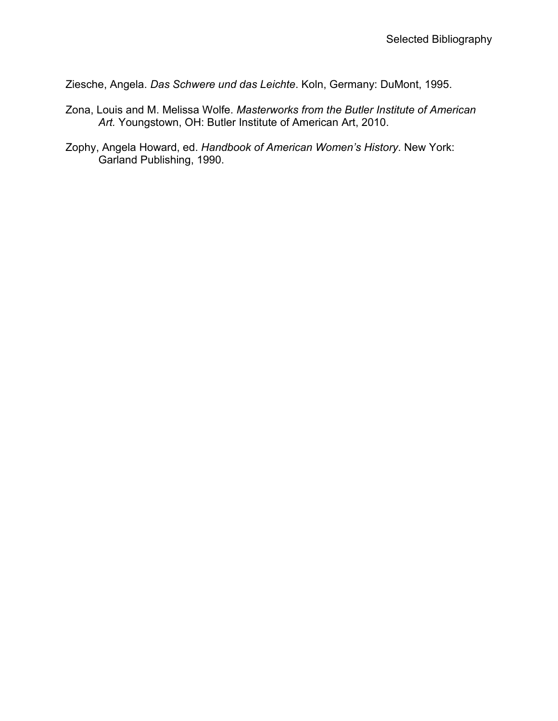Ziesche, Angela. *Das Schwere und das Leichte*. Koln, Germany: DuMont, 1995.

- Zona, Louis and M. Melissa Wolfe. *Masterworks from the Butler Institute of American Art.* Youngstown, OH: Butler Institute of American Art, 2010.
- Zophy, Angela Howard, ed. *Handbook of American Women's History*. New York: Garland Publishing, 1990.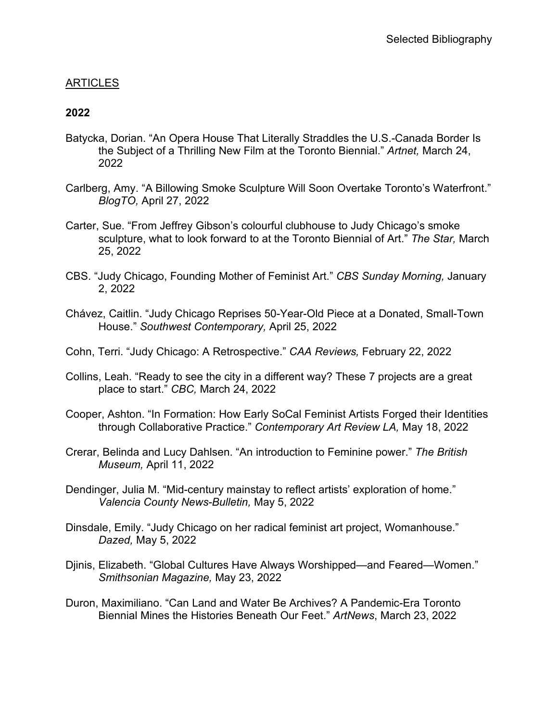# ARTICLES

#### **2022**

- Batycka, Dorian. "An Opera House That Literally Straddles the U.S.-Canada Border Is the Subject of a Thrilling New Film at the Toronto Biennial." *Artnet,* March 24, 2022
- Carlberg, Amy. "A Billowing Smoke Sculpture Will Soon Overtake Toronto's Waterfront." *BlogTO,* April 27, 2022
- Carter, Sue. "From Jeffrey Gibson's colourful clubhouse to Judy Chicago's smoke sculpture, what to look forward to at the Toronto Biennial of Art." *The Star,* March 25, 2022
- CBS. "Judy Chicago, Founding Mother of Feminist Art." *CBS Sunday Morning,* January 2, 2022
- Chávez, Caitlin. "Judy Chicago Reprises 50-Year-Old Piece at a Donated, Small-Town House." *Southwest Contemporary,* April 25, 2022
- Cohn, Terri. "Judy Chicago: A Retrospective." *CAA Reviews,* February 22, 2022
- Collins, Leah. "Ready to see the city in a different way? These 7 projects are a great place to start." *CBC,* March 24, 2022
- Cooper, Ashton. "In Formation: How Early SoCal Feminist Artists Forged their Identities through Collaborative Practice." *Contemporary Art Review LA,* May 18, 2022
- Crerar, Belinda and Lucy Dahlsen. "An introduction to Feminine power." *The British Museum,* April 11, 2022
- Dendinger, Julia M. "Mid-century mainstay to reflect artists' exploration of home." *Valencia County News-Bulletin,* May 5, 2022
- Dinsdale, Emily. "Judy Chicago on her radical feminist art project, Womanhouse." *Dazed,* May 5, 2022
- Djinis, Elizabeth. "Global Cultures Have Always Worshipped—and Feared—Women." *Smithsonian Magazine,* May 23, 2022
- Duron, Maximiliano. "Can Land and Water Be Archives? A Pandemic-Era Toronto Biennial Mines the Histories Beneath Our Feet." *ArtNews*, March 23, 2022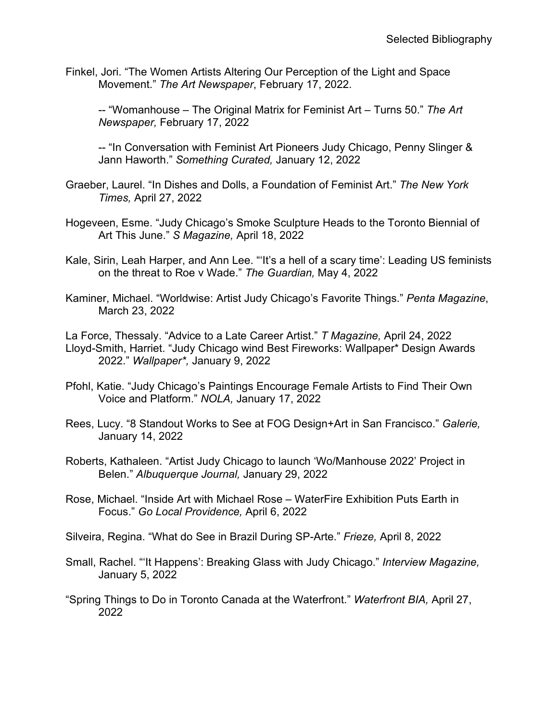Finkel, Jori. "The Women Artists Altering Our Perception of the Light and Space Movement." *The Art Newspaper*, February 17, 2022.

-- "Womanhouse – The Original Matrix for Feminist Art – Turns 50." *The Art Newspaper,* February 17, 2022

-- "In Conversation with Feminist Art Pioneers Judy Chicago, Penny Slinger & Jann Haworth." *Something Curated,* January 12, 2022

- Graeber, Laurel. "In Dishes and Dolls, a Foundation of Feminist Art." *The New York Times,* April 27, 2022
- Hogeveen, Esme. "Judy Chicago's Smoke Sculpture Heads to the Toronto Biennial of Art This June." *S Magazine,* April 18, 2022
- Kale, Sirin, Leah Harper, and Ann Lee. "'It's a hell of a scary time': Leading US feminists on the threat to Roe v Wade." *The Guardian,* May 4, 2022
- Kaminer, Michael. "Worldwise: Artist Judy Chicago's Favorite Things." *Penta Magazine*, March 23, 2022

La Force, Thessaly. "Advice to a Late Career Artist." *T Magazine,* April 24, 2022 Lloyd-Smith, Harriet. "Judy Chicago wind Best Fireworks: Wallpaper\* Design Awards 2022." *Wallpaper\*,* January 9, 2022

- Pfohl, Katie. "Judy Chicago's Paintings Encourage Female Artists to Find Their Own Voice and Platform." *NOLA,* January 17, 2022
- Rees, Lucy. "8 Standout Works to See at FOG Design+Art in San Francisco." *Galerie,* January 14, 2022
- Roberts, Kathaleen. "Artist Judy Chicago to launch 'Wo/Manhouse 2022' Project in Belen." *Albuquerque Journal,* January 29, 2022
- Rose, Michael. "Inside Art with Michael Rose WaterFire Exhibition Puts Earth in Focus." *Go Local Providence,* April 6, 2022
- Silveira, Regina. "What do See in Brazil During SP-Arte." *Frieze,* April 8, 2022
- Small, Rachel. "'It Happens': Breaking Glass with Judy Chicago." *Interview Magazine,* January 5, 2022
- "Spring Things to Do in Toronto Canada at the Waterfront." *Waterfront BIA,* April 27, 2022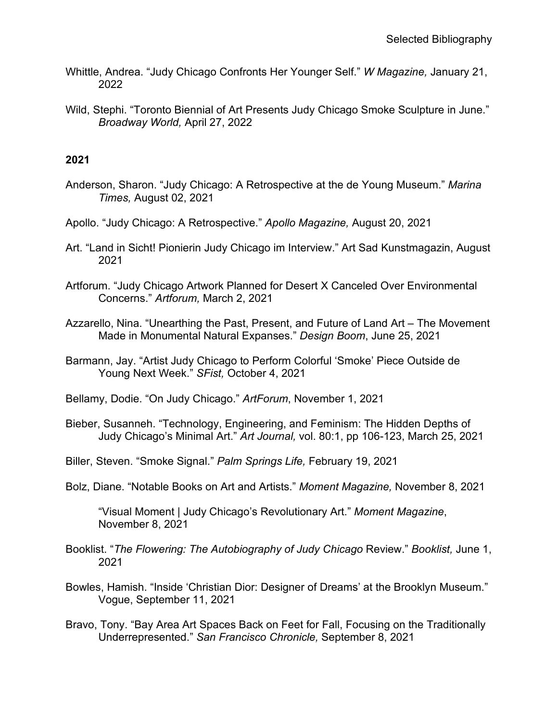- Whittle, Andrea. "Judy Chicago Confronts Her Younger Self." *W Magazine,* January 21, 2022
- Wild, Stephi. "Toronto Biennial of Art Presents Judy Chicago Smoke Sculpture in June." *Broadway World,* April 27, 2022

#### **2021**

- Anderson, Sharon. "Judy Chicago: A Retrospective at the de Young Museum." *Marina Times,* August 02, 2021
- Apollo. "Judy Chicago: A Retrospective." *Apollo Magazine,* August 20, 2021
- Art. "Land in Sicht! Pionierin Judy Chicago im Interview." Art Sad Kunstmagazin, August 2021
- Artforum. "Judy Chicago Artwork Planned for Desert X Canceled Over Environmental Concerns." *Artforum,* March 2, 2021
- Azzarello, Nina. "Unearthing the Past, Present, and Future of Land Art The Movement Made in Monumental Natural Expanses." *Design Boom*, June 25, 2021
- Barmann, Jay. "Artist Judy Chicago to Perform Colorful 'Smoke' Piece Outside de Young Next Week." *SFist,* October 4, 2021
- Bellamy, Dodie. "On Judy Chicago." *ArtForum*, November 1, 2021
- Bieber, Susanneh. "Technology, Engineering, and Feminism: The Hidden Depths of Judy Chicago's Minimal Art." *Art Journal,* vol. 80:1, pp 106-123, March 25, 2021
- Biller, Steven. "Smoke Signal." *Palm Springs Life,* February 19, 2021
- Bolz, Diane. "Notable Books on Art and Artists." *Moment Magazine,* November 8, 2021

"Visual Moment | Judy Chicago's Revolutionary Art." *Moment Magazine*, November 8, 2021

- Booklist. "*The Flowering: The Autobiography of Judy Chicago* Review." *Booklist,* June 1, 2021
- Bowles, Hamish. "Inside 'Christian Dior: Designer of Dreams' at the Brooklyn Museum." Vogue, September 11, 2021
- Bravo, Tony. "Bay Area Art Spaces Back on Feet for Fall, Focusing on the Traditionally Underrepresented." *San Francisco Chronicle,* September 8, 2021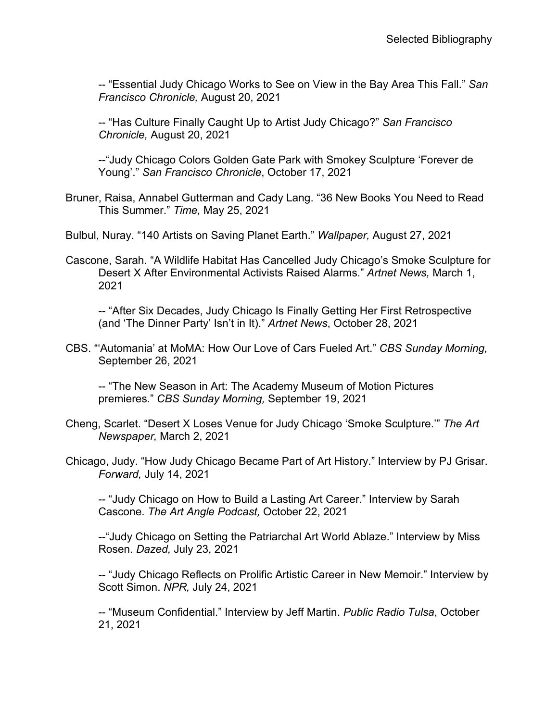-- "Essential Judy Chicago Works to See on View in the Bay Area This Fall." *San Francisco Chronicle,* August 20, 2021

-- "Has Culture Finally Caught Up to Artist Judy Chicago?" *San Francisco Chronicle,* August 20, 2021

--"Judy Chicago Colors Golden Gate Park with Smokey Sculpture 'Forever de Young'." *San Francisco Chronicle*, October 17, 2021

Bruner, Raisa, Annabel Gutterman and Cady Lang. "36 New Books You Need to Read This Summer." *Time,* May 25, 2021

Bulbul, Nuray. "140 Artists on Saving Planet Earth." *Wallpaper,* August 27, 2021

Cascone, Sarah. "A Wildlife Habitat Has Cancelled Judy Chicago's Smoke Sculpture for Desert X After Environmental Activists Raised Alarms." *Artnet News,* March 1, 2021

-- "After Six Decades, Judy Chicago Is Finally Getting Her First Retrospective (and 'The Dinner Party' Isn't in It)." *Artnet News*, October 28, 2021

CBS. "'Automania' at MoMA: How Our Love of Cars Fueled Art." *CBS Sunday Morning,*  September 26, 2021

-- "The New Season in Art: The Academy Museum of Motion Pictures premieres." *CBS Sunday Morning,* September 19, 2021

- Cheng, Scarlet. "Desert X Loses Venue for Judy Chicago 'Smoke Sculpture.'" *The Art Newspaper,* March 2, 2021
- Chicago, Judy. "How Judy Chicago Became Part of Art History." Interview by PJ Grisar. *Forward,* July 14, 2021

-- "Judy Chicago on How to Build a Lasting Art Career." Interview by Sarah Cascone. *The Art Angle Podcast,* October 22, 2021

--"Judy Chicago on Setting the Patriarchal Art World Ablaze." Interview by Miss Rosen. *Dazed,* July 23, 2021

-- "Judy Chicago Reflects on Prolific Artistic Career in New Memoir." Interview by Scott Simon. *NPR,* July 24, 2021

-- "Museum Confidential." Interview by Jeff Martin. *Public Radio Tulsa*, October 21, 2021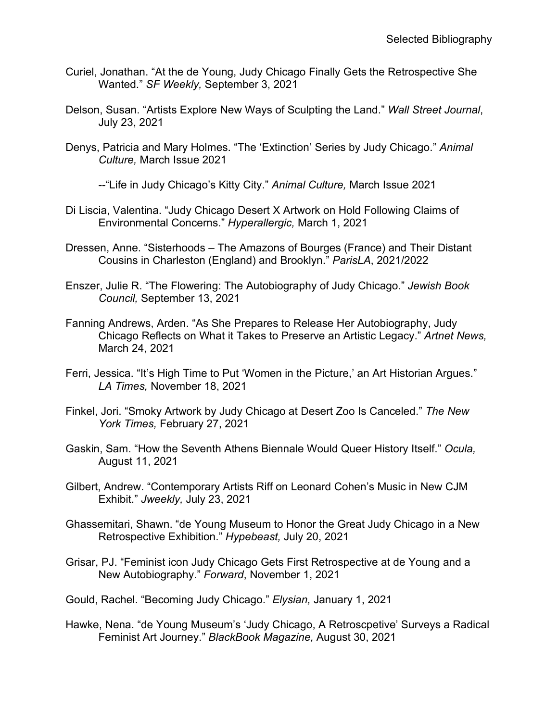- Curiel, Jonathan. "At the de Young, Judy Chicago Finally Gets the Retrospective She Wanted." *SF Weekly,* September 3, 2021
- Delson, Susan. "Artists Explore New Ways of Sculpting the Land." *Wall Street Journal*, July 23, 2021
- Denys, Patricia and Mary Holmes. "The 'Extinction' Series by Judy Chicago." *Animal Culture,* March Issue 2021

--"Life in Judy Chicago's Kitty City." *Animal Culture,* March Issue 2021

- Di Liscia, Valentina. "Judy Chicago Desert X Artwork on Hold Following Claims of Environmental Concerns." *Hyperallergic,* March 1, 2021
- Dressen, Anne. "Sisterhoods The Amazons of Bourges (France) and Their Distant Cousins in Charleston (England) and Brooklyn." *ParisLA*, 2021/2022
- Enszer, Julie R. "The Flowering: The Autobiography of Judy Chicago." *Jewish Book Council,* September 13, 2021
- Fanning Andrews, Arden. "As She Prepares to Release Her Autobiography, Judy Chicago Reflects on What it Takes to Preserve an Artistic Legacy." *Artnet News,*  March 24, 2021
- Ferri, Jessica. "It's High Time to Put 'Women in the Picture,' an Art Historian Argues." *LA Times,* November 18, 2021
- Finkel, Jori. "Smoky Artwork by Judy Chicago at Desert Zoo Is Canceled." *The New York Times,* February 27, 2021
- Gaskin, Sam. "How the Seventh Athens Biennale Would Queer History Itself." *Ocula,*  August 11, 2021
- Gilbert, Andrew. "Contemporary Artists Riff on Leonard Cohen's Music in New CJM Exhibit." *Jweekly,* July 23, 2021
- Ghassemitari, Shawn. "de Young Museum to Honor the Great Judy Chicago in a New Retrospective Exhibition." *Hypebeast,* July 20, 2021
- Grisar, PJ. "Feminist icon Judy Chicago Gets First Retrospective at de Young and a New Autobiography." *Forward*, November 1, 2021
- Gould, Rachel. "Becoming Judy Chicago." *Elysian,* January 1, 2021
- Hawke, Nena. "de Young Museum's 'Judy Chicago, A Retroscpetive' Surveys a Radical Feminist Art Journey." *BlackBook Magazine,* August 30, 2021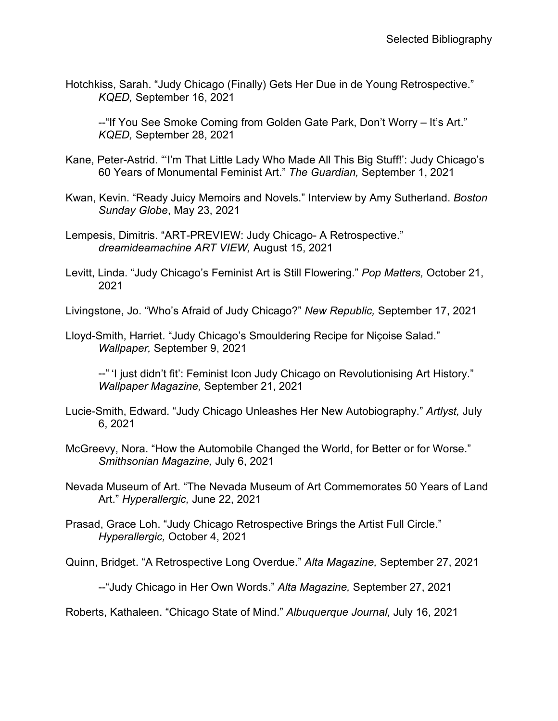Hotchkiss, Sarah. "Judy Chicago (Finally) Gets Her Due in de Young Retrospective." *KQED,* September 16, 2021

--"If You See Smoke Coming from Golden Gate Park, Don't Worry – It's Art." *KQED,* September 28, 2021

- Kane, Peter-Astrid. "'I'm That Little Lady Who Made All This Big Stuff!': Judy Chicago's 60 Years of Monumental Feminist Art." *The Guardian,* September 1, 2021
- Kwan, Kevin. "Ready Juicy Memoirs and Novels." Interview by Amy Sutherland. *Boston Sunday Globe*, May 23, 2021
- Lempesis, Dimitris. "ART-PREVIEW: Judy Chicago- A Retrospective." *dreamideamachine ART VIEW,* August 15, 2021
- Levitt, Linda. "Judy Chicago's Feminist Art is Still Flowering." *Pop Matters,* October 21, 2021

Livingstone, Jo. "Who's Afraid of Judy Chicago?" *New Republic,* September 17, 2021

Lloyd-Smith, Harriet. "Judy Chicago's Smouldering Recipe for Niçoise Salad." *Wallpaper,* September 9, 2021

--" 'I just didn't fit': Feminist Icon Judy Chicago on Revolutionising Art History." *Wallpaper Magazine,* September 21, 2021

- Lucie-Smith, Edward. "Judy Chicago Unleashes Her New Autobiography." *Artlyst,* July 6, 2021
- McGreevy, Nora. "How the Automobile Changed the World, for Better or for Worse." *Smithsonian Magazine,* July 6, 2021
- Nevada Museum of Art. "The Nevada Museum of Art Commemorates 50 Years of Land Art." *Hyperallergic,* June 22, 2021
- Prasad, Grace Loh. "Judy Chicago Retrospective Brings the Artist Full Circle." *Hyperallergic,* October 4, 2021

Quinn, Bridget. "A Retrospective Long Overdue." *Alta Magazine,* September 27, 2021

--"Judy Chicago in Her Own Words." *Alta Magazine,* September 27, 2021

Roberts, Kathaleen. "Chicago State of Mind." *Albuquerque Journal,* July 16, 2021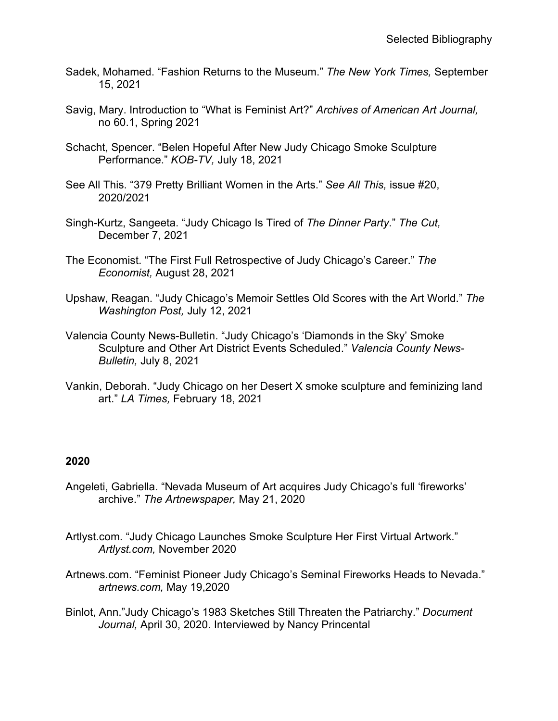- Sadek, Mohamed. "Fashion Returns to the Museum." *The New York Times,* September 15, 2021
- Savig, Mary. Introduction to "What is Feminist Art?" *Archives of American Art Journal,*  no 60.1, Spring 2021
- Schacht, Spencer. "Belen Hopeful After New Judy Chicago Smoke Sculpture Performance." *KOB-TV,* July 18, 2021
- See All This. "379 Pretty Brilliant Women in the Arts." *See All This,* issue #20, 2020/2021
- Singh-Kurtz, Sangeeta. "Judy Chicago Is Tired of *The Dinner Party*." *The Cut,*  December 7, 2021
- The Economist. "The First Full Retrospective of Judy Chicago's Career." *The Economist,* August 28, 2021
- Upshaw, Reagan. "Judy Chicago's Memoir Settles Old Scores with the Art World." *The Washington Post,* July 12, 2021
- Valencia County News-Bulletin. "Judy Chicago's 'Diamonds in the Sky' Smoke Sculpture and Other Art District Events Scheduled." *Valencia County News-Bulletin,* July 8, 2021
- Vankin, Deborah. "Judy Chicago on her Desert X smoke sculpture and feminizing land art." *LA Times,* February 18, 2021

- Angeleti, Gabriella. "Nevada Museum of Art acquires Judy Chicago's full 'fireworks' archive." *The Artnewspaper,* May 21, 2020
- Artlyst.com. "Judy Chicago Launches Smoke Sculpture Her First Virtual Artwork." *Artlyst.com,* November 2020
- Artnews.com. "Feminist Pioneer Judy Chicago's Seminal Fireworks Heads to Nevada." *artnews.com,* May 19,2020
- Binlot, Ann."Judy Chicago's 1983 Sketches Still Threaten the Patriarchy." *Document Journal,* April 30, 2020. Interviewed by Nancy Princental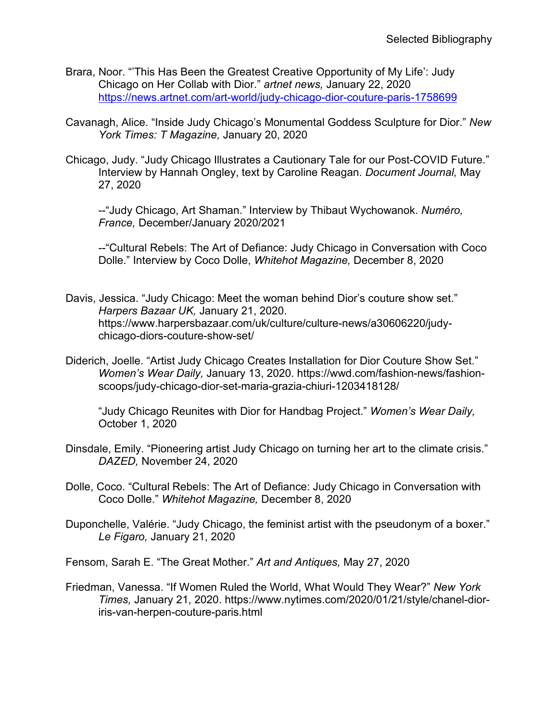- Brara, Noor. "'This Has Been the Greatest Creative Opportunity of My Life': Judy Chicago on Her Collab with Dior." *artnet news,* January 22, 2020 <https://news.artnet.com/art-world/judy-chicago-dior-couture-paris-1758699>
- Cavanagh, Alice. "Inside Judy Chicago's Monumental Goddess Sculpture for Dior." *New York Times: T Magazine,* January 20, 2020
- Chicago, Judy. "Judy Chicago Illustrates a Cautionary Tale for our Post-COVID Future." Interview by Hannah Ongley, text by Caroline Reagan. *Document Journal,* May 27, 2020

--"Judy Chicago, Art Shaman." Interview by Thibaut Wychowanok. *Numéro, France,* December/January 2020/2021

--"Cultural Rebels: The Art of Defiance: Judy Chicago in Conversation with Coco Dolle." Interview by Coco Dolle, *Whitehot Magazine,* December 8, 2020

- Davis, Jessica. "Judy Chicago: Meet the woman behind Dior's couture show set." *Harpers Bazaar UK,* January 21, 2020. https://www.harpersbazaar.com/uk/culture/culture-news/a30606220/judychicago-diors-couture-show-set/
- Diderich, Joelle. "Artist Judy Chicago Creates Installation for Dior Couture Show Set." *Women's Wear Daily,* January 13, 2020. https://wwd.com/fashion-news/fashionscoops/judy-chicago-dior-set-maria-grazia-chiuri-1203418128/

 "Judy Chicago Reunites with Dior for Handbag Project." *Women's Wear Daily,*  October 1, 2020

- Dinsdale, Emily. "Pioneering artist Judy Chicago on turning her art to the climate crisis." *DAZED,* November 24, 2020
- Dolle, Coco. "Cultural Rebels: The Art of Defiance: Judy Chicago in Conversation with Coco Dolle." *Whitehot Magazine,* December 8, 2020
- Duponchelle, Valérie. "Judy Chicago, the feminist artist with the pseudonym of a boxer." *Le Figaro,* January 21, 2020

Fensom, Sarah E. "The Great Mother." *Art and Antiques,* May 27, 2020

Friedman, Vanessa. "If Women Ruled the World, What Would They Wear?" *New York Times,* January 21, 2020. https://www.nytimes.com/2020/01/21/style/chanel-dioriris-van-herpen-couture-paris.html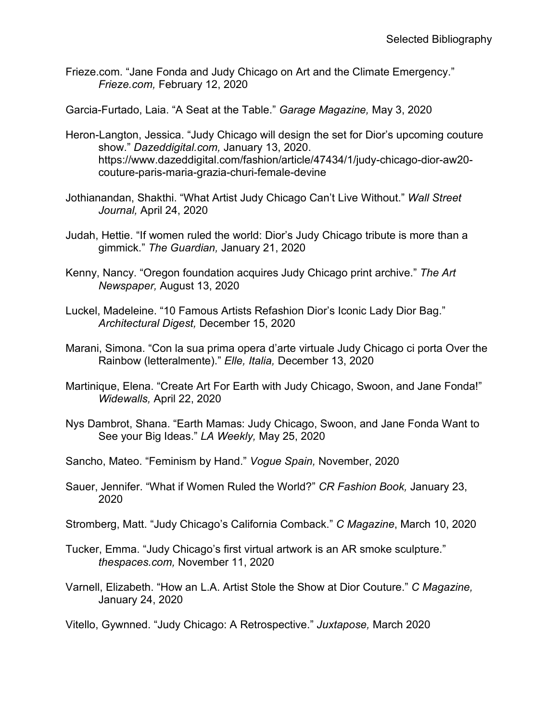Frieze.com. "Jane Fonda and Judy Chicago on Art and the Climate Emergency." *Frieze.com,* February 12, 2020

Garcia-Furtado, Laia. "A Seat at the Table." *Garage Magazine,* May 3, 2020

- Heron-Langton, Jessica. "Judy Chicago will design the set for Dior's upcoming couture show." *Dazeddigital.com,* January 13, 2020. https://www.dazeddigital.com/fashion/article/47434/1/judy-chicago-dior-aw20 couture-paris-maria-grazia-churi-female-devine
- Jothianandan, Shakthi. "What Artist Judy Chicago Can't Live Without." *Wall Street Journal,* April 24, 2020
- Judah, Hettie. "If women ruled the world: Dior's Judy Chicago tribute is more than a gimmick." *The Guardian,* January 21, 2020
- Kenny, Nancy. "Oregon foundation acquires Judy Chicago print archive." *The Art Newspaper,* August 13, 2020
- Luckel, Madeleine. "10 Famous Artists Refashion Dior's Iconic Lady Dior Bag." *Architectural Digest,* December 15, 2020
- Marani, Simona. "Con la sua prima opera d'arte virtuale Judy Chicago ci porta Over the Rainbow (letteralmente)." *Elle, Italia,* December 13, 2020
- Martinique, Elena. "Create Art For Earth with Judy Chicago, Swoon, and Jane Fonda!" *Widewalls,* April 22, 2020
- Nys Dambrot, Shana. "Earth Mamas: Judy Chicago, Swoon, and Jane Fonda Want to See your Big Ideas." *LA Weekly,* May 25, 2020
- Sancho, Mateo. "Feminism by Hand." *Vogue Spain,* November, 2020
- Sauer, Jennifer. "What if Women Ruled the World?" *CR Fashion Book,* January 23, 2020
- Stromberg, Matt. "Judy Chicago's California Comback." *C Magazine*, March 10, 2020
- Tucker, Emma. "Judy Chicago's first virtual artwork is an AR smoke sculpture." *thespaces.com,* November 11, 2020
- Varnell, Elizabeth. "How an L.A. Artist Stole the Show at Dior Couture." *C Magazine,*  January 24, 2020
- Vitello, Gywnned. "Judy Chicago: A Retrospective." *Juxtapose,* March 2020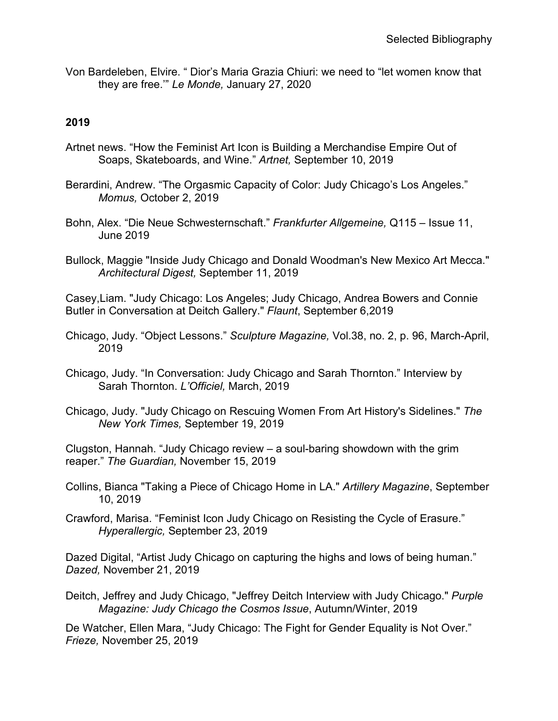Von Bardeleben, Elvire. " Dior's Maria Grazia Chiuri: we need to "let women know that they are free.'" *Le Monde,* January 27, 2020

## **2019**

- Artnet news. "How the Feminist Art Icon is Building a Merchandise Empire Out of Soaps, Skateboards, and Wine." *Artnet,* September 10, 2019
- Berardini, Andrew. "The Orgasmic Capacity of Color: Judy Chicago's Los Angeles." *Momus,* October 2, 2019
- Bohn, Alex. "Die Neue Schwesternschaft." *Frankfurter Allgemeine,* Q115 Issue 11, June 2019
- Bullock, Maggie "Inside Judy Chicago and Donald Woodman's New Mexico Art Mecca." *Architectural Digest,* September 11, 2019

Casey,Liam. "Judy Chicago: Los Angeles; Judy Chicago, Andrea Bowers and Connie Butler in Conversation at Deitch Gallery." *Flaunt*, September 6,2019

- Chicago, Judy. "Object Lessons." *Sculpture Magazine,* Vol.38, no. 2, p. 96, March-April, 2019
- Chicago, Judy. "In Conversation: Judy Chicago and Sarah Thornton." Interview by Sarah Thornton. *L'Officiel,* March, 2019
- Chicago, Judy. "Judy Chicago on Rescuing Women From Art History's Sidelines." *The New York Times,* September 19, 2019

Clugston, Hannah. "Judy Chicago review – a soul-baring showdown with the grim reaper." *The Guardian,* November 15, 2019

- Collins, Bianca "Taking a Piece of Chicago Home in LA." *Artillery Magazine*, September 10, 2019
- Crawford, Marisa. "Feminist Icon Judy Chicago on Resisting the Cycle of Erasure." *Hyperallergic,* September 23, 2019

Dazed Digital, "Artist Judy Chicago on capturing the highs and lows of being human." *Dazed,* November 21, 2019

Deitch, Jeffrey and Judy Chicago, "Jeffrey Deitch Interview with Judy Chicago." *Purple Magazine: Judy Chicago the Cosmos Issue*, Autumn/Winter, 2019

De Watcher, Ellen Mara, "Judy Chicago: The Fight for Gender Equality is Not Over." *Frieze,* November 25, 2019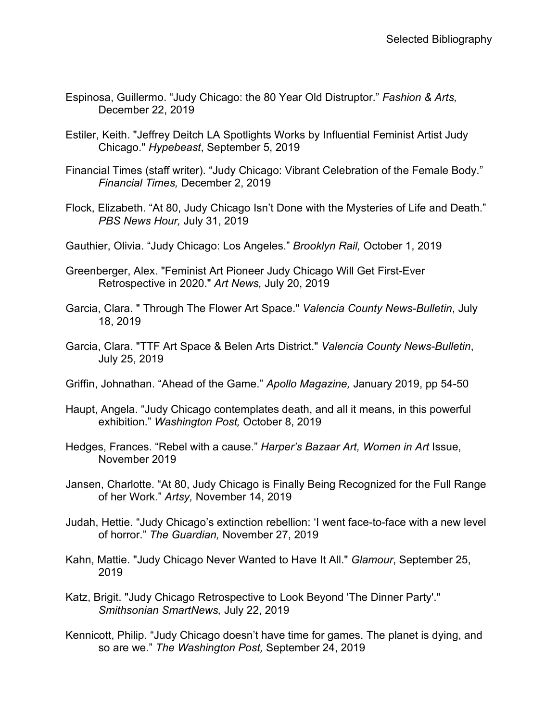- Espinosa, Guillermo. "Judy Chicago: the 80 Year Old Distruptor." *Fashion & Arts,*  December 22, 2019
- Estiler, Keith. "Jeffrey Deitch LA Spotlights Works by Influential Feminist Artist Judy Chicago." *Hypebeast*, September 5, 2019
- Financial Times (staff writer). "Judy Chicago: Vibrant Celebration of the Female Body." *Financial Times,* December 2, 2019
- Flock, Elizabeth. "At 80, Judy Chicago Isn't Done with the Mysteries of Life and Death." *PBS News Hour,* July 31, 2019
- Gauthier, Olivia. "Judy Chicago: Los Angeles." *Brooklyn Rail,* October 1, 2019
- Greenberger, Alex. "Feminist Art Pioneer Judy Chicago Will Get First-Ever Retrospective in 2020." *Art News,* July 20, 2019
- Garcia, Clara. " Through The Flower Art Space." *Valencia County News-Bulletin*, July 18, 2019
- Garcia, Clara. "TTF Art Space & Belen Arts District." *Valencia County News-Bulletin*, July 25, 2019
- Griffin, Johnathan. "Ahead of the Game." *Apollo Magazine,* January 2019, pp 54-50
- Haupt, Angela. "Judy Chicago contemplates death, and all it means, in this powerful exhibition." *Washington Post,* October 8, 2019
- Hedges, Frances. "Rebel with a cause." *Harper's Bazaar Art, Women in Art* Issue, November 2019
- Jansen, Charlotte. "At 80, Judy Chicago is Finally Being Recognized for the Full Range of her Work." *Artsy,* November 14, 2019
- Judah, Hettie. "Judy Chicago's extinction rebellion: 'I went face-to-face with a new level of horror." *The Guardian,* November 27, 2019
- Kahn, Mattie. "Judy Chicago Never Wanted to Have It All." *Glamour*, September 25, 2019
- Katz, Brigit. "Judy Chicago Retrospective to Look Beyond 'The Dinner Party'." *Smithsonian SmartNews,* July 22, 2019
- Kennicott, Philip. "Judy Chicago doesn't have time for games. The planet is dying, and so are we." *The Washington Post,* September 24, 2019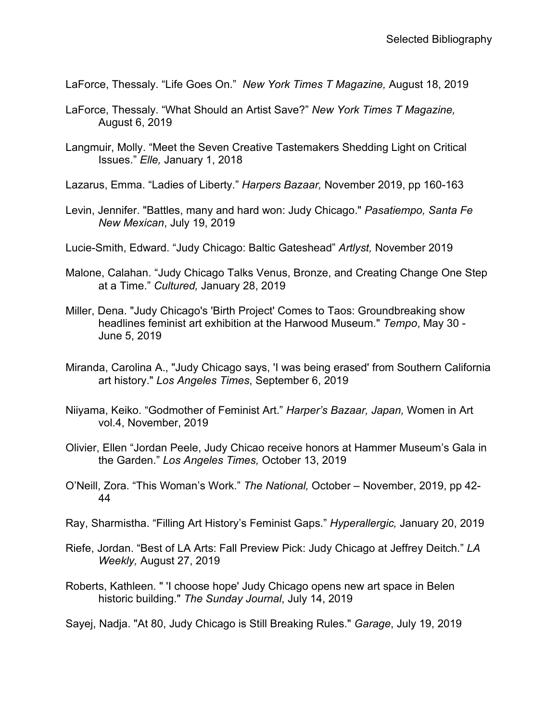LaForce, Thessaly. "Life Goes On." *New York Times T Magazine,* August 18, 2019

- LaForce, Thessaly. "What Should an Artist Save?" *New York Times T Magazine,*  August 6, 2019
- Langmuir, Molly. "Meet the Seven Creative Tastemakers Shedding Light on Critical Issues." *Elle,* January 1, 2018
- Lazarus, Emma. "Ladies of Liberty." *Harpers Bazaar,* November 2019, pp 160-163
- Levin, Jennifer. "Battles, many and hard won: Judy Chicago." *Pasatiempo, Santa Fe New Mexican*, July 19, 2019
- Lucie-Smith, Edward. "Judy Chicago: Baltic Gateshead" *Artlyst,* November 2019
- Malone, Calahan. "Judy Chicago Talks Venus, Bronze, and Creating Change One Step at a Time." *Cultured,* January 28, 2019
- Miller, Dena. "Judy Chicago's 'Birth Project' Comes to Taos: Groundbreaking show headlines feminist art exhibition at the Harwood Museum." *Tempo*, May 30 - June 5, 2019
- Miranda, Carolina A., "Judy Chicago says, 'I was being erased' from Southern California art history." *Los Angeles Times*, September 6, 2019
- Niiyama, Keiko. "Godmother of Feminist Art." *Harper's Bazaar, Japan,* Women in Art vol.4, November, 2019
- Olivier, Ellen "Jordan Peele, Judy Chicao receive honors at Hammer Museum's Gala in the Garden." *Los Angeles Times,* October 13, 2019
- O'Neill, Zora. "This Woman's Work." *The National,* October November, 2019, pp 42- 44
- Ray, Sharmistha. "Filling Art History's Feminist Gaps." *Hyperallergic,* January 20, 2019
- Riefe, Jordan. "Best of LA Arts: Fall Preview Pick: Judy Chicago at Jeffrey Deitch." *LA Weekly,* August 27, 2019
- Roberts, Kathleen. " 'I choose hope' Judy Chicago opens new art space in Belen historic building." *The Sunday Journal*, July 14, 2019

Sayej, Nadja. "At 80, Judy Chicago is Still Breaking Rules." *Garage*, July 19, 2019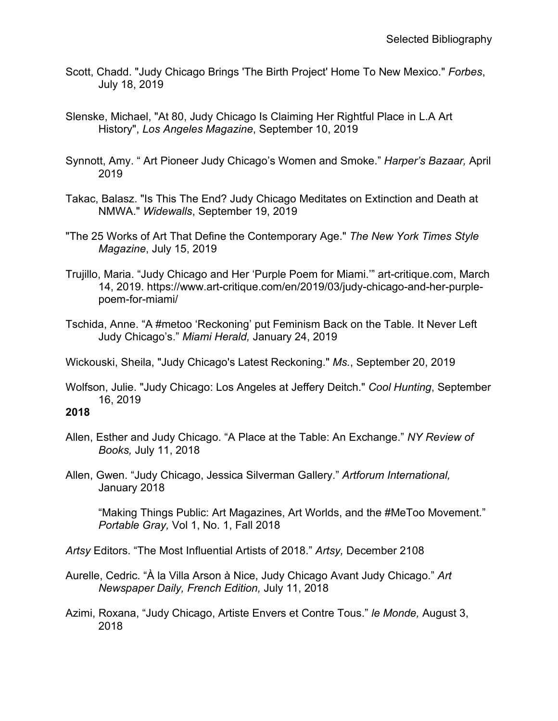- Scott, Chadd. "Judy Chicago Brings 'The Birth Project' Home To New Mexico." *Forbes*, July 18, 2019
- Slenske, Michael, "At 80, Judy Chicago Is Claiming Her Rightful Place in L.A Art History", *Los Angeles Magazine*, September 10, 2019
- Synnott, Amy. " Art Pioneer Judy Chicago's Women and Smoke." *Harper's Bazaar,* April 2019
- Takac, Balasz. "Is This The End? Judy Chicago Meditates on Extinction and Death at NMWA." *Widewalls*, September 19, 2019
- "The 25 Works of Art That Define the Contemporary Age." *The New York Times Style Magazine*, July 15, 2019
- Trujillo, Maria. "Judy Chicago and Her 'Purple Poem for Miami.'" art-critique.com, March 14, 2019. https://www.art-critique.com/en/2019/03/judy-chicago-and-her-purplepoem-for-miami/
- Tschida, Anne. "A #metoo 'Reckoning' put Feminism Back on the Table. It Never Left Judy Chicago's." *Miami Herald,* January 24, 2019

Wickouski, Sheila, "Judy Chicago's Latest Reckoning." *Ms.*, September 20, 2019

Wolfson, Julie. "Judy Chicago: Los Angeles at Jeffery Deitch." *Cool Hunting*, September 16, 2019

### **2018**

- Allen, Esther and Judy Chicago. "A Place at the Table: An Exchange." *NY Review of Books,* July 11, 2018
- Allen, Gwen. "Judy Chicago, Jessica Silverman Gallery." *Artforum International,*  January 2018

 "Making Things Public: Art Magazines, Art Worlds, and the #MeToo Movement." *Portable Gray,* Vol 1, No. 1, Fall 2018

*Artsy* Editors. "The Most Influential Artists of 2018." *Artsy,* December 2108

- Aurelle, Cedric. "À la Villa Arson à Nice, Judy Chicago Avant Judy Chicago." *Art Newspaper Daily, French Edition,* July 11, 2018
- Azimi, Roxana, "Judy Chicago, Artiste Envers et Contre Tous." *le Monde,* August 3, 2018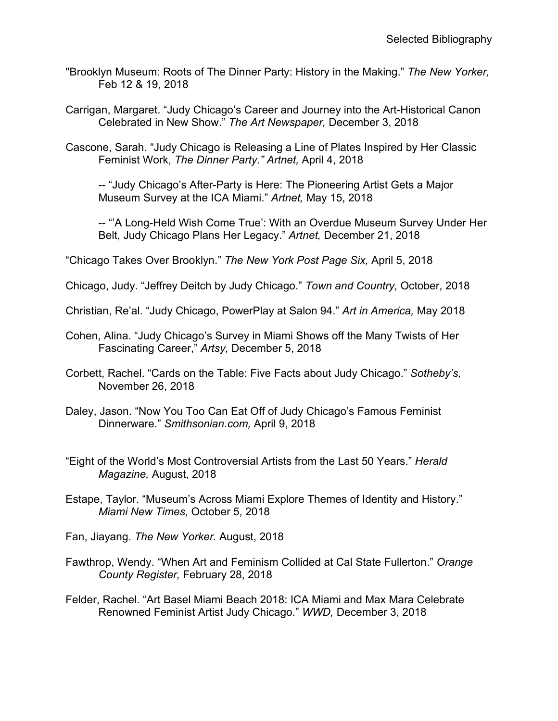- "Brooklyn Museum: Roots of The Dinner Party: History in the Making." *The New Yorker,*  Feb 12 & 19, 2018
- Carrigan, Margaret. "Judy Chicago's Career and Journey into the Art-Historical Canon Celebrated in New Show." *The Art Newspaper,* December 3, 2018
- Cascone, Sarah. "Judy Chicago is Releasing a Line of Plates Inspired by Her Classic Feminist Work, *The Dinner Party." Artnet,* April 4, 2018

-- "Judy Chicago's After-Party is Here: The Pioneering Artist Gets a Major Museum Survey at the ICA Miami." *Artnet,* May 15, 2018

-- "'A Long-Held Wish Come True': With an Overdue Museum Survey Under Her Belt, Judy Chicago Plans Her Legacy." *Artnet,* December 21, 2018

"Chicago Takes Over Brooklyn." *The New York Post Page Six,* April 5, 2018

Chicago, Judy. "Jeffrey Deitch by Judy Chicago." *Town and Country,* October, 2018

Christian, Re'al. "Judy Chicago, PowerPlay at Salon 94." *Art in America,* May 2018

- Cohen, Alina. "Judy Chicago's Survey in Miami Shows off the Many Twists of Her Fascinating Career," *Artsy,* December 5, 2018
- Corbett, Rachel. "Cards on the Table: Five Facts about Judy Chicago." *Sotheby's,*  November 26, 2018
- Daley, Jason. "Now You Too Can Eat Off of Judy Chicago's Famous Feminist Dinnerware." *Smithsonian.com,* April 9, 2018
- "Eight of the World's Most Controversial Artists from the Last 50 Years." *Herald Magazine,* August, 2018
- Estape, Taylor. "Museum's Across Miami Explore Themes of Identity and History." *Miami New Times,* October 5, 2018
- Fan, Jiayang. *The New Yorker.* August, 2018
- Fawthrop, Wendy. "When Art and Feminism Collided at Cal State Fullerton." *Orange County Register,* February 28, 2018
- Felder, Rachel. "Art Basel Miami Beach 2018: ICA Miami and Max Mara Celebrate Renowned Feminist Artist Judy Chicago." *WWD,* December 3, 2018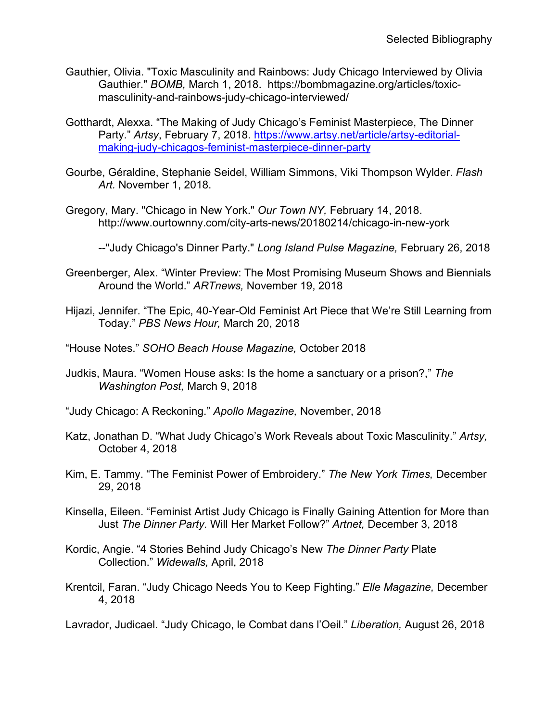- Gauthier, Olivia. "Toxic Masculinity and Rainbows: Judy Chicago Interviewed by Olivia Gauthier." *BOMB,* March 1, 2018. https://bombmagazine.org/articles/toxicmasculinity-and-rainbows-judy-chicago-interviewed/
- Gotthardt, Alexxa. "The Making of Judy Chicago's Feminist Masterpiece, The Dinner Party." Artsy, February 7, 2018. [https://www.artsy.net/article/artsy-editorial](https://www.artsy.net/article/artsy-editorial-making-judy-chicagos-feminist-masterpiece-dinner-party)[making-judy-chicagos-feminist-masterpiece-dinner-party](https://www.artsy.net/article/artsy-editorial-making-judy-chicagos-feminist-masterpiece-dinner-party)
- Gourbe, Géraldine, Stephanie Seidel, William Simmons, Viki Thompson Wylder. *Flash Art.* November 1, 2018.
- Gregory, Mary. "Chicago in New York." *Our Town NY,* February 14, 2018. http://www.ourtownny.com/city-arts-news/20180214/chicago-in-new-york

--"Judy Chicago's Dinner Party." *Long Island Pulse Magazine,* February 26, 2018

- Greenberger, Alex. "Winter Preview: The Most Promising Museum Shows and Biennials Around the World." *ARTnews,* November 19, 2018
- Hijazi, Jennifer. "The Epic, 40-Year-Old Feminist Art Piece that We're Still Learning from Today." *PBS News Hour,* March 20, 2018
- "House Notes." *SOHO Beach House Magazine,* October 2018
- Judkis, Maura. "Women House asks: Is the home a sanctuary or a prison?," *The Washington Post,* March 9, 2018
- "Judy Chicago: A Reckoning." *Apollo Magazine,* November, 2018
- Katz, Jonathan D. "What Judy Chicago's Work Reveals about Toxic Masculinity." *Artsy,*  October 4, 2018
- Kim, E. Tammy. "The Feminist Power of Embroidery." *The New York Times,* December 29, 2018
- Kinsella, Eileen. "Feminist Artist Judy Chicago is Finally Gaining Attention for More than Just *The Dinner Party.* Will Her Market Follow?" *Artnet,* December 3, 2018
- Kordic, Angie. "4 Stories Behind Judy Chicago's New *The Dinner Party* Plate Collection." *Widewalls,* April, 2018
- Krentcil, Faran. "Judy Chicago Needs You to Keep Fighting." *Elle Magazine,* December 4, 2018

Lavrador, Judicael. "Judy Chicago, le Combat dans l'Oeil." *Liberation,* August 26, 2018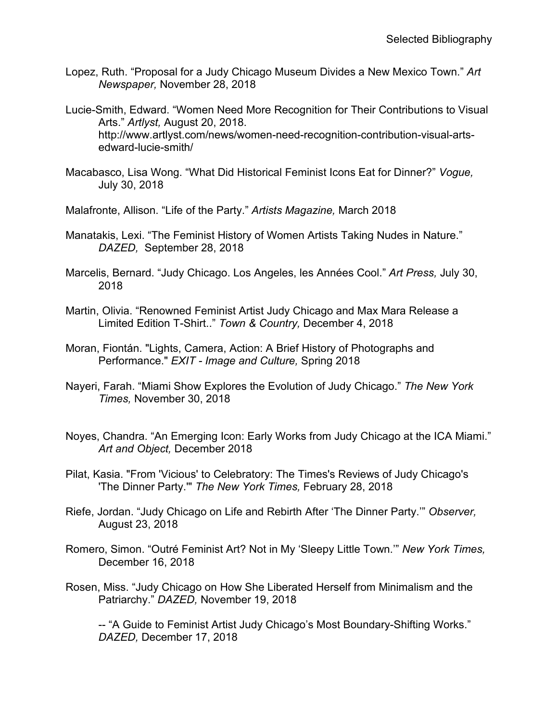- Lopez, Ruth. "Proposal for a Judy Chicago Museum Divides a New Mexico Town." *Art Newspaper,* November 28, 2018
- Lucie-Smith, Edward. "Women Need More Recognition for Their Contributions to Visual Arts." *Artlyst,* August 20, 2018. http://www.artlyst.com/news/women-need-recognition-contribution-visual-artsedward-lucie-smith/
- Macabasco, Lisa Wong. "What Did Historical Feminist Icons Eat for Dinner?" *Vogue,*  July 30, 2018
- Malafronte, Allison. "Life of the Party." *Artists Magazine,* March 2018
- Manatakis, Lexi. "The Feminist History of Women Artists Taking Nudes in Nature." *DAZED,* September 28, 2018
- Marcelis, Bernard. "Judy Chicago. Los Angeles, les Années Cool." *Art Press,* July 30, 2018
- Martin, Olivia. "Renowned Feminist Artist Judy Chicago and Max Mara Release a Limited Edition T-Shirt.." *Town & Country,* December 4, 2018
- Moran, Fiontán. "Lights, Camera, Action: A Brief History of Photographs and Performance." *EXIT - Image and Culture,* Spring 2018
- Nayeri, Farah. "Miami Show Explores the Evolution of Judy Chicago." *The New York Times,* November 30, 2018
- Noyes, Chandra. "An Emerging Icon: Early Works from Judy Chicago at the ICA Miami." *Art and Object,* December 2018
- Pilat, Kasia. "From 'Vicious' to Celebratory: The Times's Reviews of Judy Chicago's 'The Dinner Party.'" *The New York Times,* February 28, 2018
- Riefe, Jordan. "Judy Chicago on Life and Rebirth After 'The Dinner Party.'" *Observer,*  August 23, 2018
- Romero, Simon. "Outré Feminist Art? Not in My 'Sleepy Little Town.'" *New York Times,*  December 16, 2018
- Rosen, Miss. "Judy Chicago on How She Liberated Herself from Minimalism and the Patriarchy." *DAZED,* November 19, 2018

-- "A Guide to Feminist Artist Judy Chicago's Most Boundary-Shifting Works." *DAZED,* December 17, 2018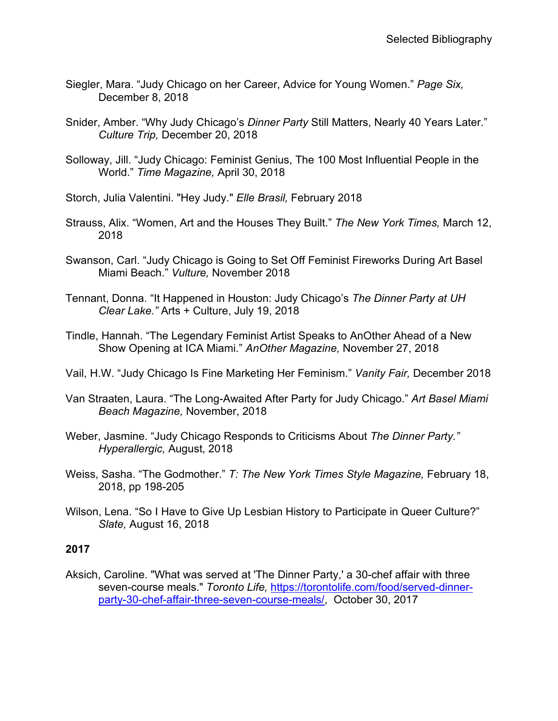- Siegler, Mara. "Judy Chicago on her Career, Advice for Young Women." *Page Six,*  December 8, 2018
- Snider, Amber. "Why Judy Chicago's *Dinner Party* Still Matters, Nearly 40 Years Later." *Culture Trip,* December 20, 2018
- Solloway, Jill. "Judy Chicago: Feminist Genius, The 100 Most Influential People in the World." *Time Magazine,* April 30, 2018
- Storch, Julia Valentini. "Hey Judy." *Elle Brasil,* February 2018
- Strauss, Alix. "Women, Art and the Houses They Built." *The New York Times,* March 12, 2018
- Swanson, Carl. "Judy Chicago is Going to Set Off Feminist Fireworks During Art Basel Miami Beach." *Vulture,* November 2018
- Tennant, Donna. "It Happened in Houston: Judy Chicago's *The Dinner Party at UH Clear Lake."* Arts + Culture, July 19, 2018
- Tindle, Hannah. "The Legendary Feminist Artist Speaks to AnOther Ahead of a New Show Opening at ICA Miami." *AnOther Magazine,* November 27, 2018
- Vail, H.W. "Judy Chicago Is Fine Marketing Her Feminism." *Vanity Fair,* December 2018
- Van Straaten, Laura. "The Long-Awaited After Party for Judy Chicago." *Art Basel Miami Beach Magazine,* November, 2018
- Weber, Jasmine. "Judy Chicago Responds to Criticisms About *The Dinner Party." Hyperallergic,* August, 2018
- Weiss, Sasha. "The Godmother." *T: The New York Times Style Magazine,* February 18, 2018, pp 198-205
- Wilson, Lena. "So I Have to Give Up Lesbian History to Participate in Queer Culture?" *Slate,* August 16, 2018

Aksich, Caroline. "What was served at 'The Dinner Party,' a 30-chef affair with three seven-course meals." *Toronto Life,* [https://torontolife.com/food/served-dinner](https://torontolife.com/food/served-dinner-party-30-chef-affair-three-seven-course-meals/)[party-30-chef-affair-three-seven-course-meals/,](https://torontolife.com/food/served-dinner-party-30-chef-affair-three-seven-course-meals/) October 30, 2017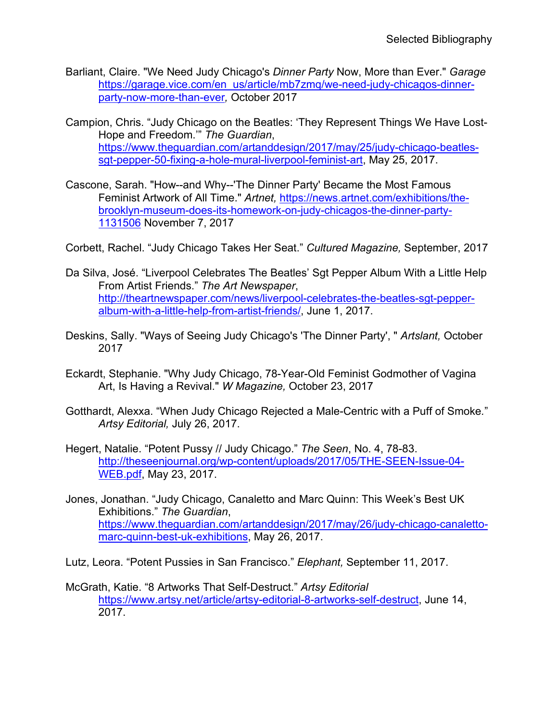- Barliant, Claire. "We Need Judy Chicago's *Dinner Party* Now, More than Ever." *Garage*  [https://garage.vice.com/en\\_us/article/mb7zmq/we-need-judy-chicagos-dinner](https://garage.vice.com/en_us/article/mb7zmq/we-need-judy-chicagos-dinner-party-now-more-than-ever)[party-now-more-than-ever](https://garage.vice.com/en_us/article/mb7zmq/we-need-judy-chicagos-dinner-party-now-more-than-ever)*,* October 2017
- Campion, Chris. "Judy Chicago on the Beatles: 'They Represent Things We Have Lost-Hope and Freedom.'" *The Guardian*, [https://www.theguardian.com/artanddesign/2017/may/25/judy-chicago-beatles](https://www.theguardian.com/artanddesign/2017/may/25/judy-chicago-beatles-sgt-pepper-50-fixing-a-hole-mural-liverpool-feminist-art)[sgt-pepper-50-fixing-a-hole-mural-liverpool-feminist-art,](https://www.theguardian.com/artanddesign/2017/may/25/judy-chicago-beatles-sgt-pepper-50-fixing-a-hole-mural-liverpool-feminist-art) May 25, 2017.
- Cascone, Sarah. "How--and Why--'The Dinner Party' Became the Most Famous Feminist Artwork of All Time." *Artnet,* [https://news.artnet.com/exhibitions/the](https://news.artnet.com/exhibitions/the-brooklyn-museum-does-its-homework-on-judy-chicagos-the-dinner-party-1131506)[brooklyn-museum-does-its-homework-on-judy-chicagos-the-dinner-party-](https://news.artnet.com/exhibitions/the-brooklyn-museum-does-its-homework-on-judy-chicagos-the-dinner-party-1131506)[1131506](https://news.artnet.com/exhibitions/the-brooklyn-museum-does-its-homework-on-judy-chicagos-the-dinner-party-1131506) November 7, 2017
- Corbett, Rachel. "Judy Chicago Takes Her Seat." *Cultured Magazine,* September, 2017
- Da Silva, José. "Liverpool Celebrates The Beatles' Sgt Pepper Album With a Little Help From Artist Friends." *The Art Newspaper*, [http://theartnewspaper.com/news/liverpool-celebrates-the-beatles-sgt-pepper](http://theartnewspaper.com/news/liverpool-celebrates-the-beatles-sgt-pepper-album-with-a-little-help-from-artist-friends/)[album-with-a-little-help-from-artist-friends/,](http://theartnewspaper.com/news/liverpool-celebrates-the-beatles-sgt-pepper-album-with-a-little-help-from-artist-friends/) June 1, 2017.
- Deskins, Sally. "Ways of Seeing Judy Chicago's 'The Dinner Party', " *Artslant,* October 2017
- Eckardt, Stephanie. "Why Judy Chicago, 78-Year-Old Feminist Godmother of Vagina Art, Is Having a Revival." *W Magazine,* October 23, 2017
- Gotthardt, Alexxa. "When Judy Chicago Rejected a Male-Centric with a Puff of Smoke*.*" *Artsy Editorial,* July 26, 2017.
- Hegert, Natalie. "Potent Pussy // Judy Chicago." *The Seen*, No. 4, 78-83. [http://theseenjournal.org/wp-content/uploads/2017/05/THE-SEEN-Issue-04-](http://theseenjournal.org/wp-content/uploads/2017/05/THE-SEEN-Issue-04-WEB.pdf) [WEB.pdf,](http://theseenjournal.org/wp-content/uploads/2017/05/THE-SEEN-Issue-04-WEB.pdf) May 23, 2017.
- Jones, Jonathan. "Judy Chicago, Canaletto and Marc Quinn: This Week's Best UK Exhibitions." *The Guardian*, [https://www.theguardian.com/artanddesign/2017/may/26/judy-chicago-canaletto](https://www.theguardian.com/artanddesign/2017/may/26/judy-chicago-canaletto-marc-quinn-best-uk-exhibitions)[marc-quinn-best-uk-exhibitions,](https://www.theguardian.com/artanddesign/2017/may/26/judy-chicago-canaletto-marc-quinn-best-uk-exhibitions) May 26, 2017.
- Lutz, Leora. "Potent Pussies in San Francisco." *Elephant,* September 11, 2017.
- McGrath, Katie. "8 Artworks That Self-Destruct." *Artsy Editorial* [https://www.artsy.net/article/artsy-editorial-8-artworks-self-destruct,](https://www.artsy.net/article/artsy-editorial-8-artworks-self-destruct) June 14, 2017.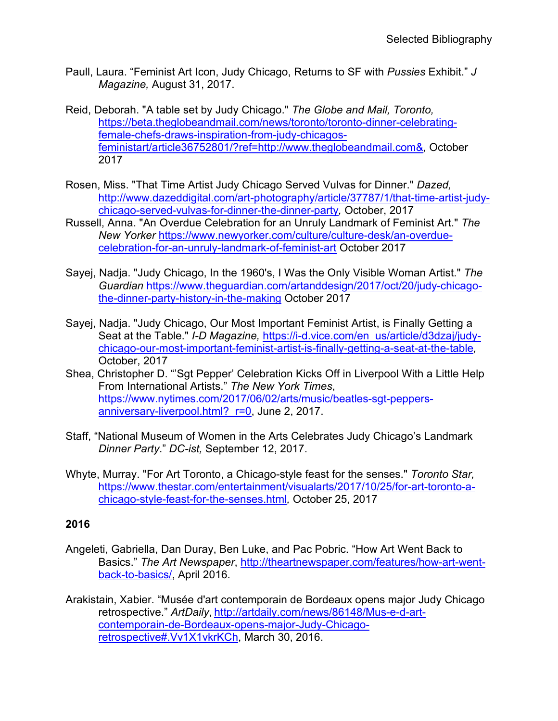- Paull, Laura. "Feminist Art Icon, Judy Chicago, Returns to SF with *Pussies* Exhibit." *J Magazine,* August 31, 2017.
- Reid, Deborah. "A table set by Judy Chicago." *The Globe and Mail, Toronto,*  [https://beta.theglobeandmail.com/news/toronto/toronto-dinner-celebrating](https://beta.theglobeandmail.com/news/toronto/toronto-dinner-celebrating-female-chefs-draws-inspiration-from-judy-chicagos-feministart/article36752801/?ref=http://www.theglobeandmail.com&%20)[female-chefs-draws-inspiration-from-judy-chicagos](https://beta.theglobeandmail.com/news/toronto/toronto-dinner-celebrating-female-chefs-draws-inspiration-from-judy-chicagos-feministart/article36752801/?ref=http://www.theglobeandmail.com&%20)[feministart/article36752801/?ref=http://www.theglobeandmail.com&](https://beta.theglobeandmail.com/news/toronto/toronto-dinner-celebrating-female-chefs-draws-inspiration-from-judy-chicagos-feministart/article36752801/?ref=http://www.theglobeandmail.com&%20)*,* October 2017
- Rosen, Miss. "That Time Artist Judy Chicago Served Vulvas for Dinner." *Dazed,* [http://www.dazeddigital.com/art-photography/article/37787/1/that-time-artist-judy](http://www.dazeddigital.com/art-photography/article/37787/1/that-time-artist-judy-chicago-served-vulvas-for-dinner-the-dinner-party)[chicago-served-vulvas-for-dinner-the-dinner-party](http://www.dazeddigital.com/art-photography/article/37787/1/that-time-artist-judy-chicago-served-vulvas-for-dinner-the-dinner-party)*,* October, 2017
- Russell, Anna. "An Overdue Celebration for an Unruly Landmark of Feminist Art." *The New Yorker* [https://www.newyorker.com/culture/culture-desk/an-overdue](https://www.newyorker.com/culture/culture-desk/an-overdue-celebration-for-an-unruly-landmark-of-feminist-art)[celebration-for-an-unruly-landmark-of-feminist-art](https://www.newyorker.com/culture/culture-desk/an-overdue-celebration-for-an-unruly-landmark-of-feminist-art) October 2017
- Sayej, Nadja. "Judy Chicago, In the 1960's, I Was the Only Visible Woman Artist." *The Guardian* [https://www.theguardian.com/artanddesign/2017/oct/20/judy-chicago](https://www.theguardian.com/artanddesign/2017/oct/20/judy-chicago-the-dinner-party-history-in-the-making)[the-dinner-party-history-in-the-making](https://www.theguardian.com/artanddesign/2017/oct/20/judy-chicago-the-dinner-party-history-in-the-making) October 2017
- Sayej, Nadja. "Judy Chicago, Our Most Important Feminist Artist, is Finally Getting a Seat at the Table." *I-D Magazine, [https://i-d.vice.com/en\\_us/article/d3dzaj/judy](https://i-d.vice.com/en_us/article/d3dzaj/judy-chicago-our-most-important-feminist-artist-is-finally-getting-a-seat-at-the-table)*[chicago-our-most-important-feminist-artist-is-finally-getting-a-seat-at-the-table](https://i-d.vice.com/en_us/article/d3dzaj/judy-chicago-our-most-important-feminist-artist-is-finally-getting-a-seat-at-the-table)*,*  October, 2017
- Shea, Christopher D. "'Sgt Pepper' Celebration Kicks Off in Liverpool With a Little Help From International Artists." *The New York Times*, [https://www.nytimes.com/2017/06/02/arts/music/beatles-sgt-peppers](https://www.nytimes.com/2017/06/02/arts/music/beatles-sgt-peppers-anniversary-liverpool.html?_r=0)[anniversary-liverpool.html?\\_r=0,](https://www.nytimes.com/2017/06/02/arts/music/beatles-sgt-peppers-anniversary-liverpool.html?_r=0) June 2, 2017.
- Staff, "National Museum of Women in the Arts Celebrates Judy Chicago's Landmark *Dinner Party*." *DC-ist,* September 12, 2017.
- Whyte, Murray. "For Art Toronto, a Chicago-style feast for the senses." *Toronto Star,*  [https://www.thestar.com/entertainment/visualarts/2017/10/25/for-art-toronto-a](https://www.thestar.com/entertainment/visualarts/2017/10/25/for-art-toronto-a-chicago-style-feast-for-the-senses.html)[chicago-style-feast-for-the-senses.html](https://www.thestar.com/entertainment/visualarts/2017/10/25/for-art-toronto-a-chicago-style-feast-for-the-senses.html)*,* October 25, 2017

- Angeleti, Gabriella, Dan Duray, Ben Luke, and Pac Pobric. "How Art Went Back to Basics." *The Art Newspaper*, [http://theartnewspaper.com/features/how-art-went](http://theartnewspaper.com/features/how-art-went-back-to-basics/)[back-to-basics/,](http://theartnewspaper.com/features/how-art-went-back-to-basics/) April 2016.
- Arakistain, Xabier. "Musée d'art contemporain de Bordeaux opens major Judy Chicago retrospective." *ArtDaily*, [http://artdaily.com/news/86148/Mus-e-d-art](http://artdaily.com/news/86148/Mus-e-d-art-contemporain-de-Bordeaux-opens-major-Judy-Chicago-retrospective#.Vv1X1vkrKCh)[contemporain-de-Bordeaux-opens-major-Judy-Chicago](http://artdaily.com/news/86148/Mus-e-d-art-contemporain-de-Bordeaux-opens-major-Judy-Chicago-retrospective#.Vv1X1vkrKCh)[retrospective#.Vv1X1vkrKCh,](http://artdaily.com/news/86148/Mus-e-d-art-contemporain-de-Bordeaux-opens-major-Judy-Chicago-retrospective#.Vv1X1vkrKCh) March 30, 2016.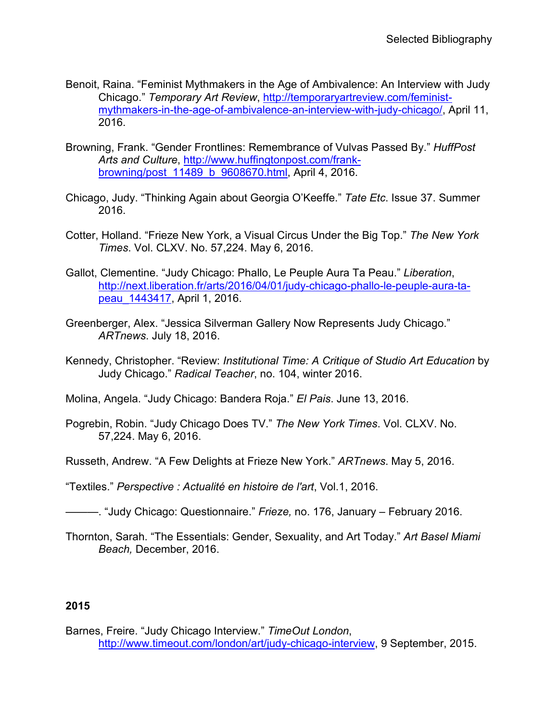- Benoit, Raina. "Feminist Mythmakers in the Age of Ambivalence: An Interview with Judy Chicago." *Temporary Art Review*, [http://temporaryartreview.com/feminist](http://temporaryartreview.com/feminist-mythmakers-in-the-age-of-ambivalence-an-interview-with-judy-chicago/)[mythmakers-in-the-age-of-ambivalence-an-interview-with-judy-chicago/,](http://temporaryartreview.com/feminist-mythmakers-in-the-age-of-ambivalence-an-interview-with-judy-chicago/) April 11, 2016.
- Browning, Frank. "Gender Frontlines: Remembrance of Vulvas Passed By." *HuffPost Arts and Culture*, [http://www.huffingtonpost.com/frank](http://www.huffingtonpost.com/frank-browning/post_11489_b_9608670.html)browning/post 11489 b 9608670.html, April 4, 2016.
- Chicago, Judy. "Thinking Again about Georgia O'Keeffe." *Tate Etc*. Issue 37. Summer 2016.
- Cotter, Holland. "Frieze New York, a Visual Circus Under the Big Top." *The New York Times*. Vol. CLXV. No. 57,224. May 6, 2016.
- Gallot, Clementine. "Judy Chicago: Phallo, Le Peuple Aura Ta Peau." *Liberation*, [http://next.liberation.fr/arts/2016/04/01/judy-chicago-phallo-le-peuple-aura-ta](http://next.liberation.fr/arts/2016/04/01/judy-chicago-phallo-le-peuple-aura-ta-peau_1443417)[peau\\_1443417,](http://next.liberation.fr/arts/2016/04/01/judy-chicago-phallo-le-peuple-aura-ta-peau_1443417) April 1, 2016.
- Greenberger, Alex. "Jessica Silverman Gallery Now Represents Judy Chicago." *ARTnews*. July 18, 2016.
- Kennedy, Christopher. "Review: *Institutional Time: A Critique of Studio Art Education* by Judy Chicago." *Radical Teacher*, no. 104, winter 2016.
- Molina, Angela. "Judy Chicago: Bandera Roja." *El Pais*. June 13, 2016.
- Pogrebin, Robin. "Judy Chicago Does TV." *The New York Times*. Vol. CLXV. No. 57,224. May 6, 2016.
- Russeth, Andrew. "A Few Delights at Frieze New York." *ARTnews*. May 5, 2016.
- "Textiles." *Perspective : Actualité en histoire de l'art*, Vol.1, 2016.
- ———. "Judy Chicago: Questionnaire." *Frieze,* no. 176, January February 2016.
- Thornton, Sarah. "The Essentials: Gender, Sexuality, and Art Today." *Art Basel Miami Beach,* December, 2016.

Barnes, Freire. "Judy Chicago Interview." *TimeOut London*, [http://www.timeout.com/london/art/judy-chicago-interview,](http://www.timeout.com/london/art/judy-chicago-interview) 9 September, 2015.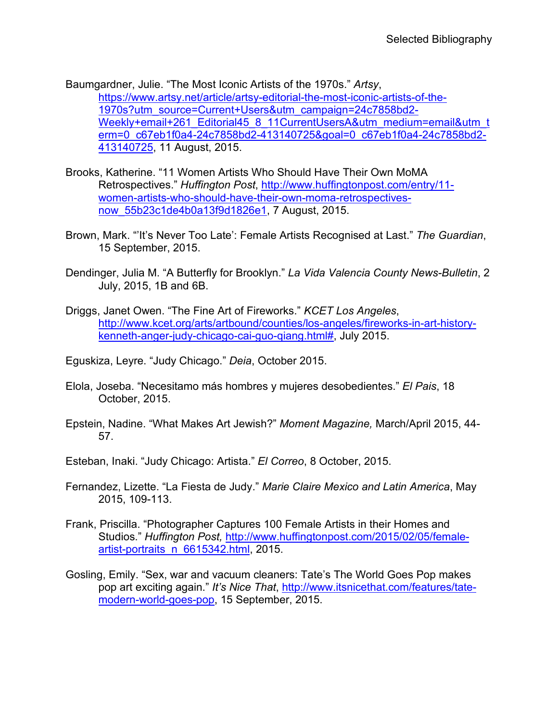Baumgardner, Julie. "The Most Iconic Artists of the 1970s." *Artsy*, [https://www.artsy.net/article/artsy-editorial-the-most-iconic-artists-of-the-](https://www.artsy.net/article/artsy-editorial-the-most-iconic-artists-of-the-1970s?utm_source=Current+Users&utm_campaign=24c7858bd2-Weekly+email+261_Editorial45_8_11CurrentUsersA&utm_medium=email&utm_term=0_c67eb1f0a4-24c7858bd2-413140725&goal=0_c67eb1f0a4-24c7858bd2-413140725)[1970s?utm\\_source=Current+Users&utm\\_campaign=24c7858bd2-](https://www.artsy.net/article/artsy-editorial-the-most-iconic-artists-of-the-1970s?utm_source=Current+Users&utm_campaign=24c7858bd2-Weekly+email+261_Editorial45_8_11CurrentUsersA&utm_medium=email&utm_term=0_c67eb1f0a4-24c7858bd2-413140725&goal=0_c67eb1f0a4-24c7858bd2-413140725) [Weekly+email+261\\_Editorial45\\_8\\_11CurrentUsersA&utm\\_medium=email&utm\\_t](https://www.artsy.net/article/artsy-editorial-the-most-iconic-artists-of-the-1970s?utm_source=Current+Users&utm_campaign=24c7858bd2-Weekly+email+261_Editorial45_8_11CurrentUsersA&utm_medium=email&utm_term=0_c67eb1f0a4-24c7858bd2-413140725&goal=0_c67eb1f0a4-24c7858bd2-413140725) [erm=0\\_c67eb1f0a4-24c7858bd2-413140725&goal=0\\_c67eb1f0a4-24c7858bd2-](https://www.artsy.net/article/artsy-editorial-the-most-iconic-artists-of-the-1970s?utm_source=Current+Users&utm_campaign=24c7858bd2-Weekly+email+261_Editorial45_8_11CurrentUsersA&utm_medium=email&utm_term=0_c67eb1f0a4-24c7858bd2-413140725&goal=0_c67eb1f0a4-24c7858bd2-413140725) [413140725,](https://www.artsy.net/article/artsy-editorial-the-most-iconic-artists-of-the-1970s?utm_source=Current+Users&utm_campaign=24c7858bd2-Weekly+email+261_Editorial45_8_11CurrentUsersA&utm_medium=email&utm_term=0_c67eb1f0a4-24c7858bd2-413140725&goal=0_c67eb1f0a4-24c7858bd2-413140725) 11 August, 2015.

- Brooks, Katherine. "11 Women Artists Who Should Have Their Own MoMA Retrospectives." *Huffington Post*, [http://www.huffingtonpost.com/entry/11](http://www.huffingtonpost.com/entry/11-women-artists-who-should-have-their-own-moma-retrospectives-now_55b23c1de4b0a13f9d1826e1) [women-artists-who-should-have-their-own-moma-retrospectives](http://www.huffingtonpost.com/entry/11-women-artists-who-should-have-their-own-moma-retrospectives-now_55b23c1de4b0a13f9d1826e1)[now\\_55b23c1de4b0a13f9d1826e1,](http://www.huffingtonpost.com/entry/11-women-artists-who-should-have-their-own-moma-retrospectives-now_55b23c1de4b0a13f9d1826e1) 7 August, 2015.
- Brown, Mark. "'It's Never Too Late': Female Artists Recognised at Last." *The Guardian*, 15 September, 2015.
- Dendinger, Julia M. "A Butterfly for Brooklyn." *La Vida Valencia County News-Bulletin*, 2 July, 2015, 1B and 6B.
- Driggs, Janet Owen. "The Fine Art of Fireworks." *KCET Los Angeles*, [http://www.kcet.org/arts/artbound/counties/los-angeles/fireworks-in-art-history](http://www.kcet.org/arts/artbound/counties/los-angeles/fireworks-in-art-history-kenneth-anger-judy-chicago-cai-guo-qiang.html)[kenneth-anger-judy-chicago-cai-guo-qiang.html#,](http://www.kcet.org/arts/artbound/counties/los-angeles/fireworks-in-art-history-kenneth-anger-judy-chicago-cai-guo-qiang.html) July 2015.
- Eguskiza, Leyre. "Judy Chicago." *Deia*, October 2015.
- Elola, Joseba. "Necesitamo más hombres y mujeres desobedientes." *El Pais*, 18 October, 2015.
- Epstein, Nadine. "What Makes Art Jewish?" *Moment Magazine,* March/April 2015, 44- 57.
- Esteban, Inaki. "Judy Chicago: Artista." *El Correo*, 8 October, 2015.
- Fernandez, Lizette. "La Fiesta de Judy." *Marie Claire Mexico and Latin America*, May 2015, 109-113.
- Frank, Priscilla. "Photographer Captures 100 Female Artists in their Homes and Studios." *Huffington Post,* [http://www.huffingtonpost.com/2015/02/05/female](http://www.huffingtonpost.com/2015/02/05/female-artist-portraits_n_6615342.html)[artist-portraits\\_n\\_6615342.html,](http://www.huffingtonpost.com/2015/02/05/female-artist-portraits_n_6615342.html) 2015.
- Gosling, Emily. "Sex, war and vacuum cleaners: Tate's The World Goes Pop makes pop art exciting again." *It's Nice That*, [http://www.itsnicethat.com/features/tate](http://www.itsnicethat.com/features/tate-modern-world-goes-pop)[modern-world-goes-pop,](http://www.itsnicethat.com/features/tate-modern-world-goes-pop) 15 September, 2015.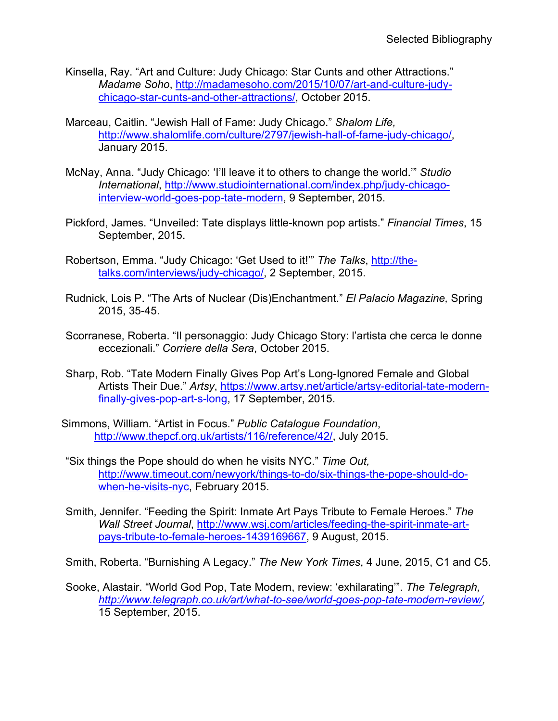- Kinsella, Ray. "Art and Culture: Judy Chicago: Star Cunts and other Attractions." *Madame Soho*, [http://madamesoho.com/2015/10/07/art-and-culture-judy](http://madamesoho.com/2015/10/07/art-and-culture-judy-chicago-star-cunts-and-other-attractions/)[chicago-star-cunts-and-other-attractions/,](http://madamesoho.com/2015/10/07/art-and-culture-judy-chicago-star-cunts-and-other-attractions/) October 2015.
- Marceau, Caitlin. "Jewish Hall of Fame: Judy Chicago." *Shalom Life,*  [http://www.shalomlife.com/culture/2797/jewish-hall-of-fame-judy-chicago/,](http://www.shalomlife.com/culture/2797/jewish-hall-of-fame-judy-chicago/) January 2015.
- McNay, Anna. "Judy Chicago: 'I'll leave it to others to change the world.'" *Studio International*, [http://www.studiointernational.com/index.php/judy-chicago](http://www.studiointernational.com/index.php/judy-chicago-interview-world-goes-pop-tate-modern)[interview-world-goes-pop-tate-modern,](http://www.studiointernational.com/index.php/judy-chicago-interview-world-goes-pop-tate-modern) 9 September, 2015.
- Pickford, James. "Unveiled: Tate displays little-known pop artists." *Financial Times*, 15 September, 2015.
- Robertson, Emma. "Judy Chicago: 'Get Used to it!'" *The Talks*, [http://the](http://the-talks.com/interviews/judy-chicago/)[talks.com/interviews/judy-chicago/,](http://the-talks.com/interviews/judy-chicago/) 2 September, 2015.
- Rudnick, Lois P. "The Arts of Nuclear (Dis)Enchantment." *El Palacio Magazine,* Spring 2015, 35-45.
- Scorranese, Roberta. "Il personaggio: Judy Chicago Story: l'artista che cerca le donne eccezionali." *Corriere della Sera*, October 2015.
- Sharp, Rob. "Tate Modern Finally Gives Pop Art's Long-Ignored Female and Global Artists Their Due." *Artsy*, [https://www.artsy.net/article/artsy-editorial-tate-modern](https://www.artsy.net/article/artsy-editorial-tate-modern-finally-gives-pop-art-s-long)[finally-gives-pop-art-s-long,](https://www.artsy.net/article/artsy-editorial-tate-modern-finally-gives-pop-art-s-long) 17 September, 2015.
- Simmons, William. "Artist in Focus." *Public Catalogue Foundation*, [http://www.thepcf.org.uk/artists/116/reference/42/,](http://www.thepcf.org.uk/artists/116/reference/42/) July 2015.
- "Six things the Pope should do when he visits NYC." *Time Out,*  [http://www.timeout.com/newyork/things-to-do/six-things-the-pope-should-do](http://www.timeout.com/newyork/things-to-do/six-things-the-pope-should-do-when-he-visits-nyc)[when-he-visits-nyc,](http://www.timeout.com/newyork/things-to-do/six-things-the-pope-should-do-when-he-visits-nyc) February 2015.
- Smith, Jennifer. "Feeding the Spirit: Inmate Art Pays Tribute to Female Heroes." *The Wall Street Journal*, [http://www.wsj.com/articles/feeding-the-spirit-inmate-art](http://www.wsj.com/articles/feeding-the-spirit-inmate-art-pays-tribute-to-female-heroes-1439169667)[pays-tribute-to-female-heroes-1439169667,](http://www.wsj.com/articles/feeding-the-spirit-inmate-art-pays-tribute-to-female-heroes-1439169667) 9 August, 2015.
- Smith, Roberta. "Burnishing A Legacy." *The New York Times*, 4 June, 2015, C1 and C5.
- Sooke, Alastair. "World God Pop, Tate Modern, review: 'exhilarating'". *The Telegraph, [http://www.telegraph.co.uk/art/what-to-see/world-goes-pop-tate-modern-review/,](http://www.telegraph.co.uk/art/what-to-see/world-goes-pop-tate-modern-review/)*  15 September, 2015.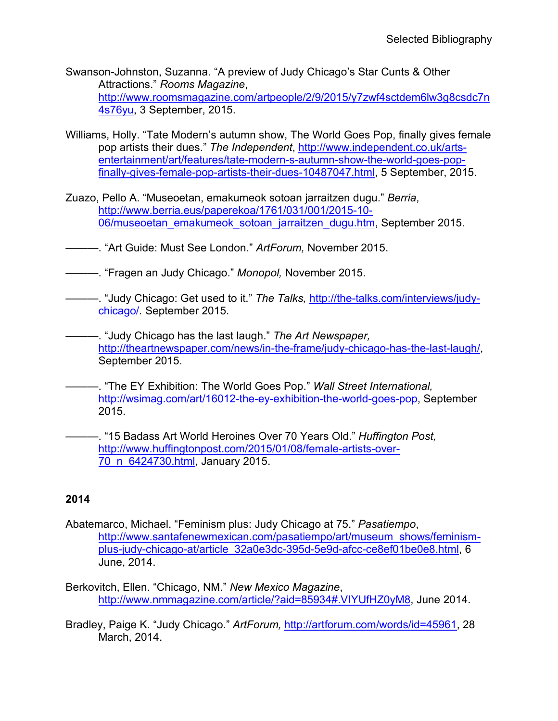- Swanson-Johnston, Suzanna. "A preview of Judy Chicago's Star Cunts & Other Attractions." *Rooms Magazine*, [http://www.roomsmagazine.com/artpeople/2/9/2015/y7zwf4sctdem6lw3g8csdc7n](http://www.roomsmagazine.com/artpeople/2/9/2015/y7zwf4sctdem6lw3g8csdc7n4s76yu) [4s76yu,](http://www.roomsmagazine.com/artpeople/2/9/2015/y7zwf4sctdem6lw3g8csdc7n4s76yu) 3 September, 2015.
- Williams, Holly. "Tate Modern's autumn show, The World Goes Pop, finally gives female pop artists their dues." *The Independent*, [http://www.independent.co.uk/arts](http://www.independent.co.uk/arts-entertainment/art/features/tate-modern-s-autumn-show-the-world-goes-pop-finally-gives-female-pop-artists-their-dues-10487047.html)[entertainment/art/features/tate-modern-s-autumn-show-the-world-goes-pop](http://www.independent.co.uk/arts-entertainment/art/features/tate-modern-s-autumn-show-the-world-goes-pop-finally-gives-female-pop-artists-their-dues-10487047.html)[finally-gives-female-pop-artists-their-dues-10487047.html,](http://www.independent.co.uk/arts-entertainment/art/features/tate-modern-s-autumn-show-the-world-goes-pop-finally-gives-female-pop-artists-their-dues-10487047.html) 5 September, 2015.
- Zuazo, Pello A. "Museoetan, emakumeok sotoan jarraitzen dugu." *Berria*, [http://www.berria.eus/paperekoa/1761/031/001/2015-10-](http://www.berria.eus/paperekoa/1761/031/001/2015-10-06/museoetan_emakumeok_sotoan_jarraitzen_dugu.htm) [06/museoetan\\_emakumeok\\_sotoan\\_jarraitzen\\_dugu.htm,](http://www.berria.eus/paperekoa/1761/031/001/2015-10-06/museoetan_emakumeok_sotoan_jarraitzen_dugu.htm) September 2015.
- ———. "Art Guide: Must See London." *ArtForum,* November 2015.
- ———. "Fragen an Judy Chicago." *Monopol,* November 2015.
- ———. "Judy Chicago: Get used to it." *The Talks,* [http://the-talks.com/interviews/judy](http://the-talks.com/interviews/judy-chicago/)[chicago/](http://the-talks.com/interviews/judy-chicago/)*.* September 2015.
- ———. "Judy Chicago has the last laugh." *The Art Newspaper,*  [http://theartnewspaper.com/news/in-the-frame/judy-chicago-has-the-last-laugh/,](http://theartnewspaper.com/news/in-the-frame/judy-chicago-has-the-last-laugh/) September 2015.
- ———. "The EY Exhibition: The World Goes Pop." *Wall Street International,*  [http://wsimag.com/art/16012-the-ey-exhibition-the-world-goes-pop,](http://wsimag.com/art/16012-the-ey-exhibition-the-world-goes-pop) September 2015.
- ———. "15 Badass Art World Heroines Over 70 Years Old." *Huffington Post,*  [http://www.huffingtonpost.com/2015/01/08/female-artists-over-](http://www.huffingtonpost.com/2015/01/08/female-artists-over-70_n_6424730.html)[70\\_n\\_6424730.html,](http://www.huffingtonpost.com/2015/01/08/female-artists-over-70_n_6424730.html) January 2015.

- Abatemarco, Michael. "Feminism plus: Judy Chicago at 75." *Pasatiempo*, [http://www.santafenewmexican.com/pasatiempo/art/museum\\_shows/feminism](http://www.santafenewmexican.com/pasatiempo/art/museum_shows/feminism-plus-judy-chicago-at/article_32a0e3dc-395d-5e9d-afcc-ce8ef01be0e8.html)[plus-judy-chicago-at/article\\_32a0e3dc-395d-5e9d-afcc-ce8ef01be0e8.html,](http://www.santafenewmexican.com/pasatiempo/art/museum_shows/feminism-plus-judy-chicago-at/article_32a0e3dc-395d-5e9d-afcc-ce8ef01be0e8.html) 6 June, 2014.
- Berkovitch, Ellen. "Chicago, NM." *New Mexico Magazine*, [http://www.nmmagazine.com/article/?aid=85934#.VIYUfHZ0yM8,](http://www.nmmagazine.com/article/?aid=85934#.VIYUfHZ0yM8) June 2014.
- Bradley, Paige K. "Judy Chicago." *ArtForum,* [http://artforum.com/words/id=45961,](http://artforum.com/words/id=45961) 28 March, 2014.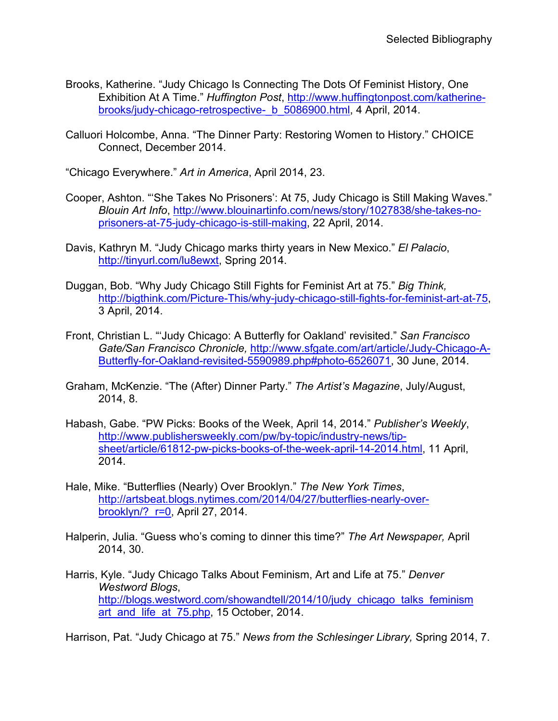- Brooks, Katherine. "Judy Chicago Is Connecting The Dots Of Feminist History, One Exhibition At A Time." *Huffington Post*, [http://www.huffingtonpost.com/katherine](http://www.huffingtonpost.com/katherine-brooks/judy-chicago-retrospective-_b_5086900.html)brooks/judy-chicago-retrospective- b 5086900.html, 4 April, 2014.
- Calluori Holcombe, Anna. "The Dinner Party: Restoring Women to History." CHOICE Connect, December 2014.

"Chicago Everywhere." *Art in America*, April 2014, 23.

- Cooper, Ashton. "'She Takes No Prisoners': At 75, Judy Chicago is Still Making Waves." *Blouin Art Info*, [http://www.blouinartinfo.com/news/story/1027838/she-takes-no](http://www.blouinartinfo.com/news/story/1027838/she-takes-no-prisoners-at-75-judy-chicago-is-still-making)[prisoners-at-75-judy-chicago-is-still-making,](http://www.blouinartinfo.com/news/story/1027838/she-takes-no-prisoners-at-75-judy-chicago-is-still-making) 22 April, 2014.
- Davis, Kathryn M. "Judy Chicago marks thirty years in New Mexico." *El Palacio*, [http://tinyurl.com/lu8ewxt,](http://tinyurl.com/lu8ewxt) Spring 2014.
- Duggan, Bob. "Why Judy Chicago Still Fights for Feminist Art at 75." *Big Think,* [http://bigthink.com/Picture-This/why-judy-chicago-still-fights-for-feminist-art-at-75,](http://bigthink.com/Picture-This/why-judy-chicago-still-fights-for-feminist-art-at-75) 3 April, 2014.
- Front, Christian L. "'Judy Chicago: A Butterfly for Oakland' revisited." *San Francisco Gate/San Francisco Chronicle,* [http://www.sfgate.com/art/article/Judy-Chicago-A-](http://www.sfgate.com/art/article/Judy-Chicago-A-Butterfly-for-Oakland-revisited-5590989.php#photo-6526071)[Butterfly-for-Oakland-revisited-5590989.php#photo-6526071,](http://www.sfgate.com/art/article/Judy-Chicago-A-Butterfly-for-Oakland-revisited-5590989.php#photo-6526071) 30 June, 2014.
- Graham, McKenzie. "The (After) Dinner Party." *The Artist's Magazine*, July/August, 2014, 8.
- Habash, Gabe. "PW Picks: Books of the Week, April 14, 2014." *Publisher's Weekly*, [http://www.publishersweekly.com/pw/by-topic/industry-news/tip](http://www.publishersweekly.com/pw/by-topic/industry-news/tip-sheet/article/61812-pw-picks-books-of-the-week-april-14-2014.html)[sheet/article/61812-pw-picks-books-of-the-week-april-14-2014.html,](http://www.publishersweekly.com/pw/by-topic/industry-news/tip-sheet/article/61812-pw-picks-books-of-the-week-april-14-2014.html) 11 April, 2014.
- Hale, Mike. "Butterflies (Nearly) Over Brooklyn." *The New York Times*, [http://artsbeat.blogs.nytimes.com/2014/04/27/butterflies-nearly-over](http://artsbeat.blogs.nytimes.com/2014/04/27/butterflies-nearly-over-brooklyn/?_r=0)[brooklyn/?\\_r=0,](http://artsbeat.blogs.nytimes.com/2014/04/27/butterflies-nearly-over-brooklyn/?_r=0) April 27, 2014.
- Halperin, Julia. "Guess who's coming to dinner this time?" *The Art Newspaper,* April 2014, 30.
- Harris, Kyle. "Judy Chicago Talks About Feminism, Art and Life at 75." *Denver Westword Blogs*, [http://blogs.westword.com/showandtell/2014/10/judy\\_chicago\\_talks\\_feminism](http://blogs.westword.com/showandtell/2014/10/judy_chicago_talks_feminismart_and_life_at_75.php) art and life at 75.php, 15 October, 2014.

Harrison, Pat. "Judy Chicago at 75." *News from the Schlesinger Library,* Spring 2014, 7.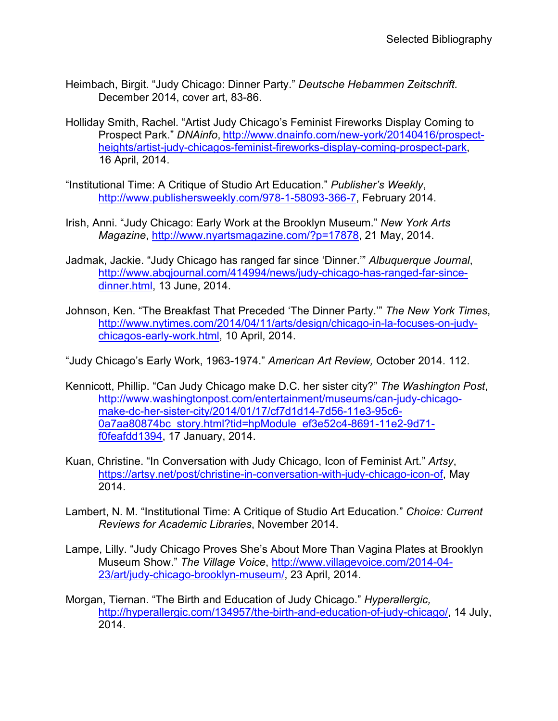- Heimbach, Birgit. "Judy Chicago: Dinner Party." *Deutsche Hebammen Zeitschrift.* December 2014, cover art, 83-86.
- Holliday Smith, Rachel. "Artist Judy Chicago's Feminist Fireworks Display Coming to Prospect Park." *DNAinfo*, [http://www.dnainfo.com/new-york/20140416/prospect](http://www.dnainfo.com/new-york/20140416/prospect-heights/artist-judy-chicagos-feminist-fireworks-display-coming-prospect-park)[heights/artist-judy-chicagos-feminist-fireworks-display-coming-prospect-park,](http://www.dnainfo.com/new-york/20140416/prospect-heights/artist-judy-chicagos-feminist-fireworks-display-coming-prospect-park) 16 April, 2014.
- "Institutional Time: A Critique of Studio Art Education." *Publisher's Weekly*, [http://www.publishersweekly.com/978-1-58093-366-7,](http://www.publishersweekly.com/978-1-58093-366-7) February 2014.
- Irish, Anni. "Judy Chicago: Early Work at the Brooklyn Museum." *New York Arts Magazine*, [http://www.nyartsmagazine.com/?p=17878,](http://www.nyartsmagazine.com/?p=17878) 21 May, 2014.
- Jadmak, Jackie. "Judy Chicago has ranged far since 'Dinner.'" *Albuquerque Journal*, [http://www.abqjournal.com/414994/news/judy-chicago-has-ranged-far-since](http://www.abqjournal.com/414994/news/judy-chicago-has-ranged-far-since-dinner.html)[dinner.html,](http://www.abqjournal.com/414994/news/judy-chicago-has-ranged-far-since-dinner.html) 13 June, 2014.
- Johnson, Ken. "The Breakfast That Preceded 'The Dinner Party.'" *The New York Times*, [http://www.nytimes.com/2014/04/11/arts/design/chicago-in-la-focuses-on-judy](http://www.nytimes.com/2014/04/11/arts/design/chicago-in-la-focuses-on-judy-chicagos-early-work.html)[chicagos-early-work.html,](http://www.nytimes.com/2014/04/11/arts/design/chicago-in-la-focuses-on-judy-chicagos-early-work.html) 10 April, 2014.
- "Judy Chicago's Early Work, 1963-1974." *American Art Review,* October 2014. 112.
- Kennicott, Phillip. "Can Judy Chicago make D.C. her sister city?" *The Washington Post*, [http://www.washingtonpost.com/entertainment/museums/can-judy-chicago](http://www.washingtonpost.com/entertainment/museums/can-judy-chicago-make-dc-her-sister-city/2014/01/17/cf7d1d14-7d56-11e3-95c6-0a7aa80874bc_story.html?tid=hpModule_ef3e52c4-8691-11e2-9d71-f0feafdd1394)[make-dc-her-sister-city/2014/01/17/cf7d1d14-7d56-11e3-95c6-](http://www.washingtonpost.com/entertainment/museums/can-judy-chicago-make-dc-her-sister-city/2014/01/17/cf7d1d14-7d56-11e3-95c6-0a7aa80874bc_story.html?tid=hpModule_ef3e52c4-8691-11e2-9d71-f0feafdd1394) 0a7aa80874bc story.html?tid=hpModule\_ef3e52c4-8691-11e2-9d71[f0feafdd1394,](http://www.washingtonpost.com/entertainment/museums/can-judy-chicago-make-dc-her-sister-city/2014/01/17/cf7d1d14-7d56-11e3-95c6-0a7aa80874bc_story.html?tid=hpModule_ef3e52c4-8691-11e2-9d71-f0feafdd1394) 17 January, 2014.
- Kuan, Christine. "In Conversation with Judy Chicago, Icon of Feminist Art." *Artsy*, [https://artsy.net/post/christine-in-conversation-with-judy-chicago-icon-of,](https://artsy.net/post/christine-in-conversation-with-judy-chicago-icon-of) May 2014.
- Lambert, N. M. "Institutional Time: A Critique of Studio Art Education." *Choice: Current Reviews for Academic Libraries*, November 2014.
- Lampe, Lilly. "Judy Chicago Proves She's About More Than Vagina Plates at Brooklyn Museum Show." *The Village Voice*, [http://www.villagevoice.com/2014-04-](http://www.villagevoice.com/2014-04-23/art/judy-chicago-brooklyn-museum/) [23/art/judy-chicago-brooklyn-museum/,](http://www.villagevoice.com/2014-04-23/art/judy-chicago-brooklyn-museum/) 23 April, 2014.
- Morgan, Tiernan. "The Birth and Education of Judy Chicago." *Hyperallergic,* [http://hyperallergic.com/134957/the-birth-and-education-of-judy-chicago/,](http://hyperallergic.com/134957/the-birth-and-education-of-judy-chicago/) 14 July, 2014.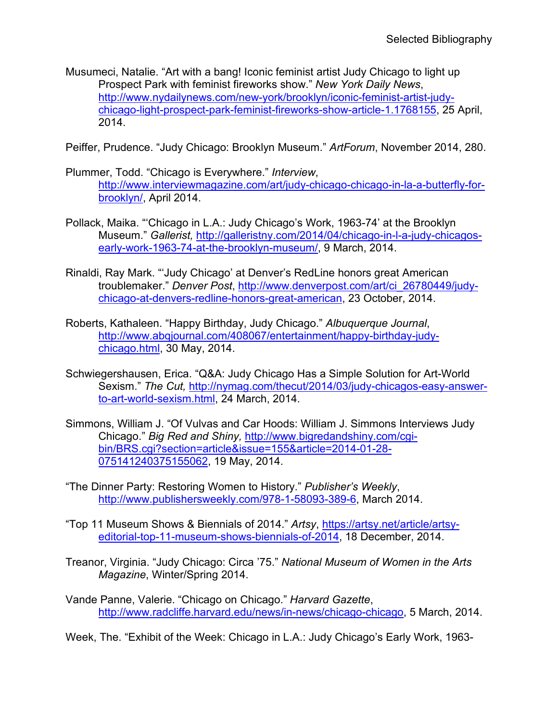Musumeci, Natalie. "Art with a bang! Iconic feminist artist Judy Chicago to light up Prospect Park with feminist fireworks show." *New York Daily News*, [http://www.nydailynews.com/new-york/brooklyn/iconic-feminist-artist-judy](http://www.nydailynews.com/new-york/brooklyn/iconic-feminist-artist-judy-chicago-light-prospect-park-feminist-fireworks-show-article-1.1768155)[chicago-light-prospect-park-feminist-fireworks-show-article-1.1768155,](http://www.nydailynews.com/new-york/brooklyn/iconic-feminist-artist-judy-chicago-light-prospect-park-feminist-fireworks-show-article-1.1768155) 25 April, 2014.

Peiffer, Prudence. "Judy Chicago: Brooklyn Museum." *ArtForum*, November 2014, 280.

- Plummer, Todd. "Chicago is Everywhere." *Interview*, [http://www.interviewmagazine.com/art/judy-chicago-chicago-in-la-a-butterfly-for](http://www.interviewmagazine.com/art/judy-chicago-chicago-in-la-a-butterfly-for-brooklyn/)[brooklyn/,](http://www.interviewmagazine.com/art/judy-chicago-chicago-in-la-a-butterfly-for-brooklyn/) April 2014.
- Pollack, Maika. "'Chicago in L.A.: Judy Chicago's Work, 1963-74' at the Brooklyn Museum." *Gallerist,* [http://galleristny.com/2014/04/chicago-in-l-a-judy-chicagos](http://galleristny.com/2014/04/chicago-in-l-a-judy-chicagos-early-work-1963-74-at-the-brooklyn-museum/)[early-work-1963-74-at-the-brooklyn-museum/,](http://galleristny.com/2014/04/chicago-in-l-a-judy-chicagos-early-work-1963-74-at-the-brooklyn-museum/) 9 March, 2014.
- Rinaldi, Ray Mark. "'Judy Chicago' at Denver's RedLine honors great American troublemaker." *Denver Post*, [http://www.denverpost.com/art/ci\\_26780449/judy](http://www.denverpost.com/art/ci_26780449/judy-chicago-at-denvers-redline-honors-great-american)[chicago-at-denvers-redline-honors-great-american,](http://www.denverpost.com/art/ci_26780449/judy-chicago-at-denvers-redline-honors-great-american) 23 October, 2014.
- Roberts, Kathaleen. "Happy Birthday, Judy Chicago." *Albuquerque Journal*, [http://www.abqjournal.com/408067/entertainment/happy-birthday-judy](http://www.abqjournal.com/408067/entertainment/happy-birthday-judy-chicago.html)[chicago.html,](http://www.abqjournal.com/408067/entertainment/happy-birthday-judy-chicago.html) 30 May, 2014.
- Schwiegershausen, Erica. "Q&A: Judy Chicago Has a Simple Solution for Art-World Sexism." *The Cut,* [http://nymag.com/thecut/2014/03/judy-chicagos-easy-answer](http://nymag.com/thecut/2014/03/judy-chicagos-easy-answer-to-art-world-sexism.html)[to-art-world-sexism.html,](http://nymag.com/thecut/2014/03/judy-chicagos-easy-answer-to-art-world-sexism.html) 24 March, 2014.
- Simmons, William J. "Of Vulvas and Car Hoods: William J. Simmons Interviews Judy Chicago." *Big Red and Shiny,* [http://www.bigredandshiny.com/cgi](http://www.bigredandshiny.com/cgi-bin/BRS.cgi?section=article&issue=155&article=2014-01-28-075141240375155062)[bin/BRS.cgi?section=article&issue=155&article=2014-01-28-](http://www.bigredandshiny.com/cgi-bin/BRS.cgi?section=article&issue=155&article=2014-01-28-075141240375155062) [075141240375155062,](http://www.bigredandshiny.com/cgi-bin/BRS.cgi?section=article&issue=155&article=2014-01-28-075141240375155062) 19 May, 2014.
- "The Dinner Party: Restoring Women to History." *Publisher's Weekly*, [http://www.publishersweekly.com/978-1-58093-389-6,](http://www.publishersweekly.com/978-1-58093-389-6) March 2014.
- "Top 11 Museum Shows & Biennials of 2014." *Artsy*, [https://artsy.net/article/artsy](https://artsy.net/article/artsy-editorial-top-11-museum-shows-biennials-of-2014)[editorial-top-11-museum-shows-biennials-of-2014,](https://artsy.net/article/artsy-editorial-top-11-museum-shows-biennials-of-2014) 18 December, 2014.
- Treanor, Virginia. "Judy Chicago: Circa '75." *National Museum of Women in the Arts Magazine*, Winter/Spring 2014.
- Vande Panne, Valerie. "Chicago on Chicago." *Harvard Gazette*, [http://www.radcliffe.harvard.edu/news/in-news/chicago-chicago,](http://www.radcliffe.harvard.edu/news/in-news/chicago-chicago) 5 March, 2014.

Week, The. "Exhibit of the Week: Chicago in L.A.: Judy Chicago's Early Work, 1963-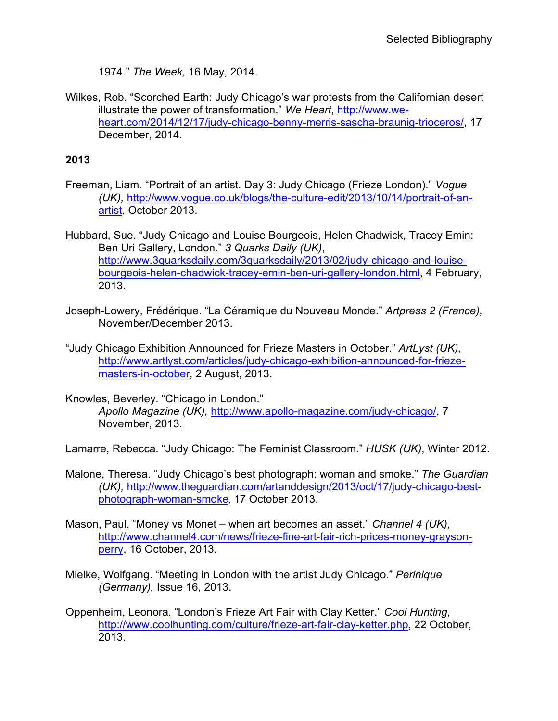1974." *The Week,* 16 May, 2014.

Wilkes, Rob. "Scorched Earth: Judy Chicago's war protests from the Californian desert illustrate the power of transformation." *We Heart*, [http://www.we](http://www.we-heart.com/2014/12/17/judy-chicago-benny-merris-sascha-braunig-trioceros/)[heart.com/2014/12/17/judy-chicago-benny-merris-sascha-braunig-trioceros/,](http://www.we-heart.com/2014/12/17/judy-chicago-benny-merris-sascha-braunig-trioceros/) 17 December, 2014.

### **2013**

- Freeman, Liam. "Portrait of an artist. Day 3: Judy Chicago (Frieze London)." *Vogue (UK),* [http://www.vogue.co.uk/blogs/the-culture-edit/2013/10/14/portrait-of-an](http://www.vogue.co.uk/blogs/the-culture-edit/2013/10/14/portrait-of-an-artist)[artist,](http://www.vogue.co.uk/blogs/the-culture-edit/2013/10/14/portrait-of-an-artist) October 2013.
- Hubbard, Sue. "Judy Chicago and Louise Bourgeois, Helen Chadwick, Tracey Emin: Ben Uri Gallery, London." *3 Quarks Daily (UK)*, [http://www.3quarksdaily.com/3quarksdaily/2013/02/judy-chicago-and-louise](http://www.3quarksdaily.com/3quarksdaily/2013/02/judy-chicago-and-louise-bourgeois-helen-chadwick-tracey-emin-ben-uri-gallery-london.html)[bourgeois-helen-chadwick-tracey-emin-ben-uri-gallery-london.html,](http://www.3quarksdaily.com/3quarksdaily/2013/02/judy-chicago-and-louise-bourgeois-helen-chadwick-tracey-emin-ben-uri-gallery-london.html) 4 February, 2013.
- Joseph-Lowery, Frédérique. "La Céramique du Nouveau Monde." *Artpress 2 (France),*  November/December 2013.
- "Judy Chicago Exhibition Announced for Frieze Masters in October." *ArtLyst (UK),*  [http://www.artlyst.com/articles/judy-chicago-exhibition-announced-for-frieze](http://www.artlyst.com/articles/judy-chicago-exhibition-announced-for-frieze-masters-in-october)[masters-in-october,](http://www.artlyst.com/articles/judy-chicago-exhibition-announced-for-frieze-masters-in-october) 2 August, 2013.
- Knowles, Beverley. "Chicago in London." *Apollo Magazine (UK),* [http://www.apollo-magazine.com/judy-chicago/,](http://www.apollo-magazine.com/judy-chicago/) 7 November, 2013.

Lamarre, Rebecca. "Judy Chicago: The Feminist Classroom." *HUSK (UK)*, Winter 2012.

- Malone, Theresa. "Judy Chicago's best photograph: woman and smoke." *The Guardian (UK),* [http://www.theguardian.com/artanddesign/2013/oct/17/judy-chicago-best](http://www.theguardian.com/artanddesign/2013/oct/17/judy-chicago-best-photograph-woman-smoke)[photograph-woman-smoke](http://www.theguardian.com/artanddesign/2013/oct/17/judy-chicago-best-photograph-woman-smoke), 17 October 2013.
- Mason, Paul. "Money vs Monet when art becomes an asset." *Channel 4 (UK),*  [http://www.channel4.com/news/frieze-fine-art-fair-rich-prices-money-grayson](http://www.channel4.com/news/frieze-fine-art-fair-rich-prices-money-grayson-perry)[perry,](http://www.channel4.com/news/frieze-fine-art-fair-rich-prices-money-grayson-perry) 16 October, 2013.
- Mielke, Wolfgang. "Meeting in London with the artist Judy Chicago." *Perinique (Germany),* Issue 16, 2013.
- Oppenheim, Leonora. "London's Frieze Art Fair with Clay Ketter." *Cool Hunting,* [http://www.coolhunting.com/culture/frieze-art-fair-clay-ketter.php,](http://www.coolhunting.com/culture/frieze-art-fair-clay-ketter.php) 22 October, 2013.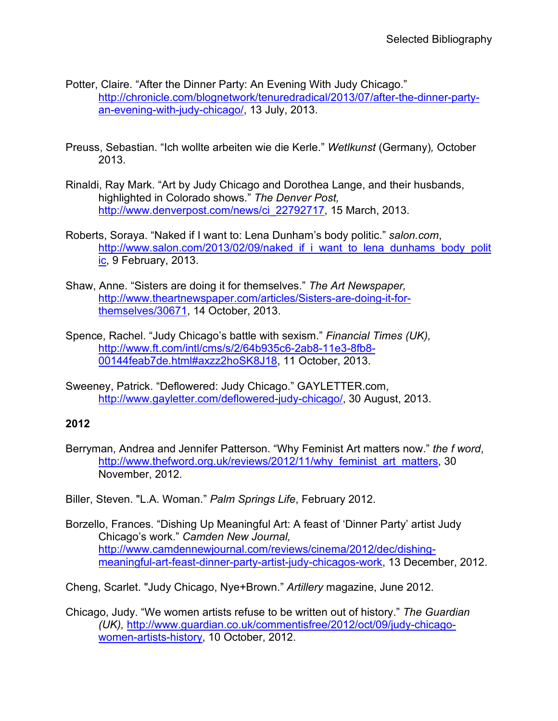- Potter, Claire. "After the Dinner Party: An Evening With Judy Chicago." [http://chronicle.com/blognetwork/tenuredradical/2013/07/after-the-dinner-party](http://chronicle.com/blognetwork/tenuredradical/2013/07/after-the-dinner-party-an-evening-with-judy-chicago/)[an-evening-with-judy-chicago/,](http://chronicle.com/blognetwork/tenuredradical/2013/07/after-the-dinner-party-an-evening-with-judy-chicago/) 13 July, 2013.
- Preuss, Sebastian. "Ich wollte arbeiten wie die Kerle." *Wetlkunst* (Germany)*,* October 2013.
- Rinaldi, Ray Mark. "Art by Judy Chicago and Dorothea Lange, and their husbands, highlighted in Colorado shows." *The Denver Post,*  [http://www.denverpost.com/news/ci\\_22792717,](http://www.denverpost.com/news/ci_22792717) 15 March, 2013.
- Roberts, Soraya. "Naked if I want to: Lena Dunham's body politic." *salon.com*, [http://www.salon.com/2013/02/09/naked\\_if\\_i\\_want\\_to\\_lena\\_dunhams\\_body\\_polit](http://www.salon.com/2013/02/09/naked_if_i_want_to_lena_dunhams_body_politic) [ic,](http://www.salon.com/2013/02/09/naked_if_i_want_to_lena_dunhams_body_politic) 9 February, 2013.
- Shaw, Anne. "Sisters are doing it for themselves." *The Art Newspaper,*  [http://www.theartnewspaper.com/articles/Sisters-are-doing-it-for](http://www.theartnewspaper.com/articles/Sisters-are-doing-it-for-themselves/30671)[themselves/30671,](http://www.theartnewspaper.com/articles/Sisters-are-doing-it-for-themselves/30671) 14 October, 2013.
- Spence, Rachel. "Judy Chicago's battle with sexism." *Financial Times (UK),* [http://www.ft.com/intl/cms/s/2/64b935c6-2ab8-11e3-8fb8-](http://www.ft.com/intl/cms/s/2/64b935c6-2ab8-11e3-8fb8-00144feab7de.html#axzz2hoSK8J18) [00144feab7de.html#axzz2hoSK8J18,](http://www.ft.com/intl/cms/s/2/64b935c6-2ab8-11e3-8fb8-00144feab7de.html#axzz2hoSK8J18) 11 October, 2013.
- Sweeney, Patrick. "Deflowered: Judy Chicago." GAYLETTER.com, [http://www.gayletter.com/deflowered-judy-chicago/,](http://www.gayletter.com/deflowered-judy-chicago/) 30 August, 2013.

- Berryman, Andrea and Jennifer Patterson. "Why Feminist Art matters now." *the f word*, [http://www.thefword.org.uk/reviews/2012/11/why\\_feminist\\_art\\_matters,](http://www.thefword.org.uk/reviews/2012/11/why_feminist_art_matters) 30 November, 2012.
- Biller, Steven. "L.A. Woman." *Palm Springs Life*, February 2012.
- Borzello, Frances. "Dishing Up Meaningful Art: A feast of 'Dinner Party' artist Judy Chicago's work." *Camden New Journal,* [http://www.camdennewjournal.com/reviews/cinema/2012/dec/dishing](http://www.camdennewjournal.com/reviews/cinema/2012/dec/dishing-meaningful-art-feast-dinner-party-artist-judy-chicagos-work)[meaningful-art-feast-dinner-party-artist-judy-chicagos-work,](http://www.camdennewjournal.com/reviews/cinema/2012/dec/dishing-meaningful-art-feast-dinner-party-artist-judy-chicagos-work) 13 December, 2012.

Cheng, Scarlet. "Judy Chicago, Nye+Brown." *Artillery* magazine, June 2012.

Chicago, Judy. "We women artists refuse to be written out of history." *The Guardian (UK),* [http://www.guardian.co.uk/commentisfree/2012/oct/09/judy-chicago](http://www.guardian.co.uk/commentisfree/2012/oct/09/judy-chicago-women-artists-history)[women-artists-history,](http://www.guardian.co.uk/commentisfree/2012/oct/09/judy-chicago-women-artists-history) 10 October, 2012.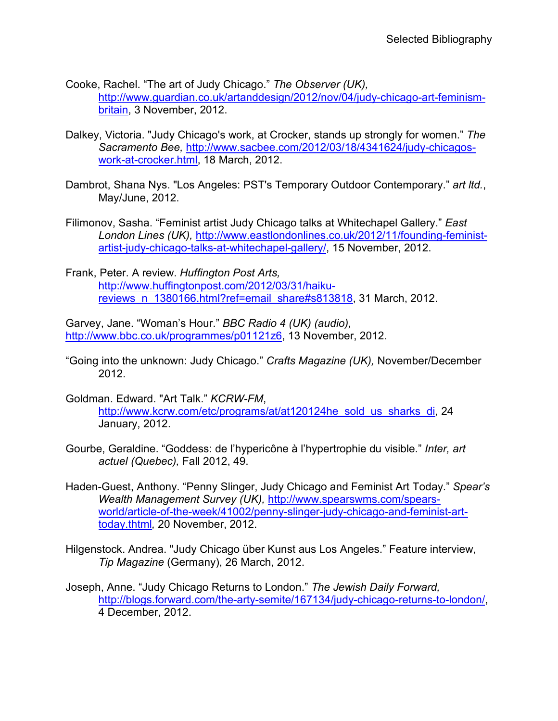Cooke, Rachel. "The art of Judy Chicago." *The Observer (UK),* [http://www.guardian.co.uk/artanddesign/2012/nov/04/judy-chicago-art-feminism](http://www.guardian.co.uk/artanddesign/2012/nov/04/judy-chicago-art-feminism-britain)[britain,](http://www.guardian.co.uk/artanddesign/2012/nov/04/judy-chicago-art-feminism-britain) 3 November, 2012.

- Dalkey, Victoria. "Judy Chicago's work, at Crocker, stands up strongly for women." *The Sacramento Bee,* [http://www.sacbee.com/2012/03/18/4341624/judy-chicagos](http://www.sacbee.com/2012/03/18/4341624/judy-chicagos-work-at-crocker.html)[work-at-crocker.html,](http://www.sacbee.com/2012/03/18/4341624/judy-chicagos-work-at-crocker.html) 18 March, 2012.
- Dambrot, Shana Nys. "Los Angeles: PST's Temporary Outdoor Contemporary." *art ltd.*, May/June, 2012.
- Filimonov, Sasha. "Feminist artist Judy Chicago talks at Whitechapel Gallery." *East London Lines (UK),* [http://www.eastlondonlines.co.uk/2012/11/founding-feminist](http://www.eastlondonlines.co.uk/2012/11/founding-feminist-artist-judy-chicago-talks-at-whitechapel-gallery/)[artist-judy-chicago-talks-at-whitechapel-gallery/,](http://www.eastlondonlines.co.uk/2012/11/founding-feminist-artist-judy-chicago-talks-at-whitechapel-gallery/) 15 November, 2012.

Frank, Peter. A review. *Huffington Post Arts,*  [http://www.huffingtonpost.com/2012/03/31/haiku](http://www.huffingtonpost.com/2012/03/31/haiku-reviews_n_1380166.html?ref=email_share#s813818)[reviews\\_n\\_1380166.html?ref=email\\_share#s813818,](http://www.huffingtonpost.com/2012/03/31/haiku-reviews_n_1380166.html?ref=email_share#s813818) 31 March, 2012.

Garvey, Jane. "Woman's Hour." *BBC Radio 4 (UK) (audio),*  [http://www.bbc.co.uk/programmes/p01121z6,](http://www.bbc.co.uk/programmes/p01121z6) 13 November, 2012.

"Going into the unknown: Judy Chicago." *Crafts Magazine (UK),* November/December 2012.

Goldman. Edward. "Art Talk." *KCRW-FM*, [http://www.kcrw.com/etc/programs/at/at120124he\\_sold\\_us\\_sharks\\_di,](http://www.kcrw.com/etc/programs/at/at120124he_sold_us_sharks_di) 24 January, 2012.

- Gourbe, Geraldine. "Goddess: de l'hypericône à l'hypertrophie du visible." *Inter, art actuel (Quebec),* Fall 2012, 49.
- Haden-Guest, Anthony. "Penny Slinger, Judy Chicago and Feminist Art Today." *Spear's Wealth Management Survey (UK),* [http://www.spearswms.com/spears](http://www.spearswms.com/spears-world/article-of-the-week/41002/penny-slinger-judy-chicago-and-feminist-art-today.thtml)[world/article-of-the-week/41002/penny-slinger-judy-chicago-and-feminist-art](http://www.spearswms.com/spears-world/article-of-the-week/41002/penny-slinger-judy-chicago-and-feminist-art-today.thtml)[today.thtml](http://www.spearswms.com/spears-world/article-of-the-week/41002/penny-slinger-judy-chicago-and-feminist-art-today.thtml)*,* 20 November, 2012.
- Hilgenstock. Andrea. "Judy Chicago über Kunst aus Los Angeles." Feature interview, *Tip Magazine* (Germany), 26 March, 2012.
- Joseph, Anne. "Judy Chicago Returns to London." *The Jewish Daily Forward,* [http://blogs.forward.com/the-arty-semite/167134/judy-chicago-returns-to-london/,](http://blogs.forward.com/the-arty-semite/167134/judy-chicago-returns-to-london/) 4 December, 2012.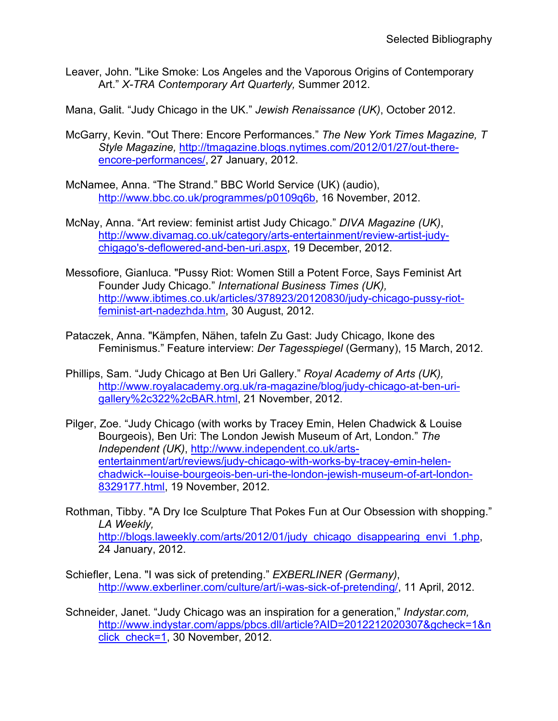- Leaver, John. "Like Smoke: Los Angeles and the Vaporous Origins of Contemporary Art." *X-TRA Contemporary Art Quarterly,* Summer 2012.
- Mana, Galit. "Judy Chicago in the UK." *Jewish Renaissance (UK)*, October 2012.
- McGarry, Kevin. "Out There: Encore Performances." *The New York Times Magazine, T Style Magazine,* [http://tmagazine.blogs.nytimes.com/2012/01/27/out-there](http://tmagazine.blogs.nytimes.com/2012/01/27/out-there-encore-performances/)[encore-performances/,](http://tmagazine.blogs.nytimes.com/2012/01/27/out-there-encore-performances/) 27 January, 2012.
- McNamee, Anna. "The Strand." BBC World Service (UK) (audio), [http://www.bbc.co.uk/programmes/p0109q6b,](http://www.bbc.co.uk/programmes/p0109q6b) 16 November, 2012.
- McNay, Anna. "Art review: feminist artist Judy Chicago." *DIVA Magazine (UK)*, [http://www.divamag.co.uk/category/arts-entertainment/review-artist-judy](http://www.divamag.co.uk/category/arts-entertainment/review-artist-judy-chigago)[chigago's-deflowered-and-ben-uri.aspx,](http://www.divamag.co.uk/category/arts-entertainment/review-artist-judy-chigago) 19 December, 2012.
- Messofiore, Gianluca. "Pussy Riot: Women Still a Potent Force, Says Feminist Art Founder Judy Chicago." *International Business Times (UK),*  [http://www.ibtimes.co.uk/articles/378923/20120830/judy-chicago-pussy-riot](http://www.ibtimes.co.uk/articles/378923/20120830/judy-chicago-pussy-riot-feminist-art-nadezhda.htm)[feminist-art-nadezhda.htm,](http://www.ibtimes.co.uk/articles/378923/20120830/judy-chicago-pussy-riot-feminist-art-nadezhda.htm) 30 August, 2012.
- Pataczek, Anna. "Kämpfen, Nähen, tafeln Zu Gast: Judy Chicago, Ikone des Feminismus." Feature interview: *Der Tagesspiegel* (Germany), 15 March, 2012.
- Phillips, Sam. "Judy Chicago at Ben Uri Gallery." *Royal Academy of Arts (UK),* [http://www.royalacademy.org.uk/ra-magazine/blog/judy-chicago-at-ben-uri](http://www.royalacademy.org.uk/ra-magazine/blog/judy-chicago-at-ben-uri-gallery%2c322%2cBAR.html)[gallery%2c322%2cBAR.html,](http://www.royalacademy.org.uk/ra-magazine/blog/judy-chicago-at-ben-uri-gallery%2c322%2cBAR.html) 21 November, 2012.
- Pilger, Zoe. "Judy Chicago (with works by Tracey Emin, Helen Chadwick & Louise Bourgeois), Ben Uri: The London Jewish Museum of Art, London." *The Independent (UK)*, [http://www.independent.co.uk/arts](http://www.independent.co.uk/arts-entertainment/art/reviews/judy-chicago-with-works-by-tracey-emin-helen-chadwick--louise-bourgeois-ben-uri-the-london-jewish-museum-of-art-london-8329177.html)[entertainment/art/reviews/judy-chicago-with-works-by-tracey-emin-helen](http://www.independent.co.uk/arts-entertainment/art/reviews/judy-chicago-with-works-by-tracey-emin-helen-chadwick--louise-bourgeois-ben-uri-the-london-jewish-museum-of-art-london-8329177.html)[chadwick--louise-bourgeois-ben-uri-the-london-jewish-museum-of-art-london-](http://www.independent.co.uk/arts-entertainment/art/reviews/judy-chicago-with-works-by-tracey-emin-helen-chadwick--louise-bourgeois-ben-uri-the-london-jewish-museum-of-art-london-8329177.html)[8329177.html,](http://www.independent.co.uk/arts-entertainment/art/reviews/judy-chicago-with-works-by-tracey-emin-helen-chadwick--louise-bourgeois-ben-uri-the-london-jewish-museum-of-art-london-8329177.html) 19 November, 2012.
- Rothman, Tibby. "A Dry Ice Sculpture That Pokes Fun at Our Obsession with shopping." *LA Weekly,*  [http://blogs.laweekly.com/arts/2012/01/judy\\_chicago\\_disappearing\\_envi\\_1.php,](http://blogs.laweekly.com/arts/2012/01/judy_chicago_disappearing_envi_1.php) 24 January, 2012.
- Schiefler, Lena. "I was sick of pretending." *EXBERLINER (Germany)*, [http://www.exberliner.com/culture/art/i-was-sick-of-pretending/,](http://www.exberliner.com/culture/art/i-was-sick-of-pretending/) 11 April, 2012.
- Schneider, Janet. "Judy Chicago was an inspiration for a generation," *Indystar.com,* [http://www.indystar.com/apps/pbcs.dll/article?AID=2012212020307&gcheck=1&n](http://www.indystar.com/apps/pbcs.dll/article?AID=2012212020307&gcheck=1&nclick_check=1) click check=1, 30 November, 2012.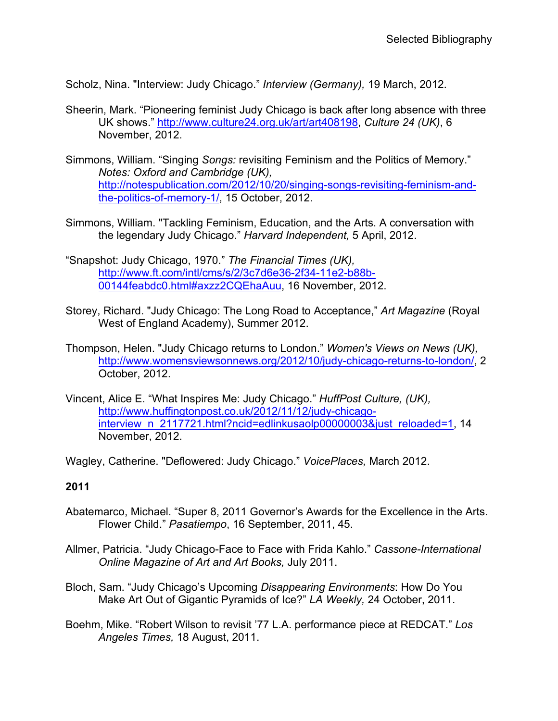Scholz, Nina. "Interview: Judy Chicago." *Interview (Germany),* 19 March, 2012.

- Sheerin, Mark. "Pioneering feminist Judy Chicago is back after long absence with three UK shows." [http://www.culture24.org.uk/art/art408198,](http://www.culture24.org.uk/art/art408198) *Culture 24 (UK)*, 6 November, 2012.
- Simmons, William. "Singing *Songs:* revisiting Feminism and the Politics of Memory." *Notes: Oxford and Cambridge (UK),* [http://notespublication.com/2012/10/20/singing-songs-revisiting-feminism-and](http://notespublication.com/2012/10/20/singing-songs-revisiting-feminism-and-the-politics-of-memory-1/)[the-politics-of-memory-1/,](http://notespublication.com/2012/10/20/singing-songs-revisiting-feminism-and-the-politics-of-memory-1/) 15 October, 2012.
- Simmons, William. "Tackling Feminism, Education, and the Arts. A conversation with the legendary Judy Chicago." *Harvard Independent,* 5 April, 2012.
- "Snapshot: Judy Chicago, 1970." *The Financial Times (UK),* [http://www.ft.com/intl/cms/s/2/3c7d6e36-2f34-11e2-b88b-](http://www.ft.com/intl/cms/s/2/3c7d6e36-2f34-11e2-b88b-00144feabdc0.html#axzz2CQEhaAuu)[00144feabdc0.html#axzz2CQEhaAuu,](http://www.ft.com/intl/cms/s/2/3c7d6e36-2f34-11e2-b88b-00144feabdc0.html#axzz2CQEhaAuu) 16 November, 2012.
- Storey, Richard. "Judy Chicago: The Long Road to Acceptance," *Art Magazine* (Royal West of England Academy), Summer 2012.
- Thompson, Helen. "Judy Chicago returns to London." *Women's Views on News (UK),*  [http://www.womensviewsonnews.org/2012/10/judy-chicago-returns-to-london/,](http://www.womensviewsonnews.org/2012/10/judy-chicago-returns-to-london/) 2 October, 2012.
- Vincent, Alice E. "What Inspires Me: Judy Chicago." *HuffPost Culture, (UK),* [http://www.huffingtonpost.co.uk/2012/11/12/judy-chicago](http://www.huffingtonpost.co.uk/2012/11/12/judy-chicago-interview_n_2117721.html?ncid=edlinkusaolp00000003&just_reloaded=1)[interview\\_n\\_2117721.html?ncid=edlinkusaolp00000003&just\\_reloaded=1,](http://www.huffingtonpost.co.uk/2012/11/12/judy-chicago-interview_n_2117721.html?ncid=edlinkusaolp00000003&just_reloaded=1) 14 November, 2012.

Wagley, Catherine. "Deflowered: Judy Chicago." *VoicePlaces,* March 2012.

### **2011**

- Abatemarco, Michael. "Super 8, 2011 Governor's Awards for the Excellence in the Arts. Flower Child." *Pasatiempo*, 16 September, 2011, 45.
- Allmer, Patricia. "Judy Chicago-Face to Face with Frida Kahlo." *Cassone-International Online Magazine of Art and Art Books,* July 2011.
- Bloch, Sam. "Judy Chicago's Upcoming *Disappearing Environments*: How Do You Make Art Out of Gigantic Pyramids of Ice?" *LA Weekly,* 24 October, 2011.
- Boehm, Mike. "Robert Wilson to revisit '77 L.A. performance piece at REDCAT." *Los Angeles Times,* 18 August, 2011.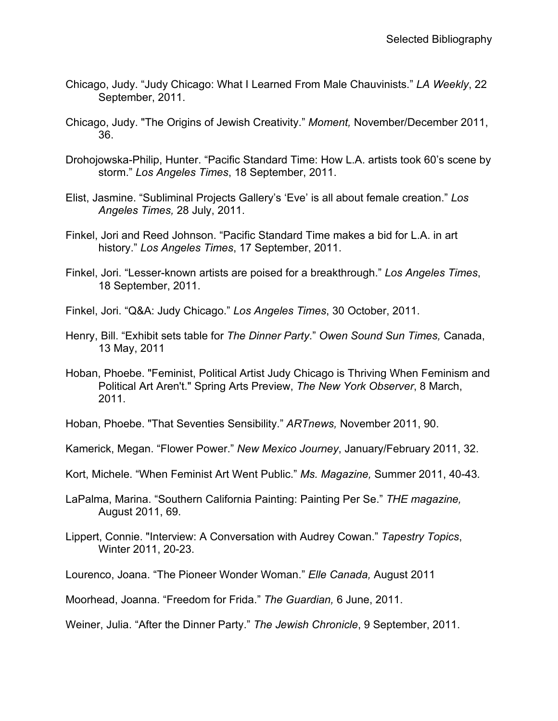- Chicago, Judy. "Judy Chicago: What I Learned From Male Chauvinists." *LA Weekly*, 22 September, 2011.
- Chicago, Judy. "The Origins of Jewish Creativity." *Moment,* November/December 2011, 36.
- Drohojowska-Philip, Hunter. "Pacific Standard Time: How L.A. artists took 60's scene by storm." *Los Angeles Times*, 18 September, 2011.
- Elist, Jasmine. "Subliminal Projects Gallery's 'Eve' is all about female creation." *Los Angeles Times,* 28 July, 2011.
- Finkel, Jori and Reed Johnson. "Pacific Standard Time makes a bid for L.A. in art history." *Los Angeles Times*, 17 September, 2011.
- Finkel, Jori. "Lesser-known artists are poised for a breakthrough." *Los Angeles Times*, 18 September, 2011.
- Finkel, Jori. "Q&A: Judy Chicago." *Los Angeles Times*, 30 October, 2011.
- Henry, Bill. "Exhibit sets table for *The Dinner Party*." *Owen Sound Sun Times,* Canada, 13 May, 2011
- Hoban, Phoebe. "Feminist, Political Artist Judy Chicago is Thriving When Feminism and Political Art Aren't." Spring Arts Preview, *The New York Observer*, 8 March, 2011.
- Hoban, Phoebe. "That Seventies Sensibility." *ARTnews,* November 2011, 90.
- Kamerick, Megan. "Flower Power." *New Mexico Journey*, January/February 2011, 32.
- Kort, Michele. "When Feminist Art Went Public." *Ms. Magazine,* Summer 2011, 40-43*.*
- LaPalma, Marina. "Southern California Painting: Painting Per Se." *THE magazine,* August 2011, 69.
- Lippert, Connie. "Interview: A Conversation with Audrey Cowan." *Tapestry Topics*, Winter 2011, 20-23.
- Lourenco, Joana. "The Pioneer Wonder Woman." *Elle Canada,* August 2011
- Moorhead, Joanna. "Freedom for Frida." *The Guardian,* 6 June, 2011.
- Weiner, Julia. "After the Dinner Party." *The Jewish Chronicle*, 9 September, 2011.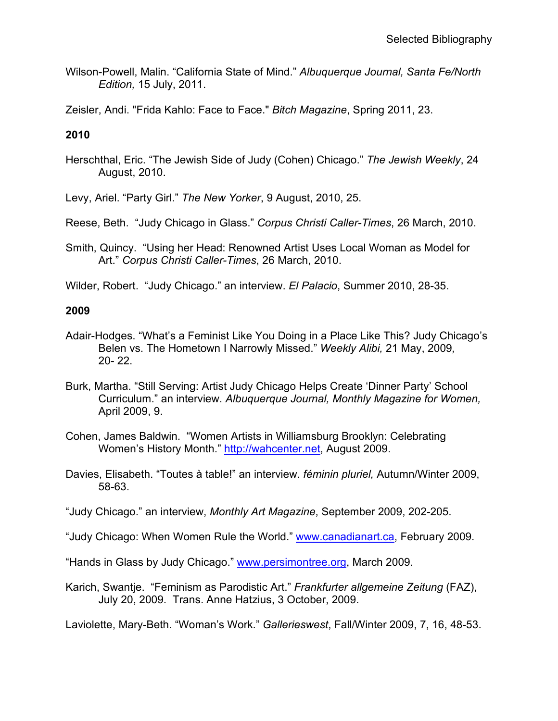Wilson-Powell, Malin. "California State of Mind." *Albuquerque Journal, Santa Fe/North Edition,* 15 July, 2011.

Zeisler, Andi. "Frida Kahlo: Face to Face." *Bitch Magazine*, Spring 2011, 23.

## **2010**

Herschthal, Eric. "The Jewish Side of Judy (Cohen) Chicago." *The Jewish Weekly*, 24 August, 2010.

Levy, Ariel. "Party Girl." *The New Yorker*, 9 August, 2010, 25.

Reese, Beth. "Judy Chicago in Glass." *Corpus Christi Caller-Times*, 26 March, 2010.

Smith, Quincy. "Using her Head: Renowned Artist Uses Local Woman as Model for Art." *Corpus Christi Caller-Times*, 26 March, 2010.

Wilder, Robert. "Judy Chicago." an interview. *El Palacio*, Summer 2010, 28-35.

### **2009**

- Adair-Hodges. "What's a Feminist Like You Doing in a Place Like This? Judy Chicago's Belen vs. The Hometown I Narrowly Missed." *Weekly Alibi,* 21 May, 2009*,*  20- 22.
- Burk, Martha. "Still Serving: Artist Judy Chicago Helps Create 'Dinner Party' School Curriculum." an interview. *Albuquerque Journal, Monthly Magazine for Women,* April 2009, 9.
- Cohen, James Baldwin. "Women Artists in Williamsburg Brooklyn: Celebrating Women's History Month." [http://wahcenter.net,](http://wahcenter.net/) August 2009.
- Davies, Elisabeth. "Toutes à table!" an interview. *féminin pluriel,* Autumn/Winter 2009, 58-63.

"Judy Chicago." an interview, *Monthly Art Magazine*, September 2009, 202-205.

"Judy Chicago: When Women Rule the World." [www.canadianart.ca,](http://www.canadianart.ca/) February 2009.

"Hands in Glass by Judy Chicago." [www.persimontree.org,](http://www.persimontree.org/) March 2009.

Karich, Swantje. "Feminism as Parodistic Art." *Frankfurter allgemeine Zeitung* (FAZ), July 20, 2009. Trans. Anne Hatzius, 3 October, 2009.

Laviolette, Mary-Beth. "Woman's Work." *Gallerieswest*, Fall/Winter 2009, 7, 16, 48-53.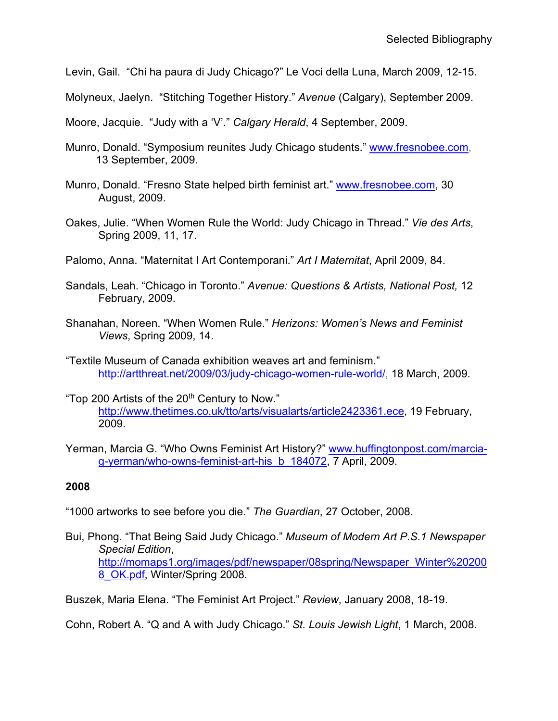- Levin, Gail. "Chi ha paura di Judy Chicago?" Le Voci della Luna, March 2009, 12-15.
- Molyneux, Jaelyn. "Stitching Together History." *Avenue* (Calgary), September 2009.
- Moore, Jacquie. "Judy with a 'V'." *Calgary Herald*, 4 September, 2009.
- Munro, Donald. "Symposium reunites Judy Chicago students." [www.fresnobee.com,](http://www.fresnobee.com/) 13 September, 2009.
- Munro, Donald. "Fresno State helped birth feminist art." [www.fresnobee.com,](http://www.fresnobee.com/) 30 August, 2009.
- Oakes, Julie. "When Women Rule the World: Judy Chicago in Thread." *Vie des Arts*, Spring 2009, 11, 17.
- Palomo, Anna. "Maternitat I Art Contemporani." *Art I Maternitat*, April 2009, 84.
- Sandals, Leah. "Chicago in Toronto." *Avenue: Questions & Artists, National Post,* 12 February, 2009.
- Shanahan, Noreen. "When Women Rule." *Herizons: Women's News and Feminist Views*, Spring 2009, 14.
- "Textile Museum of Canada exhibition weaves art and feminism." [http://artthreat.net/2009/03/judy-chicago-women-rule-world/,](http://artthreat.net/2009/03/judy-chicago-women-rule-world/) 18 March, 2009.
- "Top 200 Artists of the 20<sup>th</sup> Century to Now." [http://www.thetimes.co.uk/tto/arts/visualarts/article2423361.ece,](http://www.thetimes.co.uk/tto/arts/visualarts/article2423361.ece) 19 February, 2009.
- Yerman, Marcia G. "Who Owns Feminist Art History?" [www.huffingtonpost.com/marcia](http://www.huffingtonpost.com/marcia-g-yerman/who-owns-feminist-art-his_b_184072)[g-yerman/who-owns-feminist-art-his\\_b\\_184072,](http://www.huffingtonpost.com/marcia-g-yerman/who-owns-feminist-art-his_b_184072) 7 April, 2009.

- "1000 artworks to see before you die." *The Guardian*, 27 October, 2008.
- Bui, Phong. "That Being Said Judy Chicago." *Museum of Modern Art P.S.1 Newspaper Special Edition*, [http://momaps1.org/images/pdf/newspaper/08spring/Newspaper\\_Winter%20200](http://momaps1.org/images/pdf/newspaper/08spring/Newspaper_Winter%202008_OK.pdf) 8 OK.pdf, Winter/Spring 2008.

Buszek, Maria Elena. "The Feminist Art Project." *Review*, January 2008, 18-19.

Cohn, Robert A. "Q and A with Judy Chicago." *St. Louis Jewish Light*, 1 March, 2008.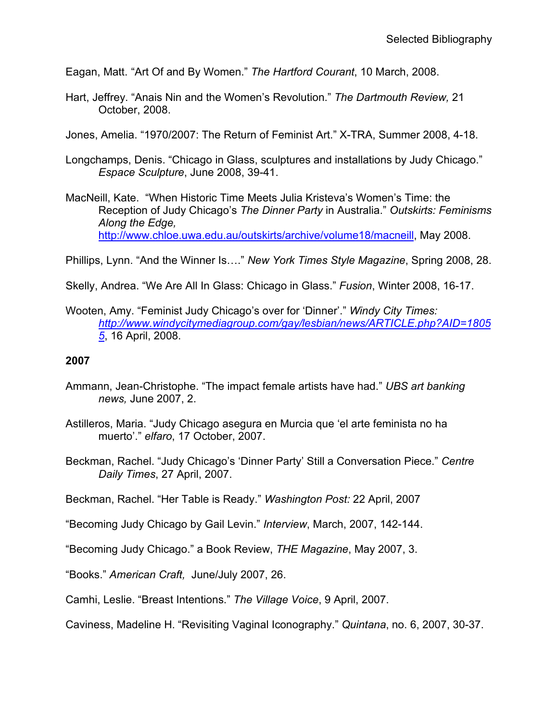Eagan, Matt. "Art Of and By Women." *The Hartford Courant*, 10 March, 2008.

Hart, Jeffrey. "Anais Nin and the Women's Revolution." *The Dartmouth Review,* 21 October, 2008.

Jones, Amelia. "1970/2007: The Return of Feminist Art." X-TRA, Summer 2008, 4-18.

- Longchamps, Denis. "Chicago in Glass, sculptures and installations by Judy Chicago." *Espace Sculpture*, June 2008, 39-41.
- MacNeill, Kate. "When Historic Time Meets Julia Kristeva's Women's Time: the Reception of Judy Chicago's *The Dinner Party* in Australia." *Outskirts: Feminisms Along the Edge,*  [http://www.chloe.uwa.edu.au/outskirts/archive/volume18/macneill,](http://www.chloe.uwa.edu.au/outskirts/archive/volume18/macneill) May 2008.

Phillips, Lynn. "And the Winner Is…." *New York Times Style Magazine*, Spring 2008, 28.

- Skelly, Andrea. "We Are All In Glass: Chicago in Glass." *Fusion*, Winter 2008, 16-17.
- Wooten, Amy. "Feminist Judy Chicago's over for 'Dinner'." *Windy City Times: [http://www.windycitymediagroup.com/gay/lesbian/news/ARTICLE.php?AID=1805](http://www.windycitymediagroup.com/gay/lesbian/news/ARTICLE.php?AID=18055) [5](http://www.windycitymediagroup.com/gay/lesbian/news/ARTICLE.php?AID=18055)*, 16 April, 2008.

### **2007**

- Ammann, Jean-Christophe. "The impact female artists have had." *UBS art banking news,* June 2007, 2.
- Astilleros, Maria. "Judy Chicago asegura en Murcia que 'el arte feminista no ha muerto'." *elfaro*, 17 October, 2007.
- Beckman, Rachel. "Judy Chicago's 'Dinner Party' Still a Conversation Piece." *Centre Daily Times*, 27 April, 2007.

Beckman, Rachel. "Her Table is Ready." *Washington Post:* 22 April, 2007

"Becoming Judy Chicago by Gail Levin." *Interview*, March, 2007, 142-144.

"Becoming Judy Chicago." a Book Review, *THE Magazine*, May 2007, 3.

"Books." *American Craft,* June/July 2007, 26.

Camhi, Leslie. "Breast Intentions." *The Village Voice*, 9 April, 2007.

Caviness, Madeline H. "Revisiting Vaginal Iconography." *Quintana*, no. 6, 2007, 30-37.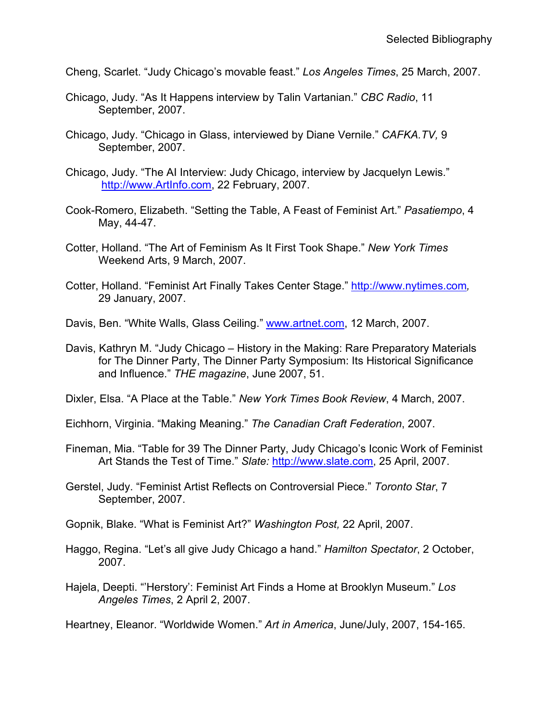Cheng, Scarlet. "Judy Chicago's movable feast." *Los Angeles Times*, 25 March, 2007.

- Chicago, Judy. "As It Happens interview by Talin Vartanian." *CBC Radio*, 11 September, 2007.
- Chicago, Judy. "Chicago in Glass, interviewed by Diane Vernile." *CAFKA.TV,* 9 September, 2007.
- Chicago, Judy. "The AI Interview: Judy Chicago, interview by Jacquelyn Lewis." [http://www.ArtInfo.com,](http://www.artinfo.com/) 22 February, 2007.
- Cook-Romero, Elizabeth. "Setting the Table, A Feast of Feminist Art." *Pasatiempo*, 4 May, 44-47.
- Cotter, Holland. "The Art of Feminism As It First Took Shape." *New York Times* Weekend Arts, 9 March, 2007.
- Cotter, Holland. "Feminist Art Finally Takes Center Stage." [http://www.nytimes.com](http://www.nytimes.com/)*,* 29 January, 2007.
- Davis, Ben. "White Walls, Glass Ceiling." [www.artnet.com,](http://www.artnet.com/) 12 March, 2007.
- Davis, Kathryn M. "Judy Chicago History in the Making: Rare Preparatory Materials for The Dinner Party, The Dinner Party Symposium: Its Historical Significance and Influence." *THE magazine*, June 2007, 51.
- Dixler, Elsa. "A Place at the Table." *New York Times Book Review*, 4 March, 2007.
- Eichhorn, Virginia. "Making Meaning." *The Canadian Craft Federation*, 2007.
- Fineman, Mia. "Table for 39 The Dinner Party, Judy Chicago's Iconic Work of Feminist Art Stands the Test of Time." *Slate:* [http://www.slate.com,](http://www.slate.com/) 25 April, 2007.
- Gerstel, Judy. "Feminist Artist Reflects on Controversial Piece." *Toronto Star*, 7 September, 2007.
- Gopnik, Blake. "What is Feminist Art?" *Washington Post,* 22 April, 2007.
- Haggo, Regina. "Let's all give Judy Chicago a hand." *Hamilton Spectator*, 2 October, 2007.
- Hajela, Deepti. "'Herstory': Feminist Art Finds a Home at Brooklyn Museum." *Los Angeles Times*, 2 April 2, 2007.

Heartney, Eleanor. "Worldwide Women." *Art in America*, June/July, 2007, 154-165.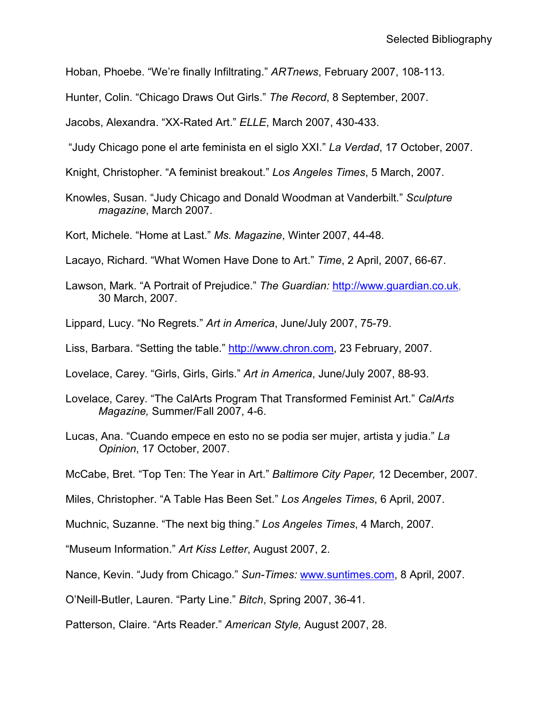Hoban, Phoebe. "We're finally Infiltrating." *ARTnews*, February 2007, 108-113.

Hunter, Colin. "Chicago Draws Out Girls." *The Record*, 8 September, 2007.

Jacobs, Alexandra. "XX-Rated Art." *ELLE*, March 2007, 430-433.

"Judy Chicago pone el arte feminista en el siglo XXI." *La Verdad*, 17 October, 2007.

- Knight, Christopher. "A feminist breakout." *Los Angeles Times*, 5 March, 2007.
- Knowles, Susan. "Judy Chicago and Donald Woodman at Vanderbilt." *Sculpture magazine*, March 2007.

Kort, Michele. "Home at Last." *Ms. Magazine*, Winter 2007, 44-48.

Lacayo, Richard. "What Women Have Done to Art." *Time*, 2 April, 2007, 66-67.

Lawson, Mark. "A Portrait of Prejudice." *The Guardian:* [http://www.guardian.co.uk,](http://www.guardian.co.uk/) 30 March, 2007.

Lippard, Lucy. "No Regrets." *Art in America*, June/July 2007, 75-79.

Liss, Barbara. "Setting the table." [http://www.chron.com,](http://www.chron.com/) 23 February, 2007.

Lovelace, Carey. "Girls, Girls, Girls." *Art in America*, June/July 2007, 88-93.

- Lovelace, Carey. "The CalArts Program That Transformed Feminist Art." *CalArts Magazine,* Summer/Fall 2007, 4-6.
- Lucas, Ana. "Cuando empece en esto no se podia ser mujer, artista y judia." *La Opinion*, 17 October, 2007.

McCabe, Bret. "Top Ten: The Year in Art." *Baltimore City Paper,* 12 December, 2007.

Miles, Christopher. "A Table Has Been Set." *Los Angeles Times*, 6 April, 2007.

Muchnic, Suzanne. "The next big thing." *Los Angeles Times*, 4 March, 2007.

"Museum Information." *Art Kiss Letter*, August 2007, 2.

Nance, Kevin. "Judy from Chicago." *Sun-Times:* [www.suntimes.com,](http://www.suntimes.com/) 8 April, 2007.

O'Neill-Butler, Lauren. "Party Line." *Bitch*, Spring 2007, 36-41.

Patterson, Claire. "Arts Reader." *American Style,* August 2007, 28.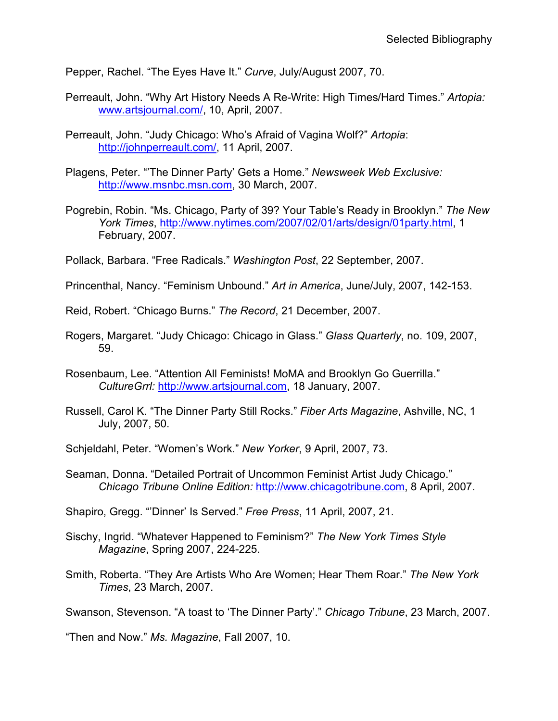Pepper, Rachel. "The Eyes Have It." *Curve*, July/August 2007, 70.

- Perreault, John. "Why Art History Needs A Re-Write: High Times/Hard Times." *Artopia:*  [www.artsjournal.com/,](http://www.artsjournal.com/) 10, April, 2007.
- Perreault, John. "Judy Chicago: Who's Afraid of Vagina Wolf?" *Artopia*: [http://johnperreault.com/,](http://johnperreault.com/) 11 April, 2007.
- Plagens, Peter. "'The Dinner Party' Gets a Home." *Newsweek Web Exclusive:*  [http://www.msnbc.msn.com,](http://www.msnbc.msn.com/) 30 March, 2007.
- Pogrebin, Robin. "Ms. Chicago, Party of 39? Your Table's Ready in Brooklyn." *The New York Times*, [http://www.nytimes.com/2007/02/01/arts/design/01party.html,](http://www.nytimes.com/2007/02/01/arts/design/01party.html) 1 February, 2007.
- Pollack, Barbara. "Free Radicals." *Washington Post*, 22 September, 2007.
- Princenthal, Nancy. "Feminism Unbound." *Art in America*, June/July, 2007, 142-153.

Reid, Robert. "Chicago Burns." *The Record*, 21 December, 2007.

- Rogers, Margaret. "Judy Chicago: Chicago in Glass." *Glass Quarterly*, no. 109, 2007, 59.
- Rosenbaum, Lee. "Attention All Feminists! MoMA and Brooklyn Go Guerrilla." *CultureGrrl:* [http://www.artsjournal.com,](http://www.artsjournal.com/) 18 January, 2007.
- Russell, Carol K. "The Dinner Party Still Rocks." *Fiber Arts Magazine*, Ashville, NC, 1 July, 2007, 50.

Schjeldahl, Peter. "Women's Work." *New Yorker*, 9 April, 2007, 73.

Seaman, Donna. "Detailed Portrait of Uncommon Feminist Artist Judy Chicago." *Chicago Tribune Online Edition:* [http://www.chicagotribune.com,](http://www.chicagotribune.com/) 8 April, 2007.

Shapiro, Gregg. "'Dinner' Is Served." *Free Press*, 11 April, 2007, 21.

- Sischy, Ingrid. "Whatever Happened to Feminism?" *The New York Times Style Magazine*, Spring 2007, 224-225.
- Smith, Roberta. "They Are Artists Who Are Women; Hear Them Roar." *The New York Times*, 23 March, 2007.

Swanson, Stevenson. "A toast to 'The Dinner Party'." *Chicago Tribune*, 23 March, 2007.

"Then and Now." *Ms. Magazine*, Fall 2007, 10.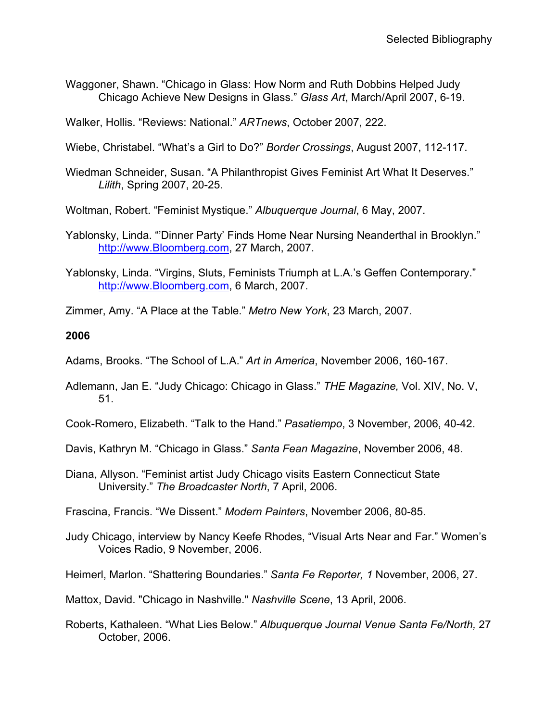Waggoner, Shawn. "Chicago in Glass: How Norm and Ruth Dobbins Helped Judy Chicago Achieve New Designs in Glass." *Glass Art*, March/April 2007, 6-19.

Walker, Hollis. "Reviews: National." *ARTnews*, October 2007, 222.

Wiebe, Christabel. "What's a Girl to Do?" *Border Crossings*, August 2007, 112-117.

Wiedman Schneider, Susan. "A Philanthropist Gives Feminist Art What It Deserves." *Lilith*, Spring 2007, 20-25.

Woltman, Robert. "Feminist Mystique." *Albuquerque Journal*, 6 May, 2007.

- Yablonsky, Linda. "'Dinner Party' Finds Home Near Nursing Neanderthal in Brooklyn." [http://www.Bloomberg.com,](http://www.bloomberg.com/) 27 March, 2007.
- Yablonsky, Linda. "Virgins, Sluts, Feminists Triumph at L.A.'s Geffen Contemporary." [http://www.Bloomberg.com,](http://www.bloomberg.com/) 6 March, 2007.

Zimmer, Amy. "A Place at the Table." *Metro New York*, 23 March, 2007.

#### **2006**

Adams, Brooks. "The School of L.A." *Art in America*, November 2006, 160-167.

Adlemann, Jan E. "Judy Chicago: Chicago in Glass." *THE Magazine,* Vol. XIV, No. V, 51.

Cook-Romero, Elizabeth. "Talk to the Hand." *Pasatiempo*, 3 November, 2006, 40-42.

- Davis, Kathryn M. "Chicago in Glass." *Santa Fean Magazine*, November 2006, 48.
- Diana, Allyson. "Feminist artist Judy Chicago visits Eastern Connecticut State University." *The Broadcaster North*, 7 April, 2006.

Frascina, Francis. "We Dissent." *Modern Painters*, November 2006, 80-85.

Judy Chicago, interview by Nancy Keefe Rhodes, "Visual Arts Near and Far." Women's Voices Radio, 9 November, 2006.

Heimerl, Marlon. "Shattering Boundaries." *Santa Fe Reporter, 1* November, 2006, 27.

Mattox, David. "Chicago in Nashville." *Nashville Scene*, 13 April, 2006.

Roberts, Kathaleen. "What Lies Below." *Albuquerque Journal Venue Santa Fe/North,* 27 October, 2006.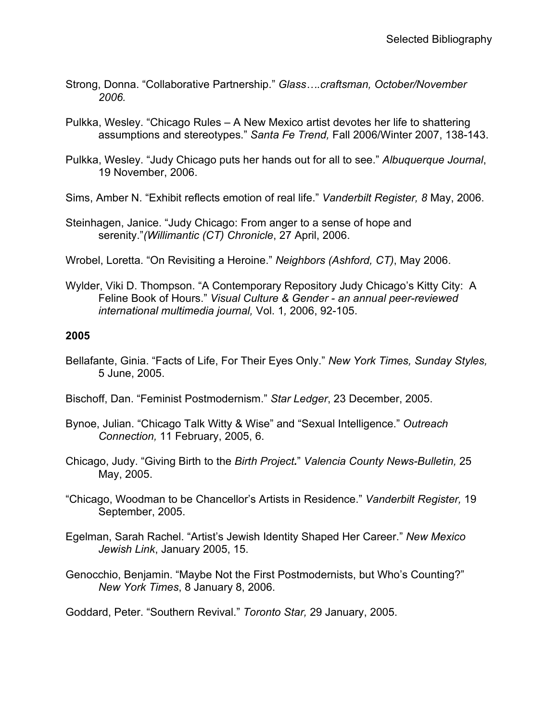- Strong, Donna. "Collaborative Partnership." *Glass….craftsman, October/November 2006.*
- Pulkka, Wesley. "Chicago Rules A New Mexico artist devotes her life to shattering assumptions and stereotypes." *Santa Fe Trend,* Fall 2006/Winter 2007, 138-143.
- Pulkka, Wesley. "Judy Chicago puts her hands out for all to see." *Albuquerque Journal*, 19 November, 2006.
- Sims, Amber N. "Exhibit reflects emotion of real life." *Vanderbilt Register, 8* May, 2006.
- Steinhagen, Janice. "Judy Chicago: From anger to a sense of hope and serenity."*(Willimantic (CT) Chronicle*, 27 April, 2006.
- Wrobel, Loretta. "On Revisiting a Heroine." *Neighbors (Ashford, CT)*, May 2006.
- Wylder, Viki D. Thompson. "A Contemporary Repository Judy Chicago's Kitty City: A Feline Book of Hours." *Visual Culture & Gender - an annual peer-reviewed international multimedia journal,* Vol. 1*,* 2006, 92-105.

- Bellafante, Ginia. "Facts of Life, For Their Eyes Only." *New York Times, Sunday Styles,* 5 June, 2005.
- Bischoff, Dan. "Feminist Postmodernism." *Star Ledger*, 23 December, 2005.
- Bynoe, Julian. "Chicago Talk Witty & Wise" and "Sexual Intelligence." *Outreach Connection,* 11 February, 2005, 6.
- Chicago, Judy. "Giving Birth to the *Birth Project.*" *Valencia County News-Bulletin,* 25 May, 2005.
- "Chicago, Woodman to be Chancellor's Artists in Residence." *Vanderbilt Register,* 19 September, 2005.
- Egelman, Sarah Rachel. "Artist's Jewish Identity Shaped Her Career." *New Mexico Jewish Link*, January 2005, 15.
- Genocchio, Benjamin. "Maybe Not the First Postmodernists, but Who's Counting?" *New York Times*, 8 January 8, 2006.

Goddard, Peter. "Southern Revival." *Toronto Star,* 29 January, 2005.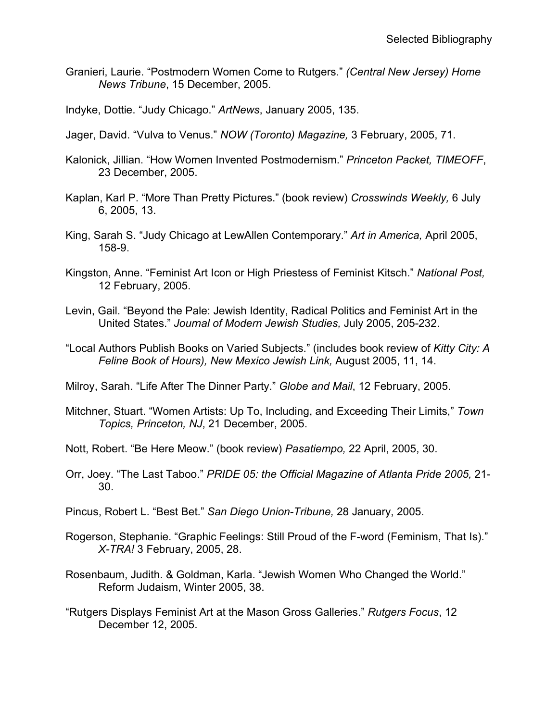Granieri, Laurie. "Postmodern Women Come to Rutgers." *(Central New Jersey) Home News Tribune*, 15 December, 2005.

Indyke, Dottie. "Judy Chicago." *ArtNews*, January 2005, 135.

- Jager, David. "Vulva to Venus." *NOW (Toronto) Magazine,* 3 February, 2005, 71.
- Kalonick, Jillian. "How Women Invented Postmodernism." *Princeton Packet, TIMEOFF*, 23 December, 2005.
- Kaplan, Karl P. "More Than Pretty Pictures." (book review) *Crosswinds Weekly,* 6 July 6, 2005, 13.
- King, Sarah S. "Judy Chicago at LewAllen Contemporary." *Art in America,* April 2005, 158-9.
- Kingston, Anne. "Feminist Art Icon or High Priestess of Feminist Kitsch." *National Post,*  12 February, 2005.
- Levin, Gail. "Beyond the Pale: Jewish Identity, Radical Politics and Feminist Art in the United States." *Journal of Modern Jewish Studies,* July 2005, 205-232.
- "Local Authors Publish Books on Varied Subjects." (includes book review of *Kitty City: A Feline Book of Hours), New Mexico Jewish Link,* August 2005, 11, 14.
- Milroy, Sarah. "Life After The Dinner Party." *Globe and Mail*, 12 February, 2005.
- Mitchner, Stuart. "Women Artists: Up To, Including, and Exceeding Their Limits," *Town Topics, Princeton, NJ*, 21 December, 2005.
- Nott, Robert. "Be Here Meow." (book review) *Pasatiempo,* 22 April, 2005, 30.
- Orr, Joey. "The Last Taboo." *PRIDE 05: the Official Magazine of Atlanta Pride 2005,* 21- 30.
- Pincus, Robert L. "Best Bet." *San Diego Union-Tribune,* 28 January, 2005.
- Rogerson, Stephanie. "Graphic Feelings: Still Proud of the F-word (Feminism, That Is)." *X-TRA!* 3 February, 2005, 28.
- Rosenbaum, Judith. & Goldman, Karla. "Jewish Women Who Changed the World." Reform Judaism, Winter 2005, 38.
- "Rutgers Displays Feminist Art at the Mason Gross Galleries." *Rutgers Focus*, 12 December 12, 2005.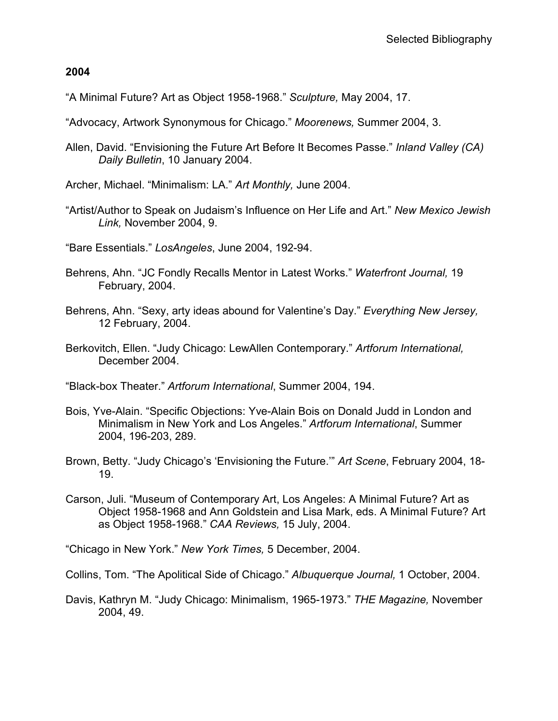"A Minimal Future? Art as Object 1958-1968." *Sculpture,* May 2004, 17.

- "Advocacy, Artwork Synonymous for Chicago." *Moorenews,* Summer 2004, 3.
- Allen, David. "Envisioning the Future Art Before It Becomes Passe." *Inland Valley (CA) Daily Bulletin*, 10 January 2004.
- Archer, Michael. "Minimalism: LA." *Art Monthly,* June 2004.
- "Artist/Author to Speak on Judaism's Influence on Her Life and Art." *New Mexico Jewish Link,* November 2004, 9.
- "Bare Essentials." *LosAngeles*, June 2004, 192-94.
- Behrens, Ahn. "JC Fondly Recalls Mentor in Latest Works." *Waterfront Journal,* 19 February, 2004.
- Behrens, Ahn. "Sexy, arty ideas abound for Valentine's Day." *Everything New Jersey,* 12 February, 2004.
- Berkovitch, Ellen. "Judy Chicago: LewAllen Contemporary." *Artforum International,* December 2004.

"Black-box Theater." *Artforum International*, Summer 2004, 194.

- Bois, Yve-Alain. "Specific Objections: Yve-Alain Bois on Donald Judd in London and Minimalism in New York and Los Angeles." *Artforum International*, Summer 2004, 196-203, 289.
- Brown, Betty. "Judy Chicago's 'Envisioning the Future.'" *Art Scene*, February 2004, 18- 19.
- Carson, Juli. "Museum of Contemporary Art, Los Angeles: A Minimal Future? Art as Object 1958-1968 and Ann Goldstein and Lisa Mark, eds. A Minimal Future? Art as Object 1958-1968." *CAA Reviews,* 15 July, 2004.

"Chicago in New York." *New York Times,* 5 December, 2004.

Collins, Tom. "The Apolitical Side of Chicago." *Albuquerque Journal,* 1 October, 2004.

Davis, Kathryn M. "Judy Chicago: Minimalism, 1965-1973." *THE Magazine,* November 2004, 49.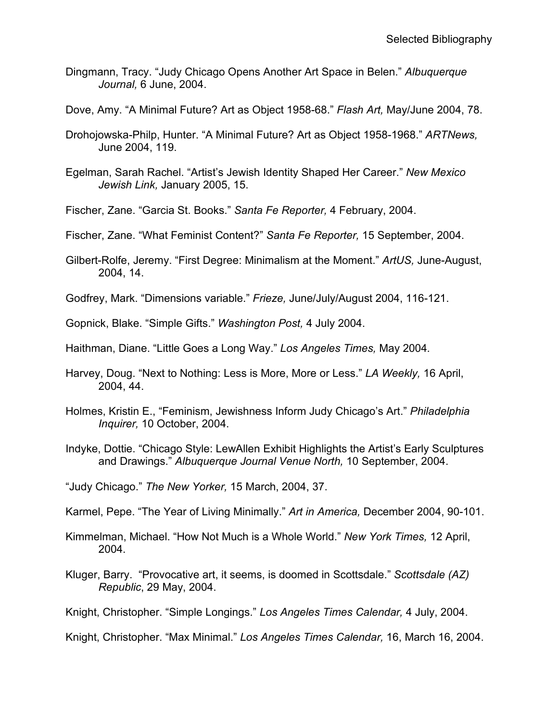- Dingmann, Tracy. "Judy Chicago Opens Another Art Space in Belen." *Albuquerque Journal,* 6 June, 2004.
- Dove, Amy. "A Minimal Future? Art as Object 1958-68." *Flash Art,* May/June 2004, 78.
- Drohojowska-Philp, Hunter. "A Minimal Future? Art as Object 1958-1968." *ARTNews,* June 2004, 119.
- Egelman, Sarah Rachel. "Artist's Jewish Identity Shaped Her Career." *New Mexico Jewish Link,* January 2005, 15.
- Fischer, Zane. "Garcia St. Books." *Santa Fe Reporter,* 4 February, 2004.
- Fischer, Zane. "What Feminist Content?" *Santa Fe Reporter,* 15 September, 2004.
- Gilbert-Rolfe, Jeremy. "First Degree: Minimalism at the Moment." *ArtUS,* June-August, 2004, 14.
- Godfrey, Mark. "Dimensions variable." *Frieze,* June/July/August 2004, 116-121.

Gopnick, Blake. "Simple Gifts." *Washington Post,* 4 July 2004.

- Haithman, Diane. "Little Goes a Long Way." *Los Angeles Times,* May 2004*.*
- Harvey, Doug. "Next to Nothing: Less is More, More or Less." *LA Weekly,* 16 April, 2004, 44.
- Holmes, Kristin E., "Feminism, Jewishness Inform Judy Chicago's Art." *Philadelphia Inquirer,* 10 October, 2004.
- Indyke, Dottie. "Chicago Style: LewAllen Exhibit Highlights the Artist's Early Sculptures and Drawings." *Albuquerque Journal Venue North,* 10 September, 2004.

"Judy Chicago." *The New Yorker,* 15 March, 2004, 37.

- Karmel, Pepe. "The Year of Living Minimally." *Art in America,* December 2004, 90-101.
- Kimmelman, Michael. "How Not Much is a Whole World." *New York Times,* 12 April, 2004.
- Kluger, Barry. "Provocative art, it seems, is doomed in Scottsdale." *Scottsdale (AZ) Republic*, 29 May, 2004.
- Knight, Christopher. "Simple Longings." *Los Angeles Times Calendar,* 4 July, 2004.

Knight, Christopher. "Max Minimal." *Los Angeles Times Calendar,* 16, March 16, 2004.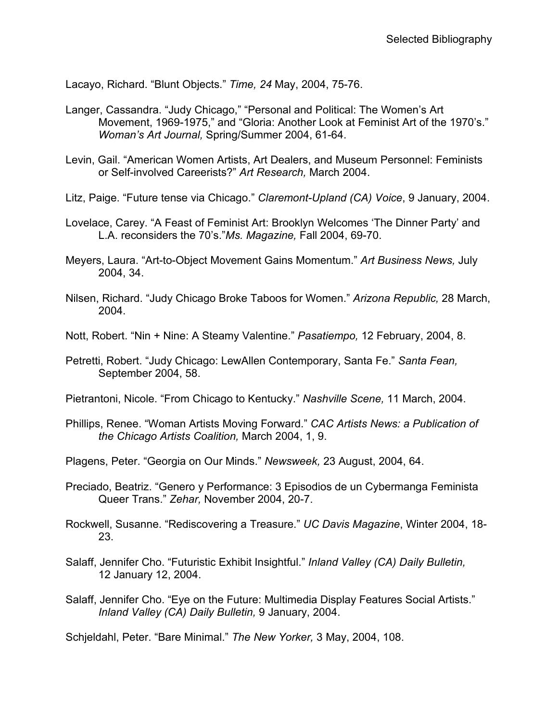Lacayo, Richard. "Blunt Objects." *Time, 24* May, 2004, 75-76.

- Langer, Cassandra. "Judy Chicago," "Personal and Political: The Women's Art Movement, 1969-1975," and "Gloria: Another Look at Feminist Art of the 1970's." *Woman's Art Journal,* Spring/Summer 2004, 61-64.
- Levin, Gail. "American Women Artists, Art Dealers, and Museum Personnel: Feminists or Self-involved Careerists?" *Art Research,* March 2004.
- Litz, Paige. "Future tense via Chicago." *Claremont-Upland (CA) Voice*, 9 January, 2004.
- Lovelace, Carey. "A Feast of Feminist Art: Brooklyn Welcomes 'The Dinner Party' and L.A. reconsiders the 70's."*Ms. Magazine,* Fall 2004, 69-70.
- Meyers, Laura. "Art-to-Object Movement Gains Momentum." *Art Business News,* July 2004, 34.
- Nilsen, Richard. "Judy Chicago Broke Taboos for Women." *Arizona Republic,* 28 March, 2004.
- Nott, Robert. "Nin + Nine: A Steamy Valentine." *Pasatiempo,* 12 February, 2004, 8.
- Petretti, Robert. "Judy Chicago: LewAllen Contemporary, Santa Fe." *Santa Fean,* September 2004, 58.
- Pietrantoni, Nicole. "From Chicago to Kentucky." *Nashville Scene,* 11 March, 2004.
- Phillips, Renee. "Woman Artists Moving Forward." *CAC Artists News: a Publication of the Chicago Artists Coalition,* March 2004, 1, 9.
- Plagens, Peter. "Georgia on Our Minds." *Newsweek,* 23 August, 2004, 64.
- Preciado, Beatriz. "Genero y Performance: 3 Episodios de un Cybermanga Feminista Queer Trans." *Zehar,* November 2004, 20-7.
- Rockwell, Susanne. "Rediscovering a Treasure." *UC Davis Magazine*, Winter 2004, 18- 23.
- Salaff, Jennifer Cho. "Futuristic Exhibit Insightful." *Inland Valley (CA) Daily Bulletin,*  12 January 12, 2004.
- Salaff, Jennifer Cho. "Eye on the Future: Multimedia Display Features Social Artists." *Inland Valley (CA) Daily Bulletin,* 9 January, 2004.

Schjeldahl, Peter. "Bare Minimal." *The New Yorker,* 3 May, 2004, 108.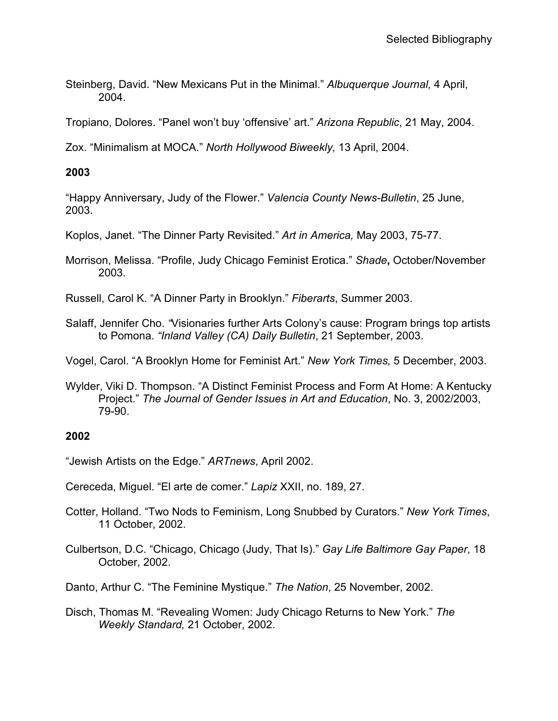Steinberg, David. "New Mexicans Put in the Minimal." *Albuquerque Journal,* 4 April, 2004.

Tropiano, Dolores. "Panel won't buy 'offensive' art." *Arizona Republic*, 21 May, 2004.

Zox. "Minimalism at MOCA." *North Hollywood Biweekly,* 13 April, 2004.

## **2003**

"Happy Anniversary, Judy of the Flower." *Valencia County News-Bulletin*, 25 June, 2003.

Koplos, Janet. "The Dinner Party Revisited." *Art in America,* May 2003, 75-77.

Morrison, Melissa. "Profile, Judy Chicago Feminist Erotica." *Shade***,** October/November 2003.

Russell, Carol K. "A Dinner Party in Brooklyn." *Fiberarts*, Summer 2003.

Salaff, Jennifer Cho. *"*Visionaries further Arts Colony's cause: Program brings top artists to Pomona. *"Inland Valley (CA) Daily Bulletin*, 21 September, 2003.

Vogel, Carol. "A Brooklyn Home for Feminist Art." *New York Times,* 5 December, 2003.

Wylder, Viki D. Thompson. "A Distinct Feminist Process and Form At Home: A Kentucky Project." *The Journal of Gender Issues in Art and Education*, No. 3, 2002/2003, 79-90.

## **2002**

"Jewish Artists on the Edge." *ARTnews*, April 2002.

Cereceda, Miguel. "El arte de comer." *Lapiz* XXII, no. 189, 27.

- Cotter, Holland. "Two Nods to Feminism, Long Snubbed by Curators." *New York Times*, 11 October, 2002.
- Culbertson, D.C. "Chicago, Chicago (Judy, That Is)." *Gay Life Baltimore Gay Paper*, 18 October, 2002.

Danto, Arthur C. "The Feminine Mystique." *The Nation*, 25 November, 2002.

Disch, Thomas M. "Revealing Women: Judy Chicago Returns to New York." *The Weekly Standard,* 21 October, 2002.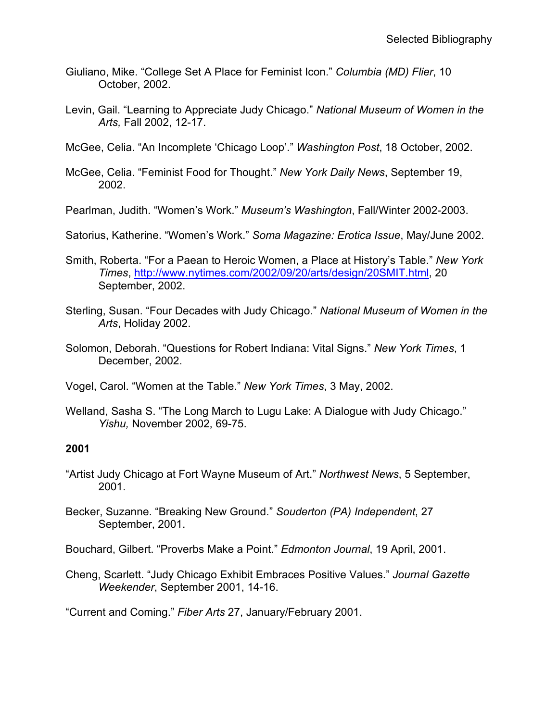- Giuliano, Mike. "College Set A Place for Feminist Icon." *Columbia (MD) Flier*, 10 October, 2002.
- Levin, Gail. "Learning to Appreciate Judy Chicago." *National Museum of Women in the Arts,* Fall 2002, 12-17.
- McGee, Celia. "An Incomplete 'Chicago Loop'." *Washington Post*, 18 October, 2002.
- McGee, Celia. "Feminist Food for Thought." *New York Daily News*, September 19, 2002.
- Pearlman, Judith. "Women's Work." *Museum's Washington*, Fall/Winter 2002-2003.
- Satorius, Katherine. "Women's Work." *Soma Magazine: Erotica Issue*, May/June 2002.
- Smith, Roberta. "For a Paean to Heroic Women, a Place at History's Table." *New York Times*, [http://www.nytimes.com/2002/09/20/arts/design/20SMIT.html,](http://www.nytimes.com/2002/09/20/arts/design/20SMIT.html) 20 September, 2002.
- Sterling, Susan. "Four Decades with Judy Chicago." *National Museum of Women in the Arts*, Holiday 2002.
- Solomon, Deborah. "Questions for Robert Indiana: Vital Signs." *New York Times*, 1 December, 2002.
- Vogel, Carol. "Women at the Table." *New York Times*, 3 May, 2002.
- Welland, Sasha S. "The Long March to Lugu Lake: A Dialogue with Judy Chicago." *Yishu,* November 2002, 69-75.

- "Artist Judy Chicago at Fort Wayne Museum of Art." *Northwest News*, 5 September, 2001.
- Becker, Suzanne. "Breaking New Ground." *Souderton (PA) Independent*, 27 September, 2001.
- Bouchard, Gilbert. "Proverbs Make a Point." *Edmonton Journal*, 19 April, 2001.
- Cheng, Scarlett. "Judy Chicago Exhibit Embraces Positive Values." *Journal Gazette Weekender*, September 2001, 14-16.

"Current and Coming." *Fiber Arts* 27, January/February 2001.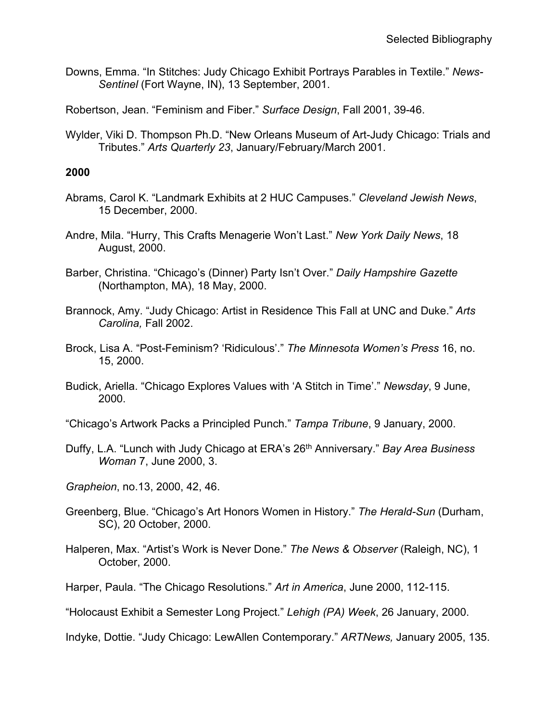Downs, Emma. "In Stitches: Judy Chicago Exhibit Portrays Parables in Textile." *News-Sentinel* (Fort Wayne, IN), 13 September, 2001.

Robertson, Jean. "Feminism and Fiber." *Surface Design*, Fall 2001, 39-46.

Wylder, Viki D. Thompson Ph.D. "New Orleans Museum of Art-Judy Chicago: Trials and Tributes." *Arts Quarterly 23*, January/February/March 2001.

#### **2000**

- Abrams, Carol K. "Landmark Exhibits at 2 HUC Campuses." *Cleveland Jewish News*, 15 December, 2000.
- Andre, Mila. "Hurry, This Crafts Menagerie Won't Last." *New York Daily News*, 18 August, 2000.
- Barber, Christina. "Chicago's (Dinner) Party Isn't Over." *Daily Hampshire Gazette* (Northampton, MA), 18 May, 2000.
- Brannock, Amy. "Judy Chicago: Artist in Residence This Fall at UNC and Duke." *Arts Carolina,* Fall 2002.
- Brock, Lisa A. "Post-Feminism? 'Ridiculous'." *The Minnesota Women's Press* 16, no. 15, 2000.
- Budick, Ariella. "Chicago Explores Values with 'A Stitch in Time'." *Newsday*, 9 June, 2000.
- "Chicago's Artwork Packs a Principled Punch." *Tampa Tribune*, 9 January, 2000.
- Duffy, L.A. "Lunch with Judy Chicago at ERA's 26th Anniversary." *Bay Area Business Woman* 7, June 2000, 3.

*Grapheion*, no.13, 2000, 42, 46.

- Greenberg, Blue. "Chicago's Art Honors Women in History." *The Herald-Sun* (Durham, SC), 20 October, 2000.
- Halperen, Max. "Artist's Work is Never Done." *The News & Observer* (Raleigh, NC), 1 October, 2000.
- Harper, Paula. "The Chicago Resolutions." *Art in America*, June 2000, 112-115.
- "Holocaust Exhibit a Semester Long Project." *Lehigh (PA) Week*, 26 January, 2000.

Indyke, Dottie. "Judy Chicago: LewAllen Contemporary." *ARTNews,* January 2005, 135.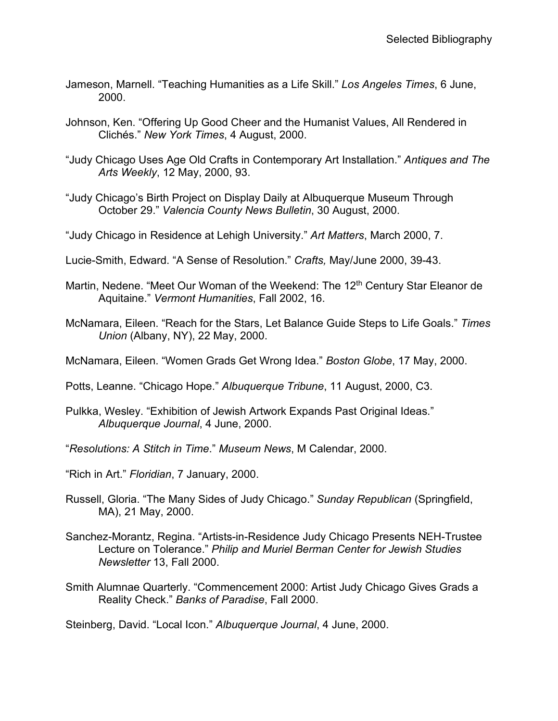- Jameson, Marnell. "Teaching Humanities as a Life Skill." *Los Angeles Times*, 6 June, 2000.
- Johnson, Ken. "Offering Up Good Cheer and the Humanist Values, All Rendered in Clichés." *New York Times*, 4 August, 2000.
- "Judy Chicago Uses Age Old Crafts in Contemporary Art Installation." *Antiques and The Arts Weekly*, 12 May, 2000, 93.
- "Judy Chicago's Birth Project on Display Daily at Albuquerque Museum Through October 29." *Valencia County News Bulletin*, 30 August, 2000.
- "Judy Chicago in Residence at Lehigh University." *Art Matters*, March 2000, 7.
- Lucie-Smith, Edward. "A Sense of Resolution." *Crafts,* May/June 2000, 39-43.
- Martin, Nedene. "Meet Our Woman of the Weekend: The 12<sup>th</sup> Century Star Eleanor de Aquitaine." *Vermont Humanities*, Fall 2002, 16.
- McNamara, Eileen. "Reach for the Stars, Let Balance Guide Steps to Life Goals." *Times Union* (Albany, NY), 22 May, 2000.
- McNamara, Eileen. "Women Grads Get Wrong Idea." *Boston Globe*, 17 May, 2000.
- Potts, Leanne. "Chicago Hope." *Albuquerque Tribune*, 11 August, 2000, C3.
- Pulkka, Wesley. "Exhibition of Jewish Artwork Expands Past Original Ideas." *Albuquerque Journal*, 4 June, 2000.
- "*Resolutions: A Stitch in Time*." *Museum News*, M Calendar, 2000.
- "Rich in Art." *Floridian*, 7 January, 2000.
- Russell, Gloria. "The Many Sides of Judy Chicago." *Sunday Republican* (Springfield, MA), 21 May, 2000.
- Sanchez-Morantz, Regina. "Artists-in-Residence Judy Chicago Presents NEH-Trustee Lecture on Tolerance." *Philip and Muriel Berman Center for Jewish Studies Newsletter* 13, Fall 2000.
- Smith Alumnae Quarterly. "Commencement 2000: Artist Judy Chicago Gives Grads a Reality Check." *Banks of Paradise*, Fall 2000.

Steinberg, David. "Local Icon." *Albuquerque Journal*, 4 June, 2000.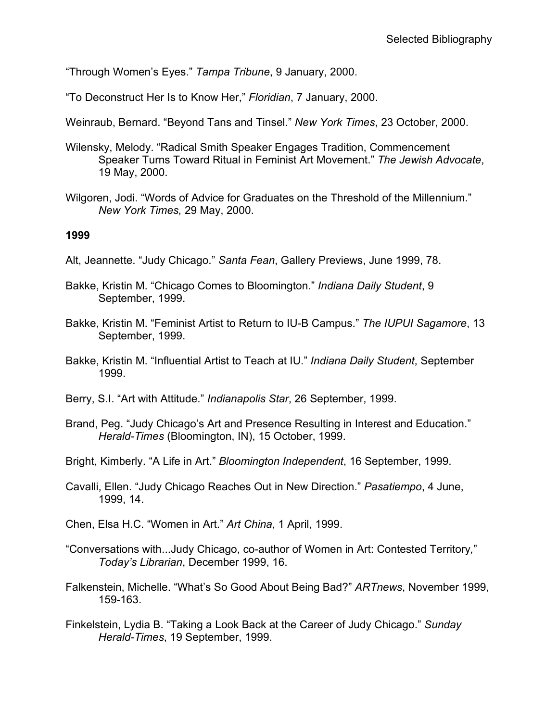"Through Women's Eyes." *Tampa Tribune*, 9 January, 2000.

"To Deconstruct Her Is to Know Her," *Floridian*, 7 January, 2000.

Weinraub, Bernard. "Beyond Tans and Tinsel." *New York Times*, 23 October, 2000.

- Wilensky, Melody. "Radical Smith Speaker Engages Tradition, Commencement Speaker Turns Toward Ritual in Feminist Art Movement." *The Jewish Advocate*, 19 May, 2000.
- Wilgoren, Jodi. "Words of Advice for Graduates on the Threshold of the Millennium." *New York Times,* 29 May, 2000.

#### **1999**

- Alt, Jeannette. "Judy Chicago." *Santa Fean*, Gallery Previews, June 1999, 78.
- Bakke, Kristin M. "Chicago Comes to Bloomington." *Indiana Daily Student*, 9 September, 1999.
- Bakke, Kristin M. "Feminist Artist to Return to IU-B Campus." *The IUPUI Sagamore*, 13 September, 1999.
- Bakke, Kristin M. "Influential Artist to Teach at IU." *Indiana Daily Student*, September 1999.
- Berry, S.I. "Art with Attitude." *Indianapolis Star*, 26 September, 1999.
- Brand, Peg. "Judy Chicago's Art and Presence Resulting in Interest and Education." *Herald-Times* (Bloomington, IN), 15 October, 1999.
- Bright, Kimberly. "A Life in Art." *Bloomington Independent*, 16 September, 1999.
- Cavalli, Ellen. "Judy Chicago Reaches Out in New Direction." *Pasatiempo*, 4 June, 1999, 14.
- Chen, Elsa H.C. "Women in Art." *Art China*, 1 April, 1999.
- "Conversations with...Judy Chicago, co-author of Women in Art: Contested Territory*,*" *Today's Librarian*, December 1999, 16.
- Falkenstein, Michelle. "What's So Good About Being Bad?" *ARTnews*, November 1999, 159-163.
- Finkelstein, Lydia B. "Taking a Look Back at the Career of Judy Chicago." *Sunday Herald-Times*, 19 September, 1999.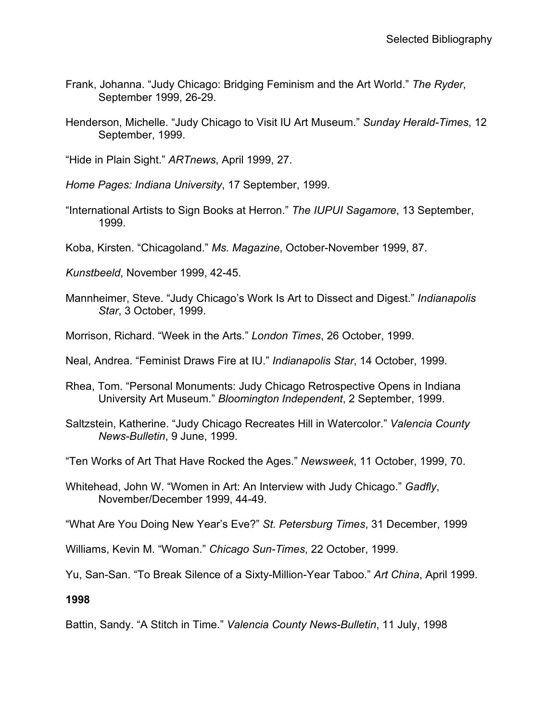- Frank, Johanna. "Judy Chicago: Bridging Feminism and the Art World." *The Ryder*, September 1999, 26-29.
- Henderson, Michelle. "Judy Chicago to Visit IU Art Museum." *Sunday Herald-Times*, 12 September, 1999.

"Hide in Plain Sight." *ARTnews*, April 1999, 27.

*Home Pages: Indiana University*, 17 September, 1999.

"International Artists to Sign Books at Herron." *The IUPUI Sagamore*, 13 September, 1999.

Koba, Kirsten. "Chicagoland." *Ms. Magazine*, October-November 1999, 87.

*Kunstbeeld*, November 1999, 42-45.

- Mannheimer, Steve. "Judy Chicago's Work Is Art to Dissect and Digest." *Indianapolis Star*, 3 October, 1999.
- Morrison, Richard. "Week in the Arts." *London Times*, 26 October, 1999.
- Neal, Andrea. "Feminist Draws Fire at IU." *Indianapolis Star*, 14 October, 1999.
- Rhea, Tom. "Personal Monuments: Judy Chicago Retrospective Opens in Indiana University Art Museum." *Bloomington Independent*, 2 September, 1999.
- Saltzstein, Katherine. "Judy Chicago Recreates Hill in Watercolor." *Valencia County News-Bulletin*, 9 June, 1999.

"Ten Works of Art That Have Rocked the Ages." *Newsweek*, 11 October, 1999, 70.

Whitehead, John W. "Women in Art: An Interview with Judy Chicago." *Gadfly*, November/December 1999, 44-49.

"What Are You Doing New Year's Eve?" *St. Petersburg Times*, 31 December, 1999

Williams, Kevin M. "Woman." *Chicago Sun-Times*, 22 October, 1999.

Yu, San-San. "To Break Silence of a Sixty-Million-Year Taboo." *Art China*, April 1999.

**1998**

Battin, Sandy. "A Stitch in Time." *Valencia County News-Bulletin*, 11 July, 1998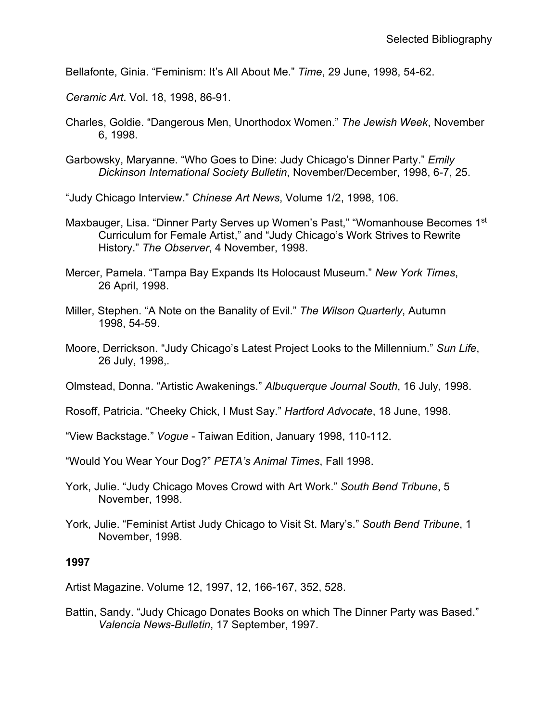Bellafonte, Ginia. "Feminism: It's All About Me." *Time*, 29 June, 1998, 54-62.

*Ceramic Art*. Vol. 18, 1998, 86-91.

- Charles, Goldie. "Dangerous Men, Unorthodox Women." *The Jewish Week*, November 6, 1998.
- Garbowsky, Maryanne. "Who Goes to Dine: Judy Chicago's Dinner Party." *Emily Dickinson International Society Bulletin*, November/December, 1998, 6-7, 25.

"Judy Chicago Interview." *Chinese Art News*, Volume 1/2, 1998, 106.

- Maxbauger, Lisa. "Dinner Party Serves up Women's Past," "Womanhouse Becomes 1st Curriculum for Female Artist," and "Judy Chicago's Work Strives to Rewrite History." *The Observer*, 4 November, 1998.
- Mercer, Pamela. "Tampa Bay Expands Its Holocaust Museum." *New York Times*, 26 April, 1998.
- Miller, Stephen. "A Note on the Banality of Evil." *The Wilson Quarterly*, Autumn 1998, 54-59.
- Moore, Derrickson. "Judy Chicago's Latest Project Looks to the Millennium." *Sun Life*, 26 July, 1998,.

Olmstead, Donna. "Artistic Awakenings." *Albuquerque Journal South*, 16 July, 1998.

Rosoff, Patricia. "Cheeky Chick, I Must Say." *Hartford Advocate*, 18 June, 1998.

"View Backstage." *Vogue* - Taiwan Edition, January 1998, 110-112.

"Would You Wear Your Dog?" *PETA's Animal Times*, Fall 1998.

- York, Julie. "Judy Chicago Moves Crowd with Art Work." *South Bend Tribune*, 5 November, 1998.
- York, Julie. "Feminist Artist Judy Chicago to Visit St. Mary's." *South Bend Tribune*, 1 November, 1998.

#### **1997**

Artist Magazine. Volume 12, 1997, 12, 166-167, 352, 528.

Battin, Sandy. "Judy Chicago Donates Books on which The Dinner Party was Based." *Valencia News-Bulletin*, 17 September, 1997.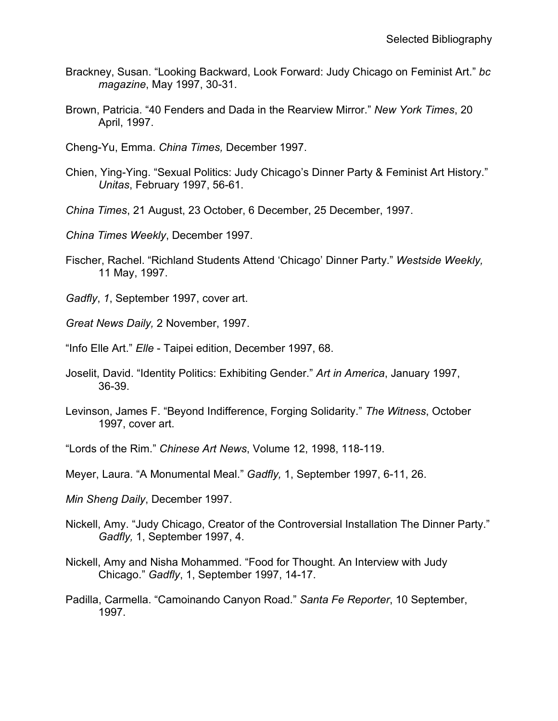- Brackney, Susan. "Looking Backward, Look Forward: Judy Chicago on Feminist Art." *bc magazine*, May 1997, 30-31.
- Brown, Patricia. "40 Fenders and Dada in the Rearview Mirror." *New York Times*, 20 April, 1997.
- Cheng-Yu, Emma. *China Times,* December 1997.
- Chien, Ying-Ying. "Sexual Politics: Judy Chicago's Dinner Party & Feminist Art History." *Unitas*, February 1997, 56-61.
- *China Times*, 21 August, 23 October, 6 December, 25 December, 1997.
- *China Times Weekly*, December 1997.
- Fischer, Rachel. "Richland Students Attend 'Chicago' Dinner Party." *Westside Weekly,* 11 May, 1997.
- *Gadfly*, *1*, September 1997, cover art.
- *Great News Daily,* 2 November, 1997.
- "Info Elle Art." *Elle*  Taipei edition, December 1997, 68.
- Joselit, David. "Identity Politics: Exhibiting Gender." *Art in America*, January 1997, 36-39.
- Levinson, James F. "Beyond Indifference, Forging Solidarity." *The Witness*, October 1997, cover art.
- "Lords of the Rim." *Chinese Art News*, Volume 12, 1998, 118-119.
- Meyer, Laura. "A Monumental Meal." *Gadfly,* 1, September 1997, 6-11, 26.
- *Min Sheng Daily*, December 1997.
- Nickell, Amy. "Judy Chicago, Creator of the Controversial Installation The Dinner Party." *Gadfly,* 1, September 1997, 4.
- Nickell, Amy and Nisha Mohammed. "Food for Thought. An Interview with Judy Chicago." *Gadfly*, 1, September 1997, 14-17.
- Padilla, Carmella. "Camoinando Canyon Road." *Santa Fe Reporter*, 10 September, 1997.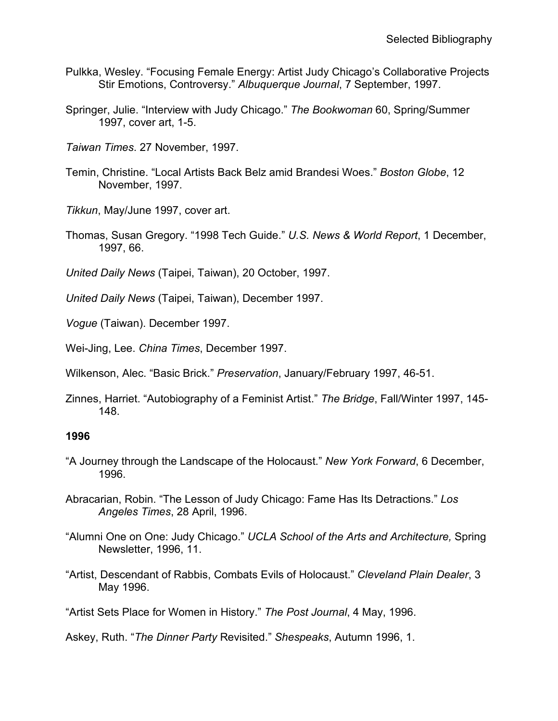- Pulkka, Wesley. "Focusing Female Energy: Artist Judy Chicago's Collaborative Projects Stir Emotions, Controversy." *Albuquerque Journal*, 7 September, 1997.
- Springer, Julie. "Interview with Judy Chicago." *The Bookwoman* 60, Spring/Summer 1997, cover art, 1-5.
- *Taiwan Times*. 27 November, 1997.
- Temin, Christine. "Local Artists Back Belz amid Brandesi Woes." *Boston Globe*, 12 November, 1997.
- *Tikkun*, May/June 1997, cover art.
- Thomas, Susan Gregory. "1998 Tech Guide." *U.S. News & World Report*, 1 December, 1997, 66.
- *United Daily News* (Taipei, Taiwan), 20 October, 1997.
- *United Daily News* (Taipei, Taiwan), December 1997.
- *Vogue* (Taiwan). December 1997.
- Wei-Jing, Lee. *China Times*, December 1997.
- Wilkenson, Alec. "Basic Brick." *Preservation*, January/February 1997, 46-51.
- Zinnes, Harriet. "Autobiography of a Feminist Artist." *The Bridge*, Fall/Winter 1997, 145- 148.

- "A Journey through the Landscape of the Holocaust." *New York Forward*, 6 December, 1996.
- Abracarian, Robin. "The Lesson of Judy Chicago: Fame Has Its Detractions." *Los Angeles Times*, 28 April, 1996.
- "Alumni One on One: Judy Chicago." *UCLA School of the Arts and Architecture,* Spring Newsletter, 1996, 11.
- "Artist, Descendant of Rabbis, Combats Evils of Holocaust." *Cleveland Plain Dealer*, 3 May 1996.
- "Artist Sets Place for Women in History." *The Post Journal*, 4 May, 1996.

Askey, Ruth. "*The Dinner Party* Revisited." *Shespeaks*, Autumn 1996, 1.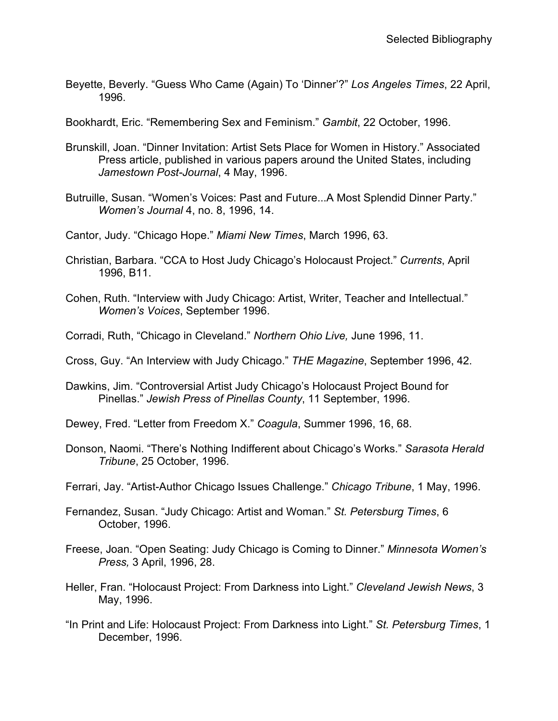Beyette, Beverly. "Guess Who Came (Again) To 'Dinner'?" *Los Angeles Times*, 22 April, 1996.

Bookhardt, Eric. "Remembering Sex and Feminism." *Gambit*, 22 October, 1996.

- Brunskill, Joan. "Dinner Invitation: Artist Sets Place for Women in History." Associated Press article, published in various papers around the United States, including *Jamestown Post-Journal*, 4 May, 1996.
- Butruille, Susan. "Women's Voices: Past and Future...A Most Splendid Dinner Party." *Women's Journal* 4, no. 8, 1996, 14.
- Cantor, Judy. "Chicago Hope." *Miami New Times*, March 1996, 63.
- Christian, Barbara. "CCA to Host Judy Chicago's Holocaust Project." *Currents*, April 1996, B11.
- Cohen, Ruth. "Interview with Judy Chicago: Artist, Writer, Teacher and Intellectual." *Women's Voices*, September 1996.
- Corradi, Ruth, "Chicago in Cleveland." *Northern Ohio Live,* June 1996, 11.
- Cross, Guy. "An Interview with Judy Chicago." *THE Magazine*, September 1996, 42.
- Dawkins, Jim. "Controversial Artist Judy Chicago's Holocaust Project Bound for Pinellas." *Jewish Press of Pinellas County*, 11 September, 1996.
- Dewey, Fred. "Letter from Freedom X." *Coagula*, Summer 1996, 16, 68.
- Donson, Naomi. "There's Nothing Indifferent about Chicago's Works." *Sarasota Herald Tribune*, 25 October, 1996.
- Ferrari, Jay. "Artist-Author Chicago Issues Challenge." *Chicago Tribune*, 1 May, 1996.
- Fernandez, Susan. "Judy Chicago: Artist and Woman." *St. Petersburg Times*, 6 October, 1996.
- Freese, Joan. "Open Seating: Judy Chicago is Coming to Dinner." *Minnesota Women's Press,* 3 April, 1996, 28.
- Heller, Fran. "Holocaust Project: From Darkness into Light." *Cleveland Jewish News*, 3 May, 1996.
- "In Print and Life: Holocaust Project: From Darkness into Light." *St. Petersburg Times*, 1 December, 1996.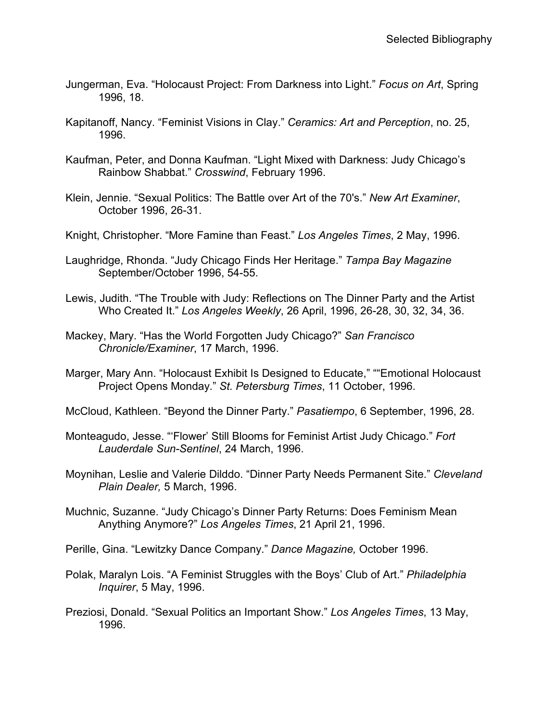- Jungerman, Eva. "Holocaust Project: From Darkness into Light." *Focus on Art*, Spring 1996, 18.
- Kapitanoff, Nancy. "Feminist Visions in Clay." *Ceramics: Art and Perception*, no. 25, 1996.
- Kaufman, Peter, and Donna Kaufman. "Light Mixed with Darkness: Judy Chicago's Rainbow Shabbat." *Crosswind*, February 1996.
- Klein, Jennie. "Sexual Politics: The Battle over Art of the 70's." *New Art Examiner*, October 1996, 26-31.
- Knight, Christopher. "More Famine than Feast." *Los Angeles Times*, 2 May, 1996.
- Laughridge, Rhonda. "Judy Chicago Finds Her Heritage." *Tampa Bay Magazine* September/October 1996, 54-55.
- Lewis, Judith. "The Trouble with Judy: Reflections on The Dinner Party and the Artist Who Created It." *Los Angeles Weekly*, 26 April, 1996, 26-28, 30, 32, 34, 36.
- Mackey, Mary. "Has the World Forgotten Judy Chicago?" *San Francisco Chronicle/Examiner*, 17 March, 1996.
- Marger, Mary Ann. "Holocaust Exhibit Is Designed to Educate," ""Emotional Holocaust Project Opens Monday." *St. Petersburg Times*, 11 October, 1996.
- McCloud, Kathleen. "Beyond the Dinner Party." *Pasatiempo*, 6 September, 1996, 28.
- Monteagudo, Jesse. "'Flower' Still Blooms for Feminist Artist Judy Chicago." *Fort Lauderdale Sun-Sentinel*, 24 March, 1996.
- Moynihan, Leslie and Valerie Dilddo. "Dinner Party Needs Permanent Site." *Cleveland Plain Dealer,* 5 March, 1996.
- Muchnic, Suzanne. "Judy Chicago's Dinner Party Returns: Does Feminism Mean Anything Anymore?" *Los Angeles Times*, 21 April 21, 1996.
- Perille, Gina. "Lewitzky Dance Company." *Dance Magazine,* October 1996.
- Polak, Maralyn Lois. "A Feminist Struggles with the Boys' Club of Art." *Philadelphia Inquirer*, 5 May, 1996.
- Preziosi, Donald. "Sexual Politics an Important Show." *Los Angeles Times*, 13 May, 1996.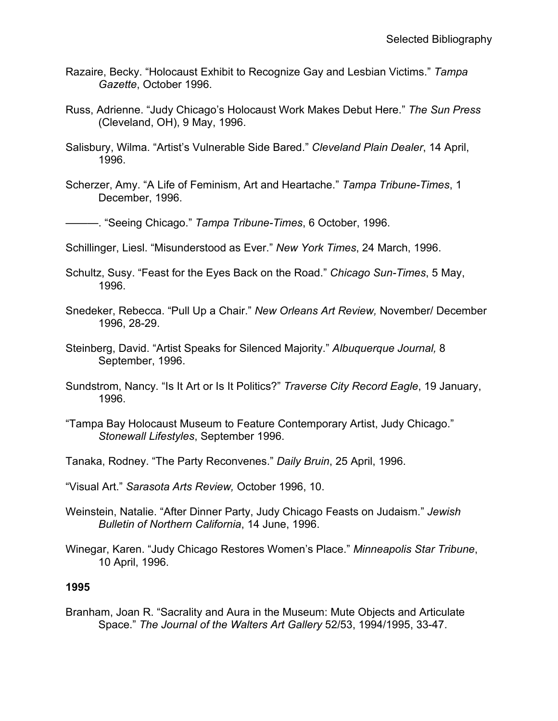- Razaire, Becky. "Holocaust Exhibit to Recognize Gay and Lesbian Victims." *Tampa Gazette*, October 1996.
- Russ, Adrienne. "Judy Chicago's Holocaust Work Makes Debut Here." *The Sun Press* (Cleveland, OH), 9 May, 1996.
- Salisbury, Wilma. "Artist's Vulnerable Side Bared." *Cleveland Plain Dealer*, 14 April, 1996.
- Scherzer, Amy. "A Life of Feminism, Art and Heartache." *Tampa Tribune-Times*, 1 December, 1996.

———. "Seeing Chicago." *Tampa Tribune-Times*, 6 October, 1996.

- Schillinger, Liesl. "Misunderstood as Ever." *New York Times*, 24 March, 1996.
- Schultz, Susy. "Feast for the Eyes Back on the Road." *Chicago Sun-Times*, 5 May, 1996.
- Snedeker, Rebecca. "Pull Up a Chair." *New Orleans Art Review,* November/ December 1996, 28-29.
- Steinberg, David. "Artist Speaks for Silenced Majority." *Albuquerque Journal,* 8 September, 1996.
- Sundstrom, Nancy. "Is It Art or Is It Politics?" *Traverse City Record Eagle*, 19 January, 1996.
- "Tampa Bay Holocaust Museum to Feature Contemporary Artist, Judy Chicago." *Stonewall Lifestyles*, September 1996.
- Tanaka, Rodney. "The Party Reconvenes." *Daily Bruin*, 25 April, 1996.
- "Visual Art." *Sarasota Arts Review,* October 1996, 10.
- Weinstein, Natalie. "After Dinner Party, Judy Chicago Feasts on Judaism." *Jewish Bulletin of Northern California*, 14 June, 1996.
- Winegar, Karen. "Judy Chicago Restores Women's Place." *Minneapolis Star Tribune*, 10 April, 1996.

#### **1995**

Branham, Joan R. "Sacrality and Aura in the Museum: Mute Objects and Articulate Space." *The Journal of the Walters Art Gallery* 52/53, 1994/1995, 33-47.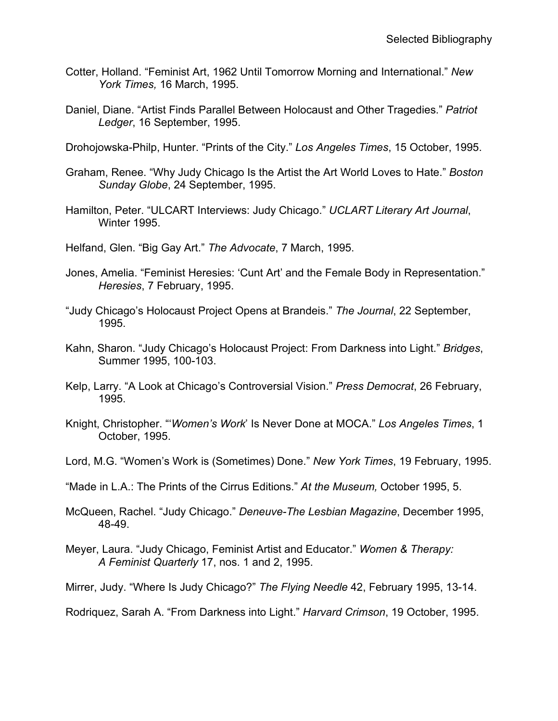- Cotter, Holland. "Feminist Art, 1962 Until Tomorrow Morning and International." *New York Times,* 16 March, 1995.
- Daniel, Diane. "Artist Finds Parallel Between Holocaust and Other Tragedies." *Patriot Ledger*, 16 September, 1995.
- Drohojowska-Philp, Hunter. "Prints of the City." *Los Angeles Times*, 15 October, 1995.
- Graham, Renee. "Why Judy Chicago Is the Artist the Art World Loves to Hate." *Boston Sunday Globe*, 24 September, 1995.
- Hamilton, Peter. "ULCART Interviews: Judy Chicago." *UCLART Literary Art Journal*, Winter 1995.
- Helfand, Glen. "Big Gay Art." *The Advocate*, 7 March, 1995.
- Jones, Amelia. "Feminist Heresies: 'Cunt Art' and the Female Body in Representation." *Heresies*, 7 February, 1995.
- "Judy Chicago's Holocaust Project Opens at Brandeis." *The Journal*, 22 September, 1995.
- Kahn, Sharon. "Judy Chicago's Holocaust Project: From Darkness into Light." *Bridges*, Summer 1995, 100-103.
- Kelp, Larry. "A Look at Chicago's Controversial Vision." *Press Democrat*, 26 February, 1995.
- Knight, Christopher. "'*Women's Work*' Is Never Done at MOCA." *Los Angeles Times*, 1 October, 1995.
- Lord, M.G. "Women's Work is (Sometimes) Done." *New York Times*, 19 February, 1995.
- "Made in L.A.: The Prints of the Cirrus Editions." *At the Museum,* October 1995, 5.
- McQueen, Rachel. "Judy Chicago." *Deneuve-The Lesbian Magazine*, December 1995, 48-49.
- Meyer, Laura. "Judy Chicago, Feminist Artist and Educator." *Women & Therapy: A Feminist Quarterly* 17, nos. 1 and 2, 1995.
- Mirrer, Judy. "Where Is Judy Chicago?" *The Flying Needle* 42, February 1995, 13-14.

Rodriquez, Sarah A. "From Darkness into Light." *Harvard Crimson*, 19 October, 1995.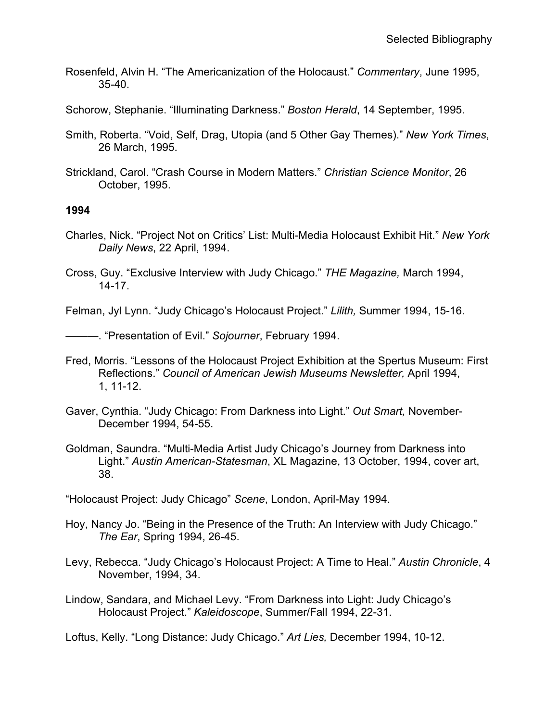- Rosenfeld, Alvin H. "The Americanization of the Holocaust." *Commentary*, June 1995, 35-40.
- Schorow, Stephanie. "Illuminating Darkness." *Boston Herald*, 14 September, 1995.
- Smith, Roberta. "Void, Self, Drag, Utopia (and 5 Other Gay Themes)." *New York Times*, 26 March, 1995.
- Strickland, Carol. "Crash Course in Modern Matters." *Christian Science Monitor*, 26 October, 1995.

- Charles, Nick. "Project Not on Critics' List: Multi-Media Holocaust Exhibit Hit." *New York Daily News*, 22 April, 1994.
- Cross, Guy. "Exclusive Interview with Judy Chicago." *THE Magazine,* March 1994, 14-17.

Felman, Jyl Lynn. "Judy Chicago's Holocaust Project." *Lilith,* Summer 1994, 15-16.

———. "Presentation of Evil." *Sojourner*, February 1994.

- Fred, Morris. "Lessons of the Holocaust Project Exhibition at the Spertus Museum: First Reflections." *Council of American Jewish Museums Newsletter,* April 1994, 1, 11-12.
- Gaver, Cynthia. "Judy Chicago: From Darkness into Light." *Out Smart,* November-December 1994, 54-55.
- Goldman, Saundra. "Multi-Media Artist Judy Chicago's Journey from Darkness into Light." *Austin American-Statesman*, XL Magazine, 13 October, 1994, cover art, 38.

"Holocaust Project: Judy Chicago" *Scene*, London, April-May 1994.

- Hoy, Nancy Jo. "Being in the Presence of the Truth: An Interview with Judy Chicago." *The Ear*, Spring 1994, 26-45.
- Levy, Rebecca. "Judy Chicago's Holocaust Project: A Time to Heal." *Austin Chronicle*, 4 November, 1994, 34.
- Lindow, Sandara, and Michael Levy. "From Darkness into Light: Judy Chicago's Holocaust Project." *Kaleidoscope*, Summer/Fall 1994, 22-31.

Loftus, Kelly. "Long Distance: Judy Chicago." *Art Lies,* December 1994, 10-12.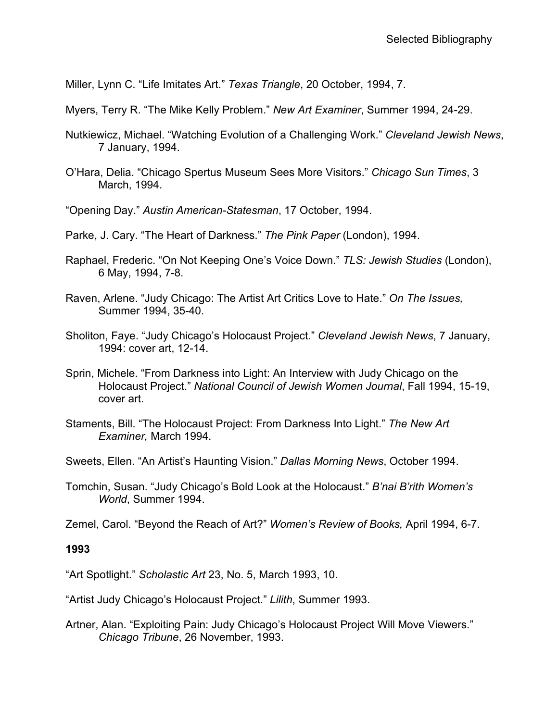Miller, Lynn C. "Life Imitates Art." *Texas Triangle*, 20 October, 1994, 7.

Myers, Terry R. "The Mike Kelly Problem." *New Art Examiner*, Summer 1994, 24-29.

- Nutkiewicz, Michael. "Watching Evolution of a Challenging Work." *Cleveland Jewish News*, 7 January, 1994.
- O'Hara, Delia. "Chicago Spertus Museum Sees More Visitors." *Chicago Sun Times*, 3 March, 1994.
- "Opening Day." *Austin American-Statesman*, 17 October, 1994.
- Parke, J. Cary. "The Heart of Darkness." *The Pink Paper* (London), 1994.
- Raphael, Frederic. "On Not Keeping One's Voice Down." *TLS: Jewish Studies* (London), 6 May, 1994, 7-8.
- Raven, Arlene. "Judy Chicago: The Artist Art Critics Love to Hate." *On The Issues,* Summer 1994, 35-40.
- Sholiton, Faye. "Judy Chicago's Holocaust Project." *Cleveland Jewish News*, 7 January, 1994: cover art, 12-14.
- Sprin, Michele. "From Darkness into Light: An Interview with Judy Chicago on the Holocaust Project." *National Council of Jewish Women Journal*, Fall 1994, 15-19, cover art.
- Staments, Bill. "The Holocaust Project: From Darkness Into Light." *The New Art Examiner,* March 1994.
- Sweets, Ellen. "An Artist's Haunting Vision." *Dallas Morning News*, October 1994.
- Tomchin, Susan. "Judy Chicago's Bold Look at the Holocaust." *B'nai B'rith Women's World*, Summer 1994.

Zemel, Carol. "Beyond the Reach of Art?" *Women's Review of Books,* April 1994, 6-7.

#### **1993**

"Art Spotlight." *Scholastic Art* 23, No. 5, March 1993, 10.

- "Artist Judy Chicago's Holocaust Project." *Lilith*, Summer 1993.
- Artner, Alan. "Exploiting Pain: Judy Chicago's Holocaust Project Will Move Viewers." *Chicago Tribune*, 26 November, 1993.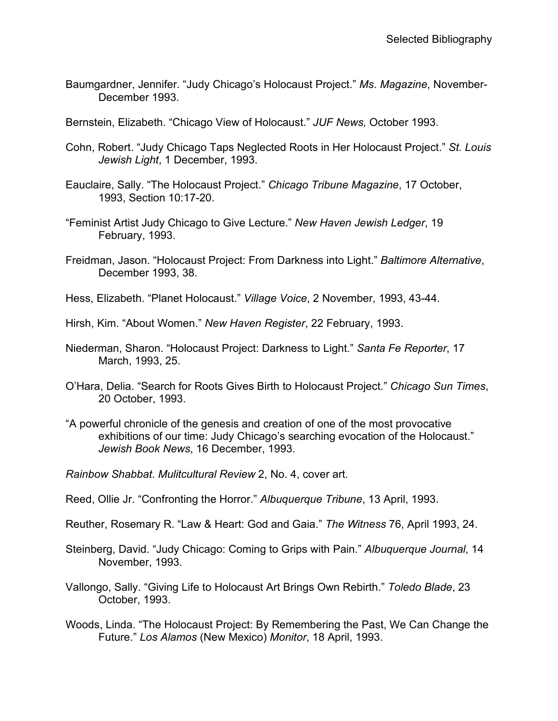- Baumgardner, Jennifer. "Judy Chicago's Holocaust Project." *Ms*. *Magazine*, November-December 1993.
- Bernstein, Elizabeth. "Chicago View of Holocaust." *JUF News,* October 1993.
- Cohn, Robert. "Judy Chicago Taps Neglected Roots in Her Holocaust Project." *St. Louis Jewish Light*, 1 December, 1993.
- Eauclaire, Sally. "The Holocaust Project." *Chicago Tribune Magazine*, 17 October, 1993, Section 10:17-20.
- "Feminist Artist Judy Chicago to Give Lecture." *New Haven Jewish Ledger*, 19 February, 1993.
- Freidman, Jason. "Holocaust Project: From Darkness into Light." *Baltimore Alternative*, December 1993, 38.
- Hess, Elizabeth. "Planet Holocaust." *Village Voice*, 2 November, 1993, 43-44.
- Hirsh, Kim. "About Women." *New Haven Register*, 22 February, 1993.
- Niederman, Sharon. "Holocaust Project: Darkness to Light." *Santa Fe Reporter*, 17 March, 1993, 25.
- O'Hara, Delia. "Search for Roots Gives Birth to Holocaust Project." *Chicago Sun Times*, 20 October, 1993.
- "A powerful chronicle of the genesis and creation of one of the most provocative exhibitions of our time: Judy Chicago's searching evocation of the Holocaust." *Jewish Book News*, 16 December, 1993.
- *Rainbow Shabbat*. *Mulitcultural Review* 2, No. 4, cover art.
- Reed, Ollie Jr. "Confronting the Horror." *Albuquerque Tribune*, 13 April, 1993.
- Reuther, Rosemary R. "Law & Heart: God and Gaia." *The Witness* 76, April 1993, 24.
- Steinberg, David. "Judy Chicago: Coming to Grips with Pain." *Albuquerque Journal*, 14 November, 1993.
- Vallongo, Sally. "Giving Life to Holocaust Art Brings Own Rebirth." *Toledo Blade*, 23 October, 1993.
- Woods, Linda. "The Holocaust Project: By Remembering the Past, We Can Change the Future." *Los Alamos* (New Mexico) *Monitor*, 18 April, 1993.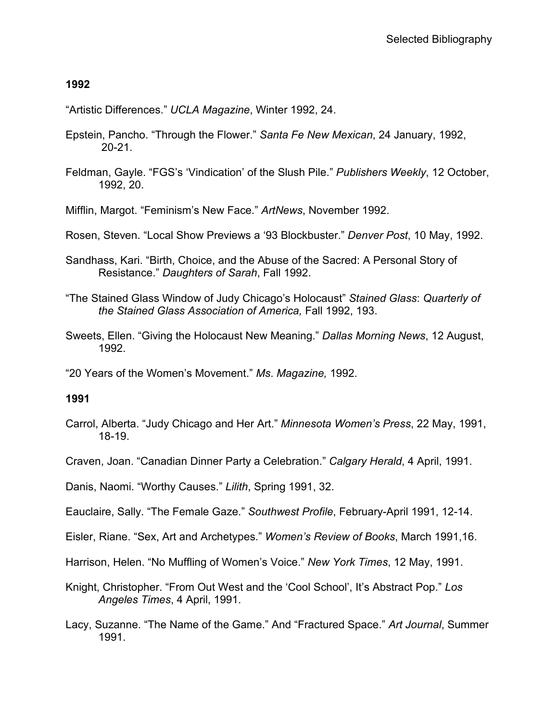"Artistic Differences." *UCLA Magazine*, Winter 1992, 24.

- Epstein, Pancho. "Through the Flower." *Santa Fe New Mexican*, 24 January, 1992, 20-21.
- Feldman, Gayle. "FGS's 'Vindication' of the Slush Pile." *Publishers Weekly*, 12 October, 1992, 20.

Mifflin, Margot. "Feminism's New Face." *ArtNews*, November 1992.

Rosen, Steven. "Local Show Previews a '93 Blockbuster." *Denver Post*, 10 May, 1992.

- Sandhass, Kari. "Birth, Choice, and the Abuse of the Sacred: A Personal Story of Resistance." *Daughters of Sarah*, Fall 1992.
- "The Stained Glass Window of Judy Chicago's Holocaust" *Stained Glass*: *Quarterly of the Stained Glass Association of America,* Fall 1992, 193.
- Sweets, Ellen. "Giving the Holocaust New Meaning." *Dallas Morning News*, 12 August, 1992.
- "20 Years of the Women's Movement." *Ms*. *Magazine,* 1992.

## **1991**

Carrol, Alberta. "Judy Chicago and Her Art." *Minnesota Women's Press*, 22 May, 1991, 18-19.

Craven, Joan. "Canadian Dinner Party a Celebration." *Calgary Herald*, 4 April, 1991.

Danis, Naomi. "Worthy Causes." *Lilith*, Spring 1991, 32.

Eauclaire, Sally. "The Female Gaze." *Southwest Profile*, February-April 1991, 12-14.

Eisler, Riane. "Sex, Art and Archetypes." *Women's Review of Books*, March 1991,16.

Harrison, Helen. "No Muffling of Women's Voice." *New York Times*, 12 May, 1991.

- Knight, Christopher. "From Out West and the 'Cool School', It's Abstract Pop." *Los Angeles Times*, 4 April, 1991.
- Lacy, Suzanne. "The Name of the Game." And "Fractured Space." *Art Journal*, Summer 1991.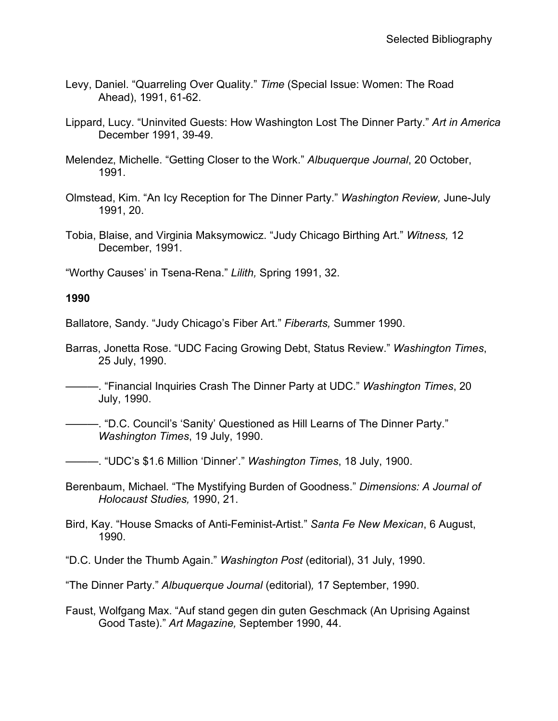- Levy, Daniel. "Quarreling Over Quality." *Time* (Special Issue: Women: The Road Ahead), 1991, 61-62.
- Lippard, Lucy. "Uninvited Guests: How Washington Lost The Dinner Party." *Art in America* December 1991, 39-49.
- Melendez, Michelle. "Getting Closer to the Work." *Albuquerque Journal*, 20 October, 1991.
- Olmstead, Kim. "An Icy Reception for The Dinner Party." *Washington Review,* June-July 1991, 20.
- Tobia, Blaise, and Virginia Maksymowicz. "Judy Chicago Birthing Art." *Witness,* 12 December, 1991.

"Worthy Causes' in Tsena-Rena." *Lilith,* Spring 1991, 32.

### **1990**

Ballatore, Sandy. "Judy Chicago's Fiber Art." *Fiberarts,* Summer 1990.

Barras, Jonetta Rose. "UDC Facing Growing Debt, Status Review." *Washington Times*, 25 July, 1990.

———. "Financial Inquiries Crash The Dinner Party at UDC." *Washington Times*, 20 July, 1990.

———. "D.C. Council's 'Sanity' Questioned as Hill Learns of The Dinner Party." *Washington Times*, 19 July, 1990.

———. "UDC's \$1.6 Million 'Dinner'." *Washington Times*, 18 July, 1900.

Berenbaum, Michael. "The Mystifying Burden of Goodness." *Dimensions: A Journal of Holocaust Studies,* 1990, 21.

Bird, Kay. "House Smacks of Anti-Feminist-Artist." *Santa Fe New Mexican*, 6 August, 1990.

"D.C. Under the Thumb Again." *Washington Post* (editorial), 31 July, 1990.

"The Dinner Party." *Albuquerque Journal* (editorial)*,* 17 September, 1990.

Faust, Wolfgang Max. "Auf stand gegen din guten Geschmack (An Uprising Against Good Taste)." *Art Magazine,* September 1990, 44.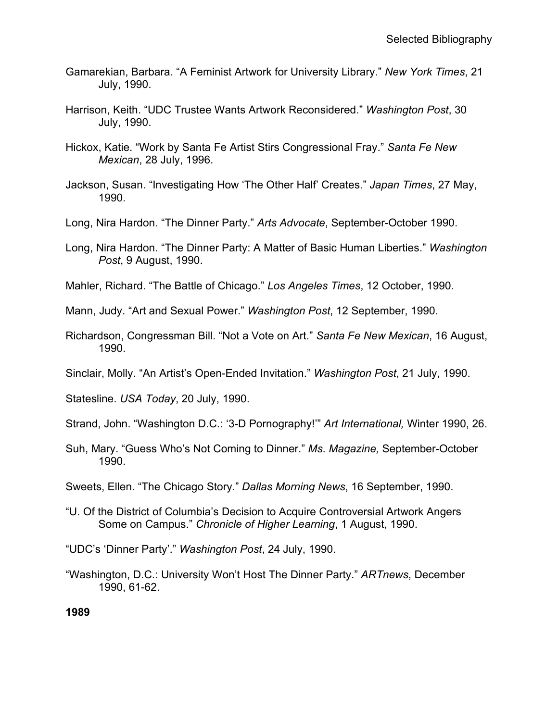- Gamarekian, Barbara. "A Feminist Artwork for University Library." *New York Times*, 21 July, 1990.
- Harrison, Keith. "UDC Trustee Wants Artwork Reconsidered." *Washington Post*, 30 July, 1990.
- Hickox, Katie. "Work by Santa Fe Artist Stirs Congressional Fray." *Santa Fe New Mexican*, 28 July, 1996.
- Jackson, Susan. "Investigating How 'The Other Half' Creates." *Japan Times*, 27 May, 1990.
- Long, Nira Hardon. "The Dinner Party." *Arts Advocate*, September-October 1990.
- Long, Nira Hardon. "The Dinner Party: A Matter of Basic Human Liberties." *Washington Post*, 9 August, 1990.
- Mahler, Richard. "The Battle of Chicago." *Los Angeles Times*, 12 October, 1990.
- Mann, Judy. "Art and Sexual Power." *Washington Post*, 12 September, 1990.
- Richardson, Congressman Bill. "Not a Vote on Art." *Santa Fe New Mexican*, 16 August, 1990.
- Sinclair, Molly. "An Artist's Open-Ended Invitation." *Washington Post*, 21 July, 1990.
- Statesline. *USA Today*, 20 July, 1990.
- Strand, John. "Washington D.C.: '3-D Pornography!'" *Art International,* Winter 1990, 26.
- Suh, Mary. "Guess Who's Not Coming to Dinner." *Ms*. *Magazine,* September-October 1990.
- Sweets, Ellen. "The Chicago Story." *Dallas Morning News*, 16 September, 1990.
- "U. Of the District of Columbia's Decision to Acquire Controversial Artwork Angers Some on Campus." *Chronicle of Higher Learning*, 1 August, 1990.
- "UDC's 'Dinner Party'." *Washington Post*, 24 July, 1990.
- "Washington, D.C.: University Won't Host The Dinner Party." *ARTnews*, December 1990, 61-62.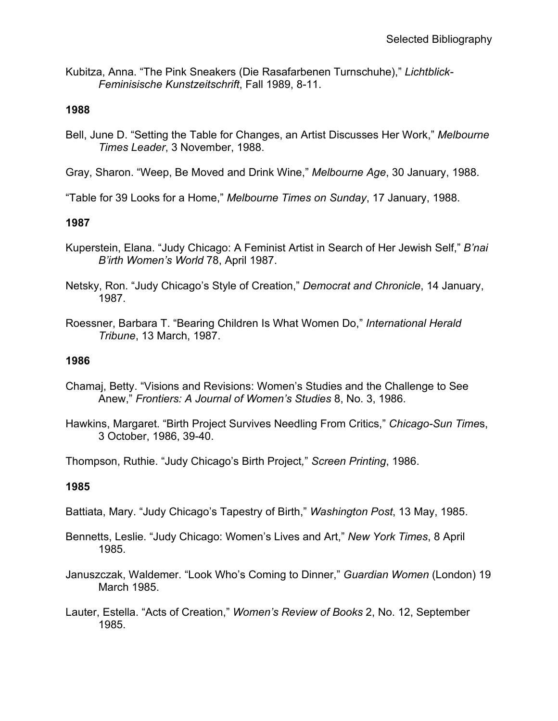Kubitza, Anna. "The Pink Sneakers (Die Rasafarbenen Turnschuhe)," *Lichtblick-Feminisische Kunstzeitschrift*, Fall 1989, 8-11.

### **1988**

- Bell, June D. "Setting the Table for Changes, an Artist Discusses Her Work," *Melbourne Times Leader*, 3 November, 1988.
- Gray, Sharon. "Weep, Be Moved and Drink Wine," *Melbourne Age*, 30 January, 1988.
- "Table for 39 Looks for a Home," *Melbourne Times on Sunday*, 17 January, 1988.

### **1987**

- Kuperstein, Elana. "Judy Chicago: A Feminist Artist in Search of Her Jewish Self," *B'nai B'irth Women's World* 78, April 1987.
- Netsky, Ron. "Judy Chicago's Style of Creation," *Democrat and Chronicle*, 14 January, 1987.
- Roessner, Barbara T. "Bearing Children Is What Women Do," *International Herald Tribune*, 13 March, 1987.

### **1986**

- Chamaj, Betty. "Visions and Revisions: Women's Studies and the Challenge to See Anew," *Frontiers: A Journal of Women's Studies* 8, No. 3, 1986.
- Hawkins, Margaret. "Birth Project Survives Needling From Critics," *Chicago-Sun Time*s, 3 October, 1986, 39-40.

Thompson, Ruthie. "Judy Chicago's Birth Project*,*" *Screen Printing*, 1986.

#### **1985**

- Battiata, Mary. "Judy Chicago's Tapestry of Birth," *Washington Post*, 13 May, 1985.
- Bennetts, Leslie. "Judy Chicago: Women's Lives and Art," *New York Times*, 8 April 1985.
- Januszczak, Waldemer. "Look Who's Coming to Dinner," *Guardian Women* (London) 19 March 1985.
- Lauter, Estella. "Acts of Creation," *Women's Review of Books* 2, No. 12, September 1985.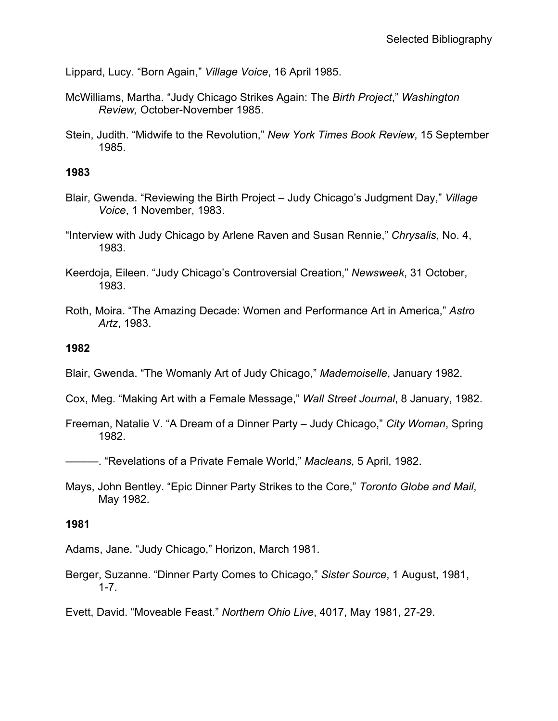Lippard, Lucy. "Born Again," *Village Voice*, 16 April 1985.

- McWilliams, Martha. "Judy Chicago Strikes Again: The *Birth Project*," *Washington Review,* October-November 1985.
- Stein, Judith. "Midwife to the Revolution," *New York Times Book Review*, 15 September 1985.

#### **1983**

- Blair, Gwenda. "Reviewing the Birth Project Judy Chicago's Judgment Day," *Village Voice*, 1 November, 1983.
- "Interview with Judy Chicago by Arlene Raven and Susan Rennie," *Chrysalis*, No. 4, 1983.
- Keerdoja, Eileen. "Judy Chicago's Controversial Creation," *Newsweek*, 31 October, 1983.
- Roth, Moira. "The Amazing Decade: Women and Performance Art in America," *Astro Artz*, 1983.

#### **1982**

- Blair, Gwenda. "The Womanly Art of Judy Chicago," *Mademoiselle*, January 1982.
- Cox, Meg. "Making Art with a Female Message," *Wall Street Journal*, 8 January, 1982.
- Freeman, Natalie V. "A Dream of a Dinner Party Judy Chicago," *City Woman*, Spring 1982.

———. "Revelations of a Private Female World," *Macleans*, 5 April, 1982.

Mays, John Bentley. "Epic Dinner Party Strikes to the Core," *Toronto Globe and Mail*, May 1982.

#### **1981**

Adams, Jane. "Judy Chicago," Horizon, March 1981.

Berger, Suzanne. "Dinner Party Comes to Chicago," *Sister Source*, 1 August, 1981, 1-7.

Evett, David. "Moveable Feast." *Northern Ohio Live*, 4017, May 1981, 27-29.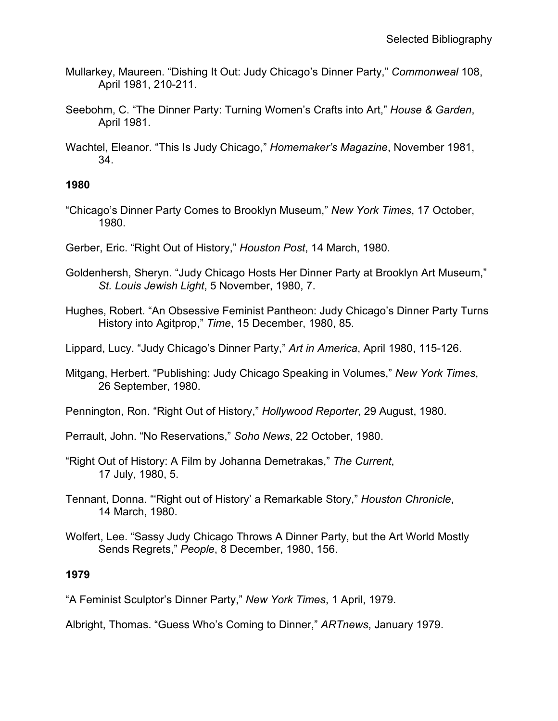- Mullarkey, Maureen. "Dishing It Out: Judy Chicago's Dinner Party," *Commonweal* 108, April 1981, 210-211.
- Seebohm, C. "The Dinner Party: Turning Women's Crafts into Art," *House & Garden*, April 1981.
- Wachtel, Eleanor. "This Is Judy Chicago," *Homemaker's Magazine*, November 1981, 34.

- "Chicago's Dinner Party Comes to Brooklyn Museum," *New York Times*, 17 October, 1980.
- Gerber, Eric. "Right Out of History," *Houston Post*, 14 March, 1980.
- Goldenhersh, Sheryn. "Judy Chicago Hosts Her Dinner Party at Brooklyn Art Museum," *St. Louis Jewish Light*, 5 November, 1980, 7.
- Hughes, Robert. "An Obsessive Feminist Pantheon: Judy Chicago's Dinner Party Turns History into Agitprop," *Time*, 15 December, 1980, 85.
- Lippard, Lucy. "Judy Chicago's Dinner Party," *Art in America*, April 1980, 115-126.
- Mitgang, Herbert. "Publishing: Judy Chicago Speaking in Volumes," *New York Times*, 26 September, 1980.
- Pennington, Ron. "Right Out of History," *Hollywood Reporter*, 29 August, 1980.
- Perrault, John. "No Reservations," *Soho News*, 22 October, 1980.
- "Right Out of History: A Film by Johanna Demetrakas," *The Current*, 17 July, 1980, 5.
- Tennant, Donna. "'Right out of History' a Remarkable Story," *Houston Chronicle*, 14 March, 1980.
- Wolfert, Lee. "Sassy Judy Chicago Throws A Dinner Party, but the Art World Mostly Sends Regrets," *People*, 8 December, 1980, 156.

#### **1979**

"A Feminist Sculptor's Dinner Party," *New York Times*, 1 April, 1979.

Albright, Thomas. "Guess Who's Coming to Dinner," *ARTnews*, January 1979.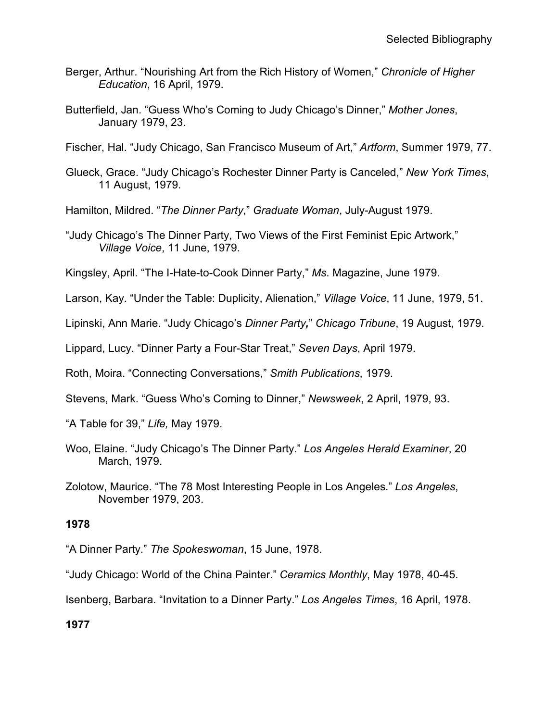- Berger, Arthur. "Nourishing Art from the Rich History of Women," *Chronicle of Higher Education*, 16 April, 1979.
- Butterfield, Jan. "Guess Who's Coming to Judy Chicago's Dinner," *Mother Jones*, January 1979, 23.

Fischer, Hal. "Judy Chicago, San Francisco Museum of Art," *Artform*, Summer 1979, 77.

- Glueck, Grace. "Judy Chicago's Rochester Dinner Party is Canceled," *New York Times*, 11 August, 1979.
- Hamilton, Mildred. "*The Dinner Party*," *Graduate Woman*, July-August 1979.
- "Judy Chicago's The Dinner Party, Two Views of the First Feminist Epic Artwork," *Village Voice*, 11 June, 1979.

Kingsley, April. "The I-Hate-to-Cook Dinner Party," *Ms*. Magazine, June 1979.

Larson, Kay. "Under the Table: Duplicity, Alienation," *Village Voice*, 11 June, 1979, 51.

Lipinski, Ann Marie. "Judy Chicago's *Dinner Party,*" *Chicago Tribune*, 19 August, 1979.

Lippard, Lucy. "Dinner Party a Four-Star Treat," *Seven Days*, April 1979.

Roth, Moira. "Connecting Conversations," *Smith Publications*, 1979.

Stevens, Mark. "Guess Who's Coming to Dinner," *Newsweek*, 2 April, 1979, 93.

"A Table for 39," *Life,* May 1979.

- Woo, Elaine. "Judy Chicago's The Dinner Party." *Los Angeles Herald Examiner*, 20 March, 1979.
- Zolotow, Maurice. "The 78 Most Interesting People in Los Angeles." *Los Angeles*, November 1979, 203.

## **1978**

"A Dinner Party." *The Spokeswoman*, 15 June, 1978.

"Judy Chicago: World of the China Painter." *Ceramics Monthly*, May 1978, 40-45.

Isenberg, Barbara. "Invitation to a Dinner Party." *Los Angeles Times*, 16 April, 1978.

**1977**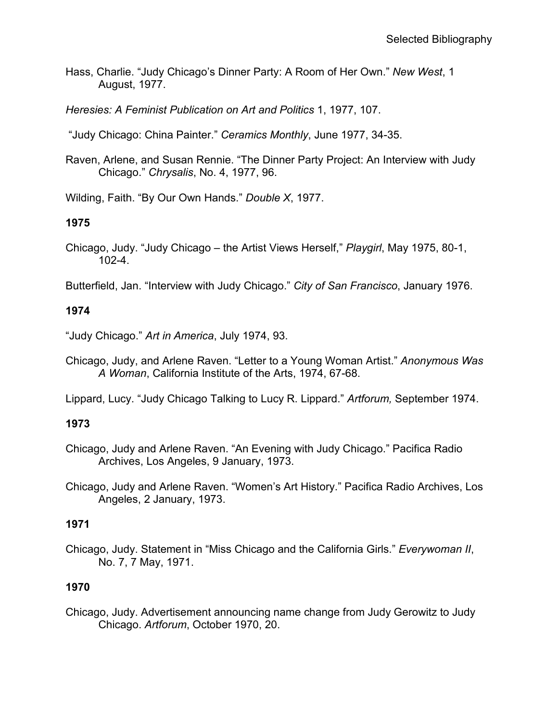Hass, Charlie. "Judy Chicago's Dinner Party: A Room of Her Own." *New West*, 1 August, 1977.

*Heresies: A Feminist Publication on Art and Politics* 1, 1977, 107.

"Judy Chicago: China Painter." *Ceramics Monthly*, June 1977, 34-35.

Raven, Arlene, and Susan Rennie. "The Dinner Party Project: An Interview with Judy Chicago." *Chrysalis*, No. 4, 1977, 96.

Wilding, Faith. "By Our Own Hands." *Double X*, 1977.

## **1975**

Chicago, Judy. "Judy Chicago – the Artist Views Herself," *Playgirl*, May 1975, 80-1, 102-4.

Butterfield, Jan. "Interview with Judy Chicago." *City of San Francisco*, January 1976.

## **1974**

"Judy Chicago." *Art in America*, July 1974, 93.

Chicago, Judy, and Arlene Raven. "Letter to a Young Woman Artist." *Anonymous Was A Woman*, California Institute of the Arts, 1974, 67-68.

Lippard, Lucy. "Judy Chicago Talking to Lucy R. Lippard." *Artforum,* September 1974.

# **1973**

- Chicago, Judy and Arlene Raven. "An Evening with Judy Chicago." Pacifica Radio Archives, Los Angeles, 9 January, 1973.
- Chicago, Judy and Arlene Raven. "Women's Art History." Pacifica Radio Archives, Los Angeles, 2 January, 1973.

## **1971**

Chicago, Judy. Statement in "Miss Chicago and the California Girls." *Everywoman II*, No. 7, 7 May, 1971.

# **1970**

Chicago, Judy. Advertisement announcing name change from Judy Gerowitz to Judy Chicago. *Artforum*, October 1970, 20.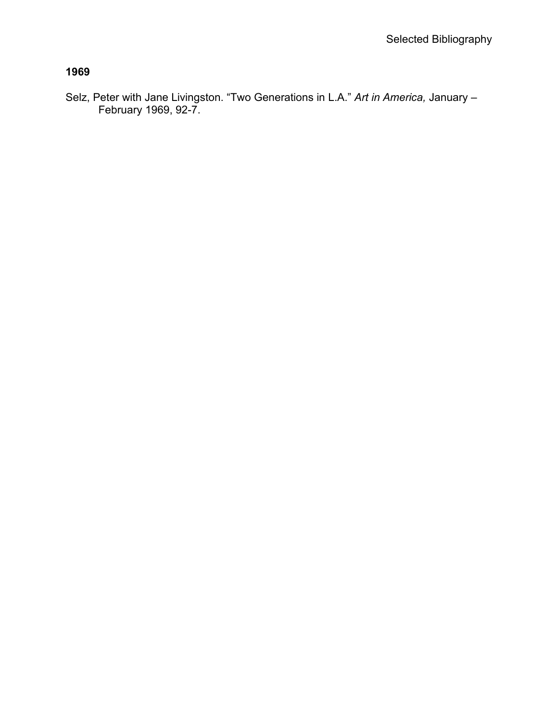Selz, Peter with Jane Livingston. "Two Generations in L.A." *Art in America,* January – February 1969, 92-7.